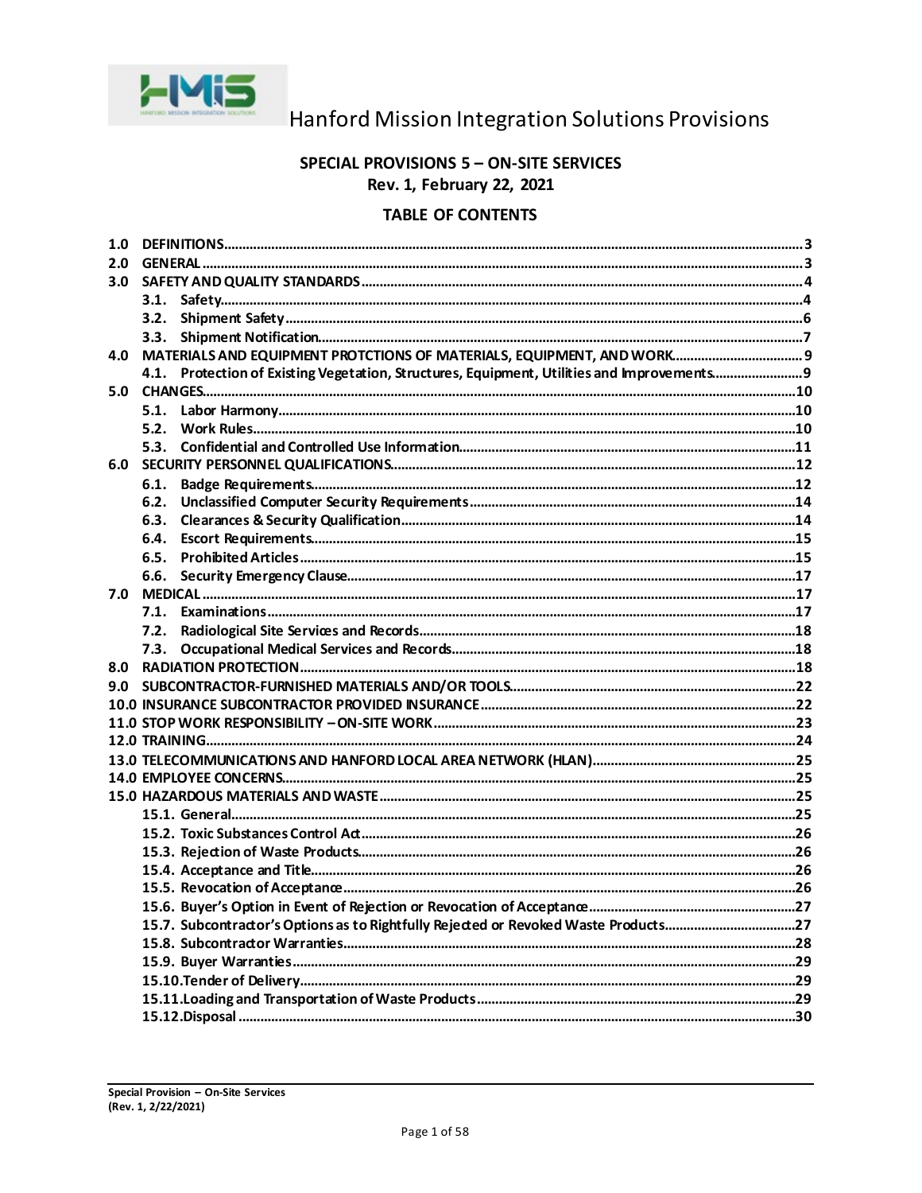

### **SPECIAL PROVISIONS 5 - ON-SITE SERVICES**

### Rev. 1, February 22, 2021

#### **TABLE OF CONTENTS**

| 1.0 |                                                                                            |  |
|-----|--------------------------------------------------------------------------------------------|--|
| 2.0 |                                                                                            |  |
| 3.0 |                                                                                            |  |
|     |                                                                                            |  |
|     |                                                                                            |  |
|     |                                                                                            |  |
| 4.0 |                                                                                            |  |
|     | 4.1. Protection of Existing Vegetation, Structures, Equipment, Utilities and Improvements9 |  |
| 5.0 |                                                                                            |  |
|     | 5.1.                                                                                       |  |
|     | 5.2.                                                                                       |  |
|     | 5.3.                                                                                       |  |
| 6.0 |                                                                                            |  |
|     | 6.1.                                                                                       |  |
|     | 6.2.                                                                                       |  |
|     | 6.3.                                                                                       |  |
|     | 6.4.                                                                                       |  |
|     | 6.5.                                                                                       |  |
|     | 6.6.                                                                                       |  |
| 7.0 |                                                                                            |  |
|     | 7.1.                                                                                       |  |
|     | 7.2.                                                                                       |  |
|     |                                                                                            |  |
| 8.0 |                                                                                            |  |
| 9.0 |                                                                                            |  |
|     |                                                                                            |  |
|     |                                                                                            |  |
|     |                                                                                            |  |
|     |                                                                                            |  |
|     |                                                                                            |  |
|     |                                                                                            |  |
|     |                                                                                            |  |
|     |                                                                                            |  |
|     |                                                                                            |  |
|     |                                                                                            |  |
|     |                                                                                            |  |
|     |                                                                                            |  |
|     |                                                                                            |  |
|     | 15.7. Subcontractor's Options as to Rightfully Rejected or Revoked Waste Products27        |  |
|     |                                                                                            |  |
|     |                                                                                            |  |
|     |                                                                                            |  |
|     |                                                                                            |  |
|     |                                                                                            |  |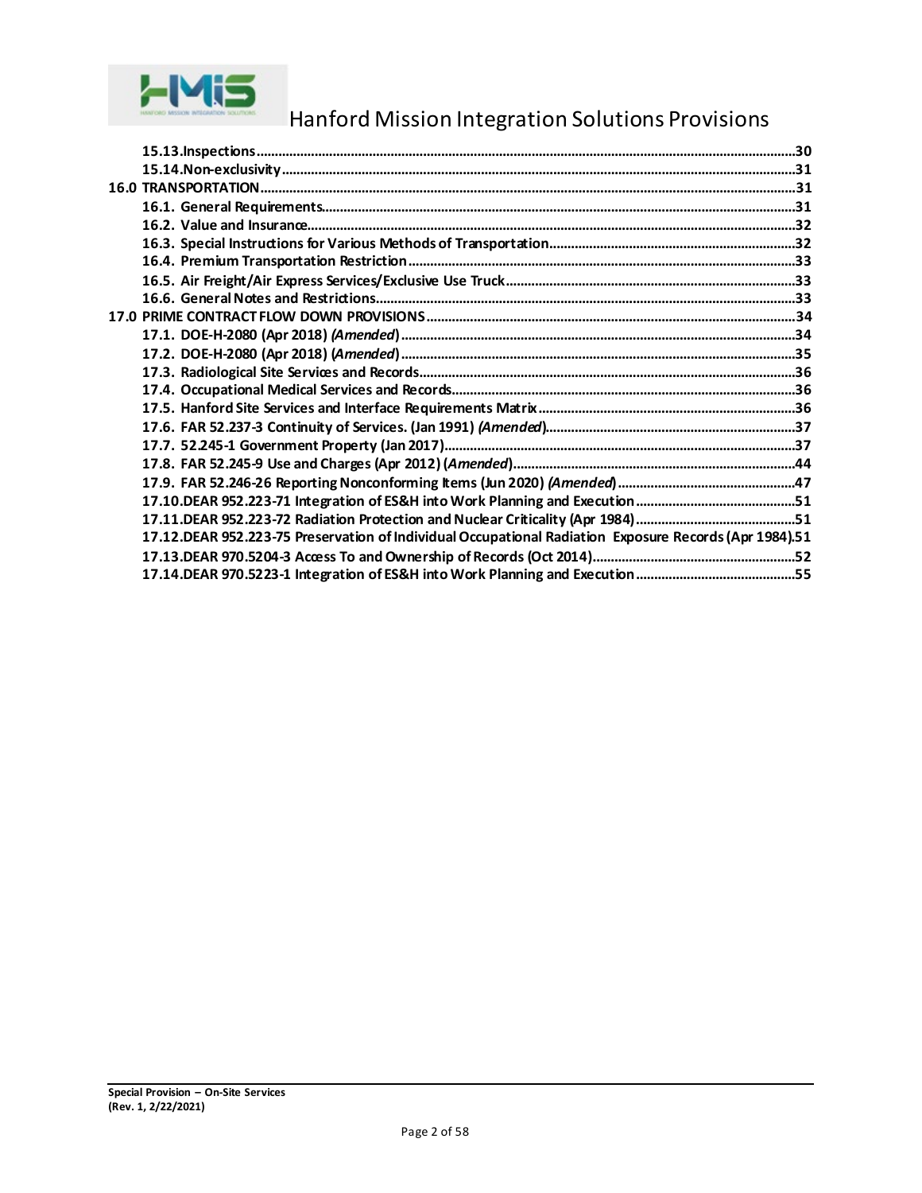

| 17.12.DEAR 952.223-75 Preservation of Individual Occupational Radiation Exposure Records (Apr 1984).51 |  |
|--------------------------------------------------------------------------------------------------------|--|
|                                                                                                        |  |
|                                                                                                        |  |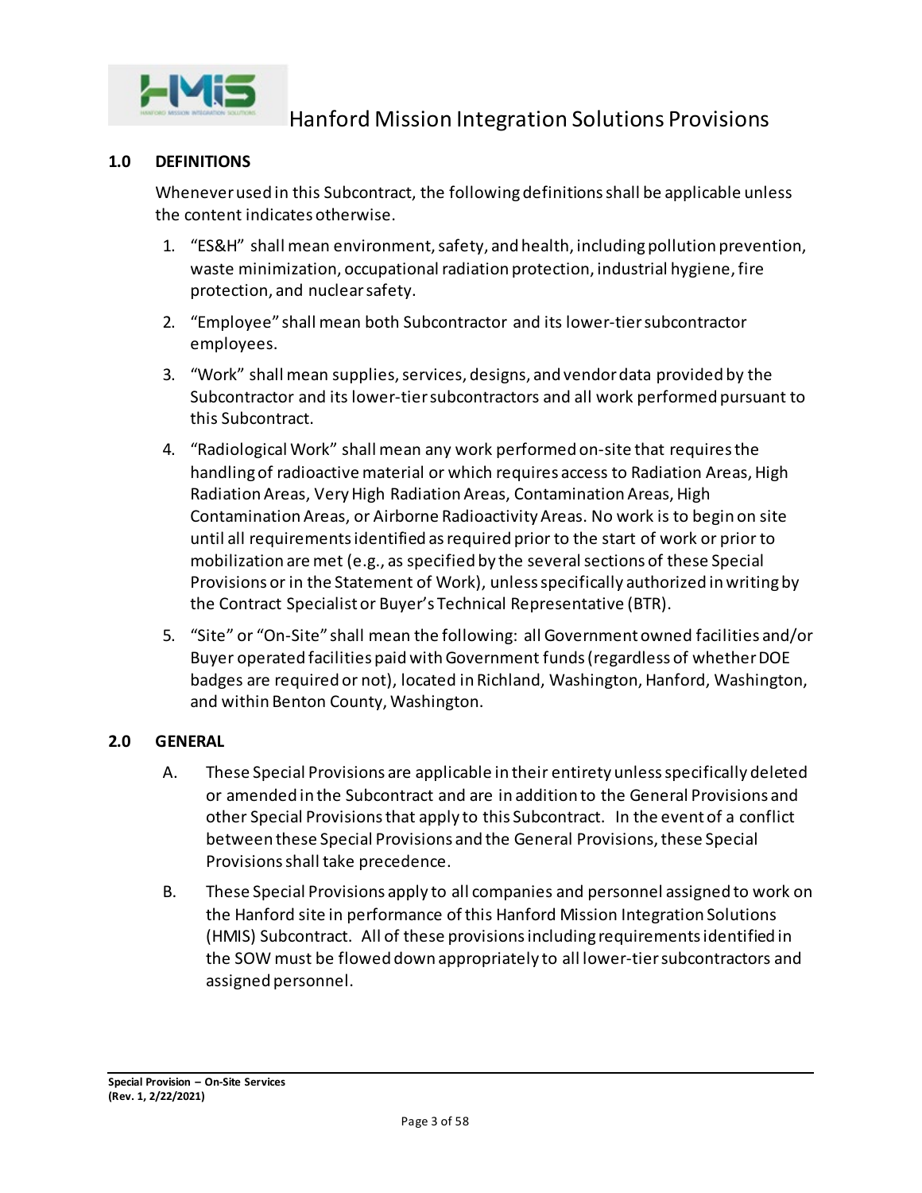

#### <span id="page-2-0"></span>**1.0 DEFINITIONS**

Whenever used in this Subcontract, the following definitions shall be applicable unless the content indicates otherwise.

- 1. "ES&H" shall mean environment, safety, and health, including pollution prevention, waste minimization, occupational radiation protection, industrial hygiene, fire protection, and nuclear safety.
- 2. "Employee" shall mean both Subcontractor and its lower-tier subcontractor employees.
- 3. "Work" shall mean supplies, services, designs, and vendor data provided by the Subcontractor and its lower-tier subcontractors and all work performed pursuant to this Subcontract.
- 4. "Radiological Work" shall mean any work performed on-site that requires the handling of radioactive material or which requires access to Radiation Areas, High Radiation Areas, Very High Radiation Areas, Contamination Areas, High Contamination Areas, or Airborne Radioactivity Areas. No work is to begin on site until all requirements identified as required prior to the start of work or prior to mobilization are met (e.g., as specified by the several sections of these Special Provisions or in the Statement of Work), unless specifically authorized in writing by the Contract Specialist or Buyer's Technical Representative (BTR).
- 5. "Site" or "On-Site" shall mean the following: all Government owned facilities and/or Buyer operated facilities paid with Government funds (regardless of whether DOE badges are required or not), located in Richland, Washington, Hanford, Washington, and within Benton County, Washington.

#### <span id="page-2-1"></span>**2.0 GENERAL**

- A. These Special Provisions are applicable in their entirety unless specifically deleted or amended in the Subcontract and are in addition to the General Provisions and other Special Provisions that apply to this Subcontract. In the event of a conflict between these Special Provisions and the General Provisions, these Special Provisions shall take precedence.
- B. These Special Provisions apply to all companies and personnel assigned to work on the Hanford site in performance of this Hanford Mission Integration Solutions (HMIS) Subcontract. All of these provisions including requirements identified in the SOW must be flowed down appropriately to all lower-tier subcontractors and assigned personnel.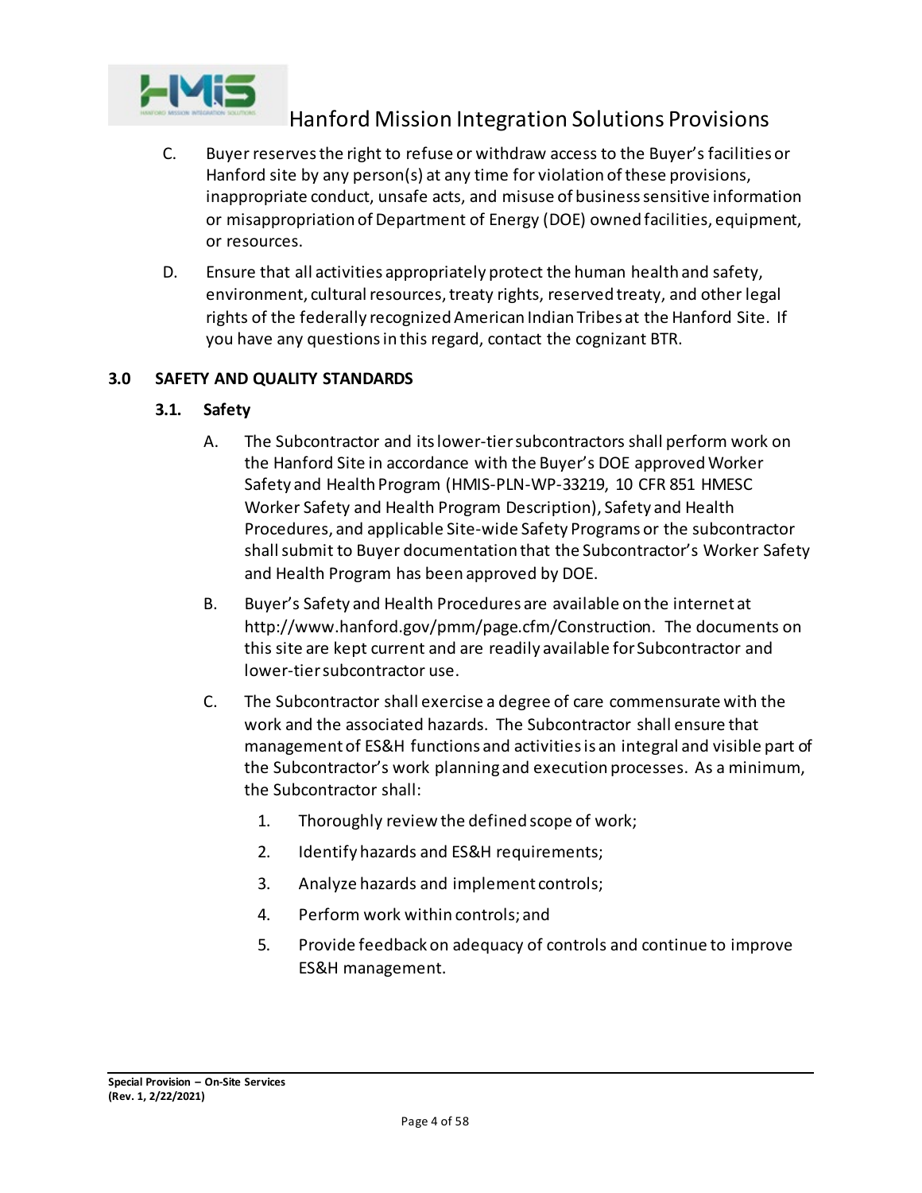

- C. Buyer reserves the right to refuse or withdraw access to the Buyer's facilities or Hanford site by any person(s) at any time for violation of these provisions, inappropriate conduct, unsafe acts, and misuse of business sensitive information or misappropriation of Department of Energy (DOE) owned facilities, equipment, or resources.
- D. Ensure that all activities appropriately protect the human health and safety, environment, cultural resources, treaty rights, reserved treaty, and other legal rights of the federally recognized American Indian Tribes at the Hanford Site. If you have any questions in this regard, contact the cognizant BTR.

### <span id="page-3-1"></span><span id="page-3-0"></span>**3.0 SAFETY AND QUALITY STANDARDS**

- **3.1. Safety** 
	- A. The Subcontractor and its lower-tiersubcontractors shall perform work on the Hanford Site in accordance with the Buyer's DOE approved Worker Safety and Health Program (HMIS-PLN-WP-33219, 10 CFR 851 HMESC Worker Safety and Health Program Description), Safety and Health Procedures, and applicable Site-wide Safety Programs or the subcontractor shall submit to Buyer documentation that the Subcontractor's Worker Safety and Health Program has been approved by DOE.
	- B. Buyer's Safety and Health Procedures are available on the internet at http://www.hanford.gov/pmm/page.cfm/Construction. The documents on this site are kept current and are readily available for Subcontractor and lower-tier subcontractor use.
	- C. The Subcontractor shall exercise a degree of care commensurate with the work and the associated hazards. The Subcontractor shall ensure that management of ES&H functions and activities is an integral and visible part of the Subcontractor's work planning and execution processes. As a minimum, the Subcontractor shall:
		- 1. Thoroughly review the defined scope of work;
		- 2. Identify hazards and ES&H requirements;
		- 3. Analyze hazards and implement controls;
		- 4. Perform work within controls; and
		- 5. Provide feedback on adequacy of controls and continue to improve ES&H management.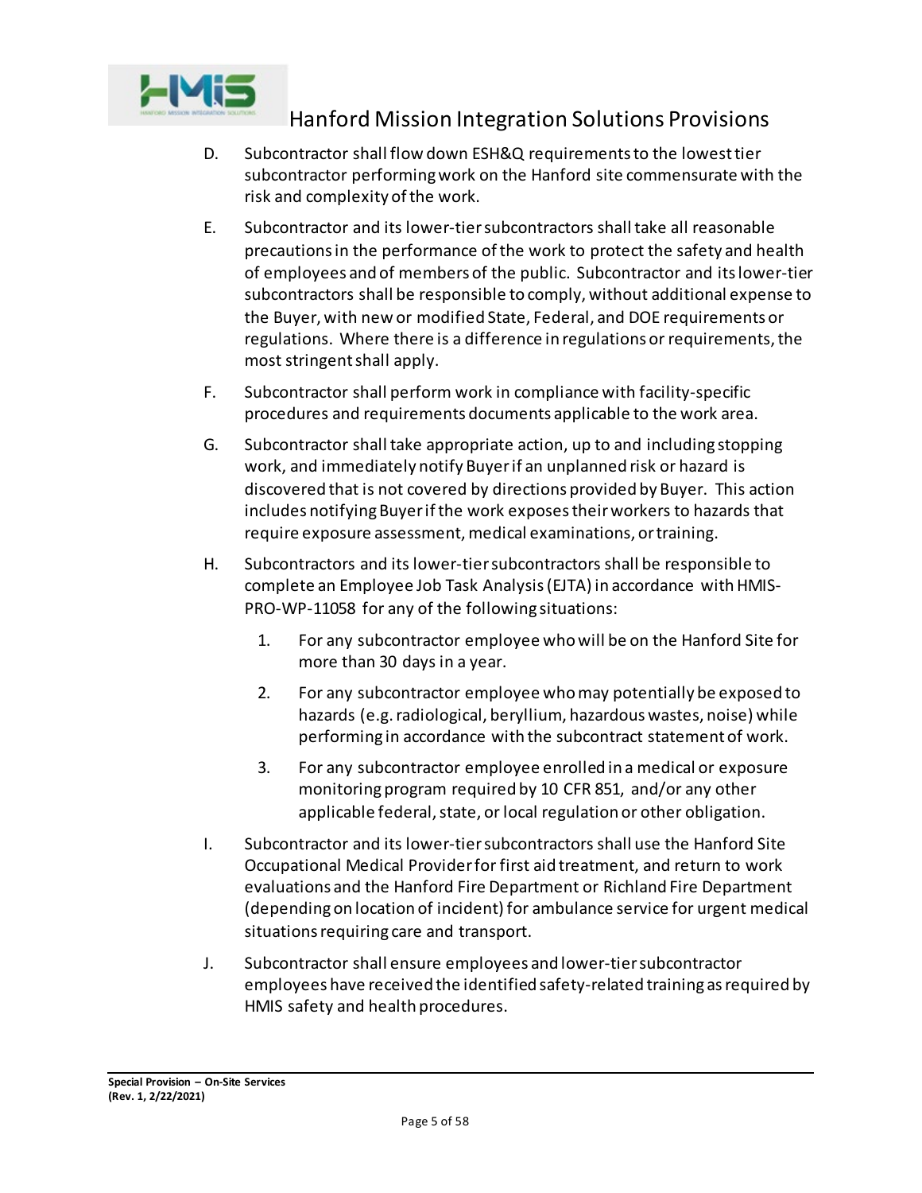

- D. Subcontractor shall flow down ESH&Q requirements to the lowest tier subcontractor performing work on the Hanford site commensurate with the risk and complexity of the work.
- E. Subcontractor and its lower-tier subcontractors shall take all reasonable precautions in the performance of the work to protect the safety and health of employees and of members of the public. Subcontractor and its lower-tier subcontractors shall be responsible to comply, without additional expense to the Buyer, with new or modified State, Federal, and DOE requirements or regulations. Where there is a difference in regulations or requirements, the most stringent shall apply.
- F. Subcontractor shall perform work in compliance with facility-specific procedures and requirements documents applicable to the work area.
- G. Subcontractor shall take appropriate action, up to and including stopping work, and immediately notify Buyer if an unplanned risk or hazard is discovered that is not covered by directions provided by Buyer. This action includes notifying Buyer if the work exposes their workers to hazards that require exposure assessment, medical examinations, or training.
- H. Subcontractors and its lower-tier subcontractors shall be responsible to complete an Employee Job Task Analysis (EJTA) in accordance with HMIS-PRO-WP-11058 for any of the following situations:
	- 1. For any subcontractor employee who will be on the Hanford Site for more than 30 days in a year.
	- 2. For any subcontractor employee who may potentially be exposed to hazards (e.g. radiological, beryllium, hazardous wastes, noise) while performing in accordance with the subcontract statement of work.
	- 3. For any subcontractor employee enrolled in a medical or exposure monitoring program required by 10 CFR 851, and/or any other applicable federal, state, or local regulation or other obligation.
- I. Subcontractor and its lower-tier subcontractors shall use the Hanford Site Occupational Medical Provider for first aid treatment, and return to work evaluations and the Hanford Fire Department or Richland Fire Department (depending on location of incident) for ambulance service for urgent medical situations requiring care and transport.
- J. Subcontractor shall ensure employees and lower-tier subcontractor employees have received the identified safety-related training as required by HMIS safety and health procedures.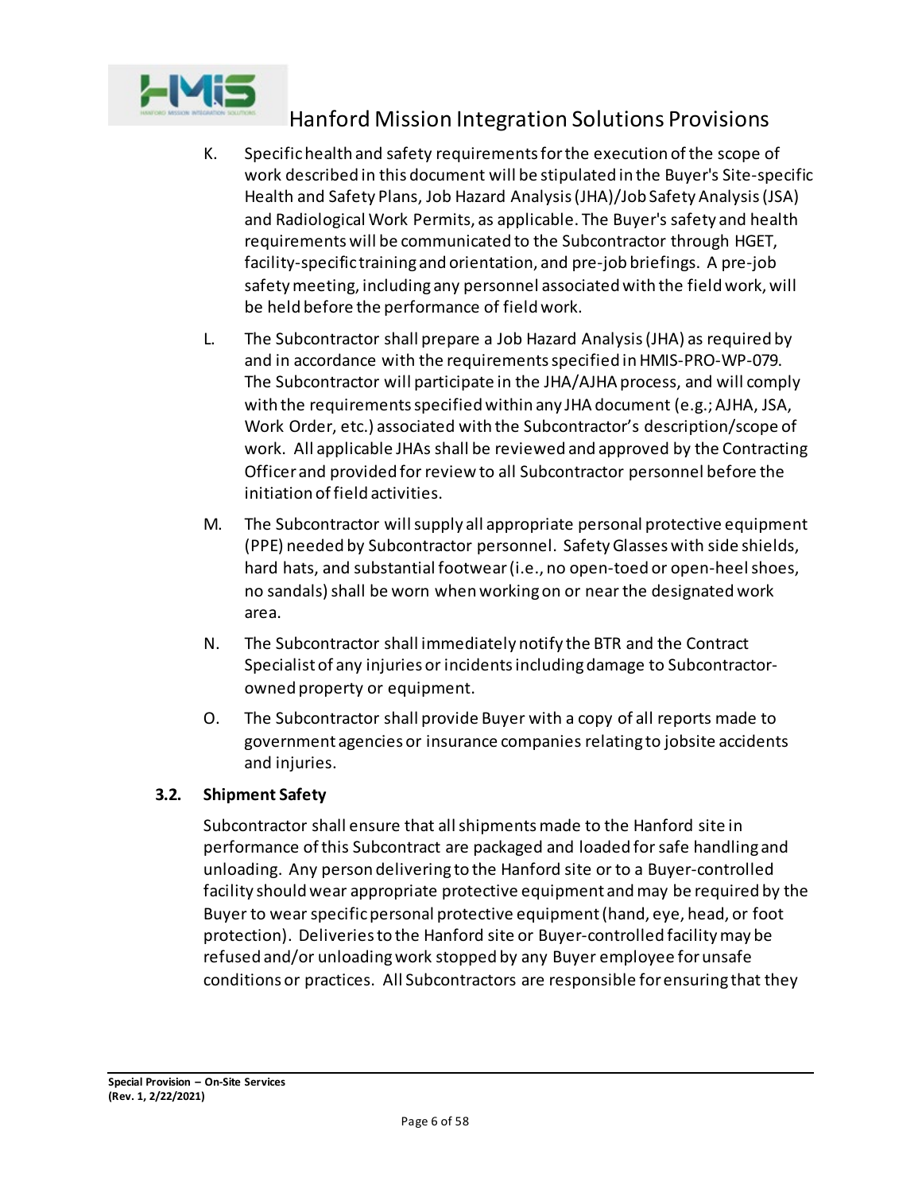

- K. Specific health and safety requirements for the execution of the scope of work described in this document will be stipulated in the Buyer's Site-specific Health and Safety Plans, Job Hazard Analysis (JHA)/Job Safety Analysis (JSA) and Radiological Work Permits, as applicable. The Buyer's safety and health requirements will be communicated to the Subcontractor through HGET, facility-specific training and orientation, and pre-job briefings. A pre-job safety meeting, including any personnel associated with the field work, will be held before the performance of field work.
- L. The Subcontractor shall prepare a Job Hazard Analysis (JHA) as required by and in accordance with the requirements specified in HMIS-PRO-WP-079. The Subcontractor will participate in the JHA/AJHA process, and will comply with the requirements specified within any JHA document (e.g.; AJHA, JSA, Work Order, etc.) associated with the Subcontractor's description/scope of work. All applicable JHAs shall be reviewed and approved by the Contracting Officer and provided for review to all Subcontractor personnel before the initiation of field activities.
- M. The Subcontractor will supply all appropriate personal protective equipment (PPE) needed by Subcontractor personnel. Safety Glasses with side shields, hard hats, and substantial footwear (i.e., no open-toed or open-heel shoes, no sandals) shall be worn when working on or near the designated work area.
- N. The Subcontractor shall immediately notify the BTR and the Contract Specialist of any injuries or incidents including damage to Subcontractorowned property or equipment.
- O. The Subcontractor shall provide Buyer with a copy of all reports made to government agencies or insurance companies relating to jobsite accidents and injuries.

### <span id="page-5-0"></span>**3.2. Shipment Safety**

Subcontractor shall ensure that all shipments made to the Hanford site in performance of this Subcontract are packaged and loaded for safe handling and unloading. Any person delivering to the Hanford site or to a Buyer-controlled facility should wear appropriate protective equipment and may be required by the Buyer to wear specific personal protective equipment (hand, eye, head, or foot protection). Deliveries to the Hanford site or Buyer-controlled facility may be refused and/or unloading work stopped by any Buyer employee for unsafe conditions or practices. All Subcontractors are responsible for ensuring that they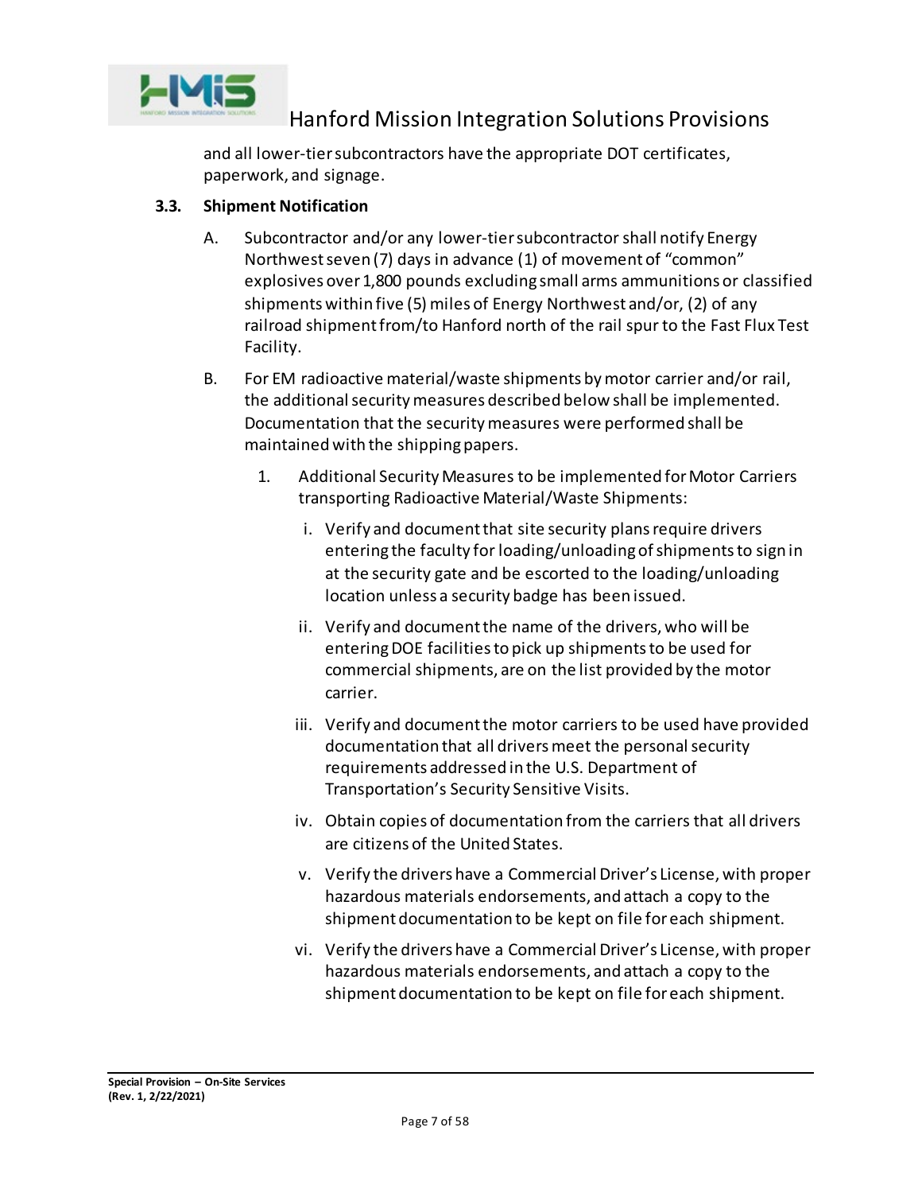

and all lower-tier subcontractors have the appropriate DOT certificates, paperwork, and signage.

### <span id="page-6-0"></span>**3.3. Shipment Notification**

- A. Subcontractor and/or any lower-tier subcontractor shall notify Energy Northwest seven (7) days in advance (1) of movement of "common" explosives over 1,800 pounds excluding small arms ammunitions or classified shipments within five (5) miles of Energy Northwest and/or, (2) of any railroad shipment from/to Hanford north of the rail spur to the Fast Flux Test Facility.
- B. For EM radioactive material/waste shipments by motor carrier and/or rail, the additional security measures described below shall be implemented. Documentation that the security measures were performed shall be maintained with the shipping papers.
	- 1. Additional Security Measures to be implemented for Motor Carriers transporting Radioactive Material/Waste Shipments:
		- i. Verify and document that site security plans require drivers entering the faculty for loading/unloading of shipments to sign in at the security gate and be escorted to the loading/unloading location unless a security badge has been issued.
		- ii. Verify and document the name of the drivers, who will be entering DOE facilities to pick up shipments to be used for commercial shipments, are on the list provided by the motor carrier.
		- iii. Verify and document the motor carriers to be used have provided documentation that all drivers meet the personal security requirements addressed in the U.S. Department of Transportation's Security Sensitive Visits.
		- iv. Obtain copies of documentation from the carriers that all drivers are citizens of the United States.
		- v. Verify the drivers have a Commercial Driver's License, with proper hazardous materials endorsements, and attach a copy to the shipment documentation to be kept on file for each shipment.
		- vi. Verify the drivers have a Commercial Driver's License, with proper hazardous materials endorsements, and attach a copy to the shipment documentation to be kept on file for each shipment.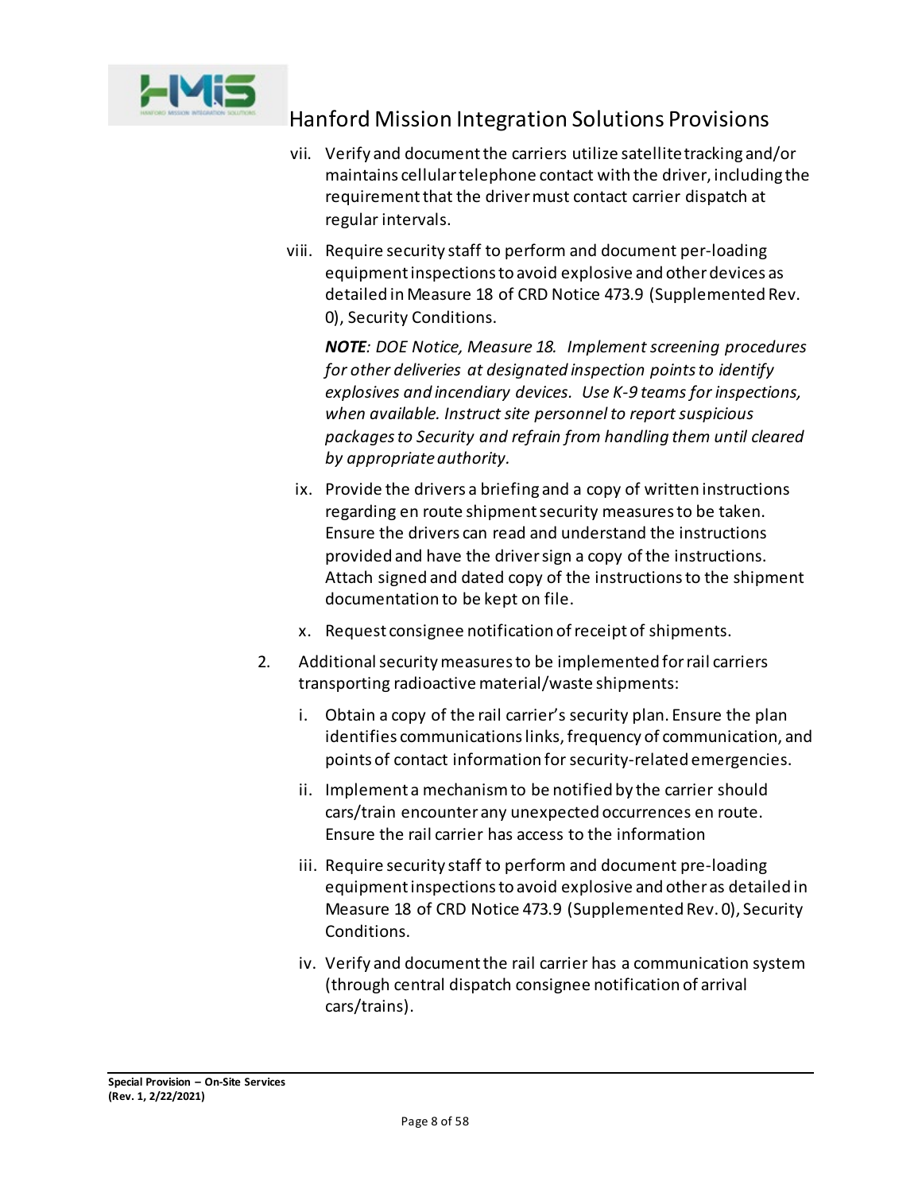

- vii. Verify and document the carriers utilize satellite tracking and/or maintains cellular telephone contact with the driver, including the requirement that the driver must contact carrier dispatch at regular intervals.
- viii. Require security staff to perform and document per-loading equipment inspections to avoid explosive and other devices as detailed in Measure 18 of CRD Notice 473.9 (Supplemented Rev. 0), Security Conditions.

*NOTE: DOE Notice, Measure 18. Implement screening procedures for other deliveries at designated inspection points to identify explosives and incendiary devices. Use K-9 teams for inspections, when available. Instruct site personnel to report suspicious packages to Security and refrain from handling them until cleared by appropriate authority.*

- ix. Provide the drivers a briefing and a copy of written instructions regarding en route shipment security measures to be taken. Ensure the drivers can read and understand the instructions provided and have the driver sign a copy of the instructions. Attach signed and dated copy of the instructions to the shipment documentation to be kept on file.
- x. Request consignee notification of receipt of shipments.
- 2. Additional security measures to be implemented for rail carriers transporting radioactive material/waste shipments:
	- i. Obtain a copy of the rail carrier's security plan. Ensure the plan identifies communications links, frequency of communication, and points of contact information for security-related emergencies.
	- ii. Implement a mechanism to be notified by the carrier should cars/train encounter any unexpected occurrences en route. Ensure the rail carrier has access to the information
	- iii. Require security staff to perform and document pre-loading equipment inspections to avoid explosive and other as detailed in Measure 18 of CRD Notice 473.9 (Supplemented Rev. 0), Security Conditions.
	- iv. Verify and document the rail carrier has a communication system (through central dispatch consignee notification of arrival cars/trains).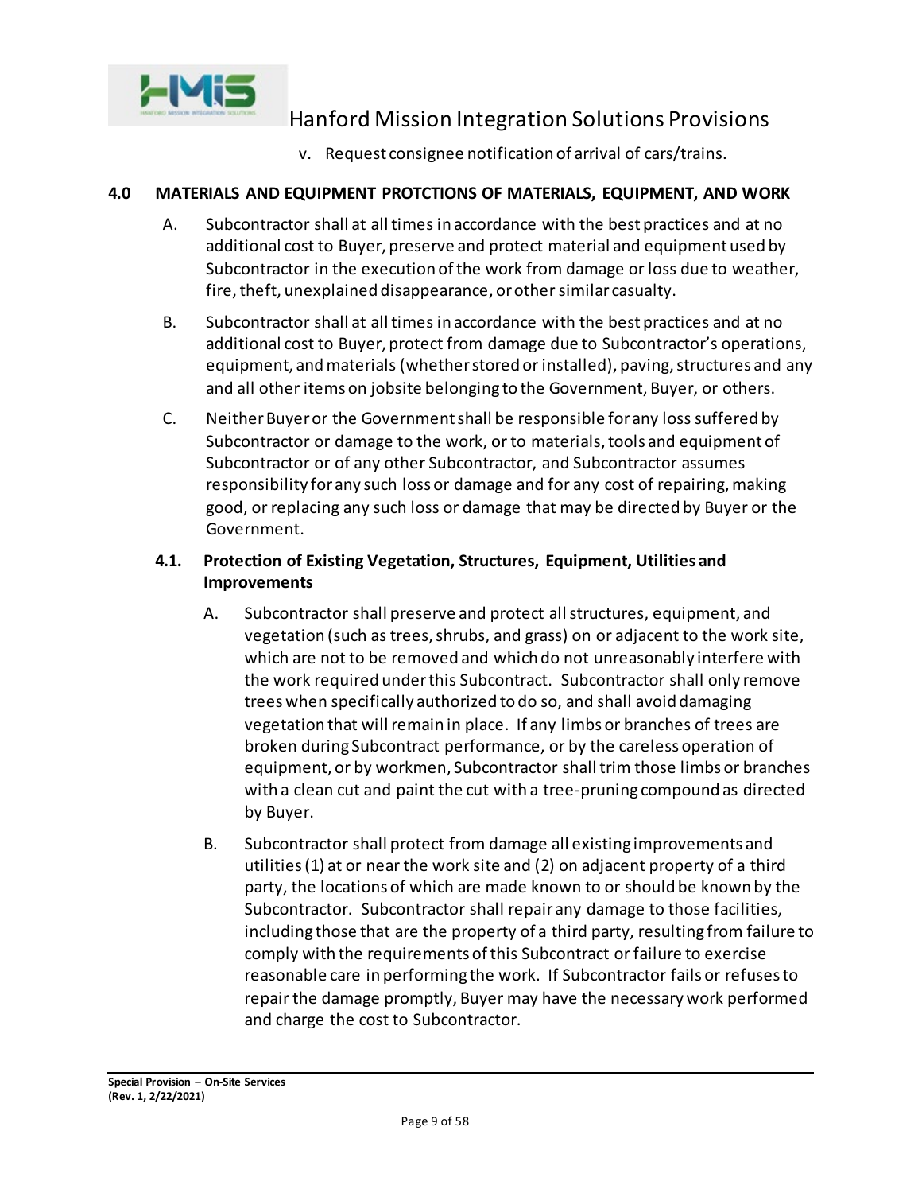

v. Request consignee notification of arrival of cars/trains.

### <span id="page-8-0"></span>**4.0 MATERIALS AND EQUIPMENT PROTCTIONS OF MATERIALS, EQUIPMENT, AND WORK**

- A. Subcontractor shall at all times in accordance with the best practices and at no additional cost to Buyer, preserve and protect material and equipment used by Subcontractor in the execution of the work from damage or loss due to weather, fire, theft, unexplained disappearance, or other similar casualty.
- B. Subcontractor shall at all times in accordance with the best practices and at no additional cost to Buyer, protect from damage due to Subcontractor's operations, equipment, and materials (whether stored or installed), paving, structures and any and all other items on jobsite belonging to the Government, Buyer, or others.
- C. Neither Buyer or the Government shall be responsible for any loss suffered by Subcontractor or damage to the work, or to materials, tools and equipment of Subcontractor or of any other Subcontractor, and Subcontractor assumes responsibility for any such loss or damage and for any cost of repairing, making good, or replacing any such loss or damage that may be directed by Buyer or the Government.

### <span id="page-8-1"></span>**4.1. Protection of Existing Vegetation, Structures, Equipment, Utilities and Improvements**

- A. Subcontractor shall preserve and protect all structures, equipment, and vegetation (such as trees, shrubs, and grass) on or adjacent to the work site, which are not to be removed and which do not unreasonably interfere with the work required under this Subcontract. Subcontractor shall only remove trees when specifically authorized to do so, and shall avoid damaging vegetation that will remain in place. If any limbs or branches of trees are broken during Subcontract performance, or by the careless operation of equipment, or by workmen, Subcontractor shall trim those limbs or branches with a clean cut and paint the cut with a tree-pruning compound as directed by Buyer.
- B. Subcontractor shall protect from damage all existing improvements and utilities (1) at or near the work site and (2) on adjacent property of a third party, the locations of which are made known to or should be known by the Subcontractor. Subcontractor shall repair any damage to those facilities, including those that are the property of a third party, resulting from failure to comply with the requirements of this Subcontract or failure to exercise reasonable care in performing the work. If Subcontractor fails or refuses to repair the damage promptly, Buyer may have the necessary work performed and charge the cost to Subcontractor.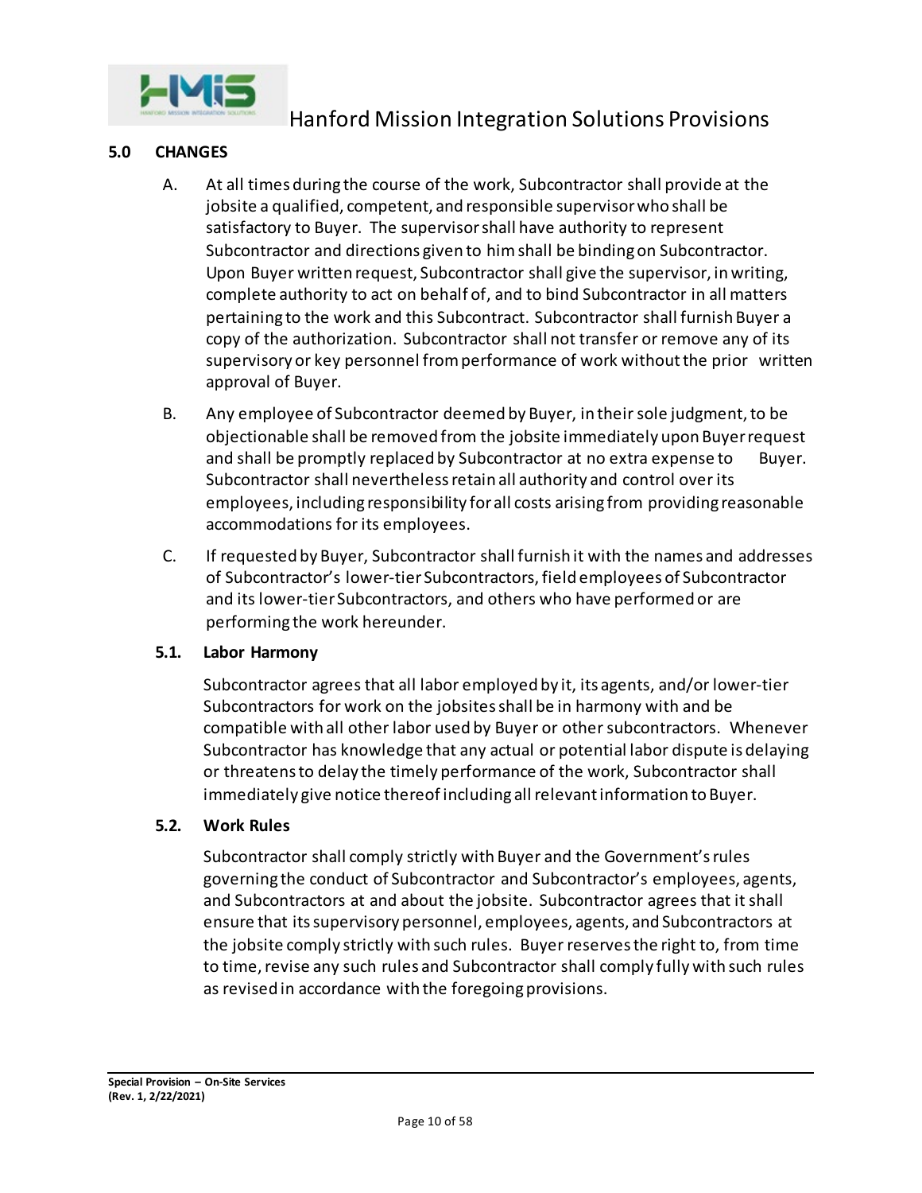

#### <span id="page-9-0"></span>**5.0 CHANGES**

- A. At all times during the course of the work, Subcontractor shall provide at the jobsite a qualified, competent, and responsible supervisor who shall be satisfactory to Buyer. The supervisor shall have authority to represent Subcontractor and directions given to himshall be binding on Subcontractor. Upon Buyer written request, Subcontractor shall give the supervisor, in writing, complete authority to act on behalf of, and to bind Subcontractor in all matters pertaining to the work and this Subcontract. Subcontractor shall furnish Buyer a copy of the authorization. Subcontractor shall not transfer or remove any of its supervisory or key personnel from performance of work without the prior written approval of Buyer.
- B. Any employee of Subcontractor deemed by Buyer, in their sole judgment, to be objectionable shall be removed from the jobsite immediately upon Buyer request and shall be promptly replaced by Subcontractor at no extra expense to Buyer. Subcontractor shall nevertheless retain all authority and control over its employees, including responsibility for all costs arising from providing reasonable accommodations for its employees.
- C. If requested by Buyer, Subcontractor shall furnish it with the names and addresses of Subcontractor's lower-tier Subcontractors, field employees of Subcontractor and its lower-tier Subcontractors, and others who have performed or are performing the work hereunder.

#### <span id="page-9-1"></span>**5.1. Labor Harmony**

Subcontractor agrees that all labor employed by it, its agents, and/or lower-tier Subcontractors for work on the jobsites shall be in harmony with and be compatible with all other labor used by Buyer or other subcontractors. Whenever Subcontractor has knowledge that any actual or potential labor dispute is delaying or threatens to delay the timely performance of the work, Subcontractor shall immediately give notice thereof including all relevant information to Buyer.

#### <span id="page-9-2"></span>**5.2. Work Rules**

Subcontractor shall comply strictly with Buyer and the Government's rules governing the conduct of Subcontractor and Subcontractor's employees, agents, and Subcontractors at and about the jobsite. Subcontractor agrees that it shall ensure that its supervisory personnel, employees, agents, and Subcontractors at the jobsite comply strictly with such rules. Buyer reserves the right to, from time to time, revise any such rules and Subcontractor shall comply fully with such rules as revised in accordance with the foregoing provisions.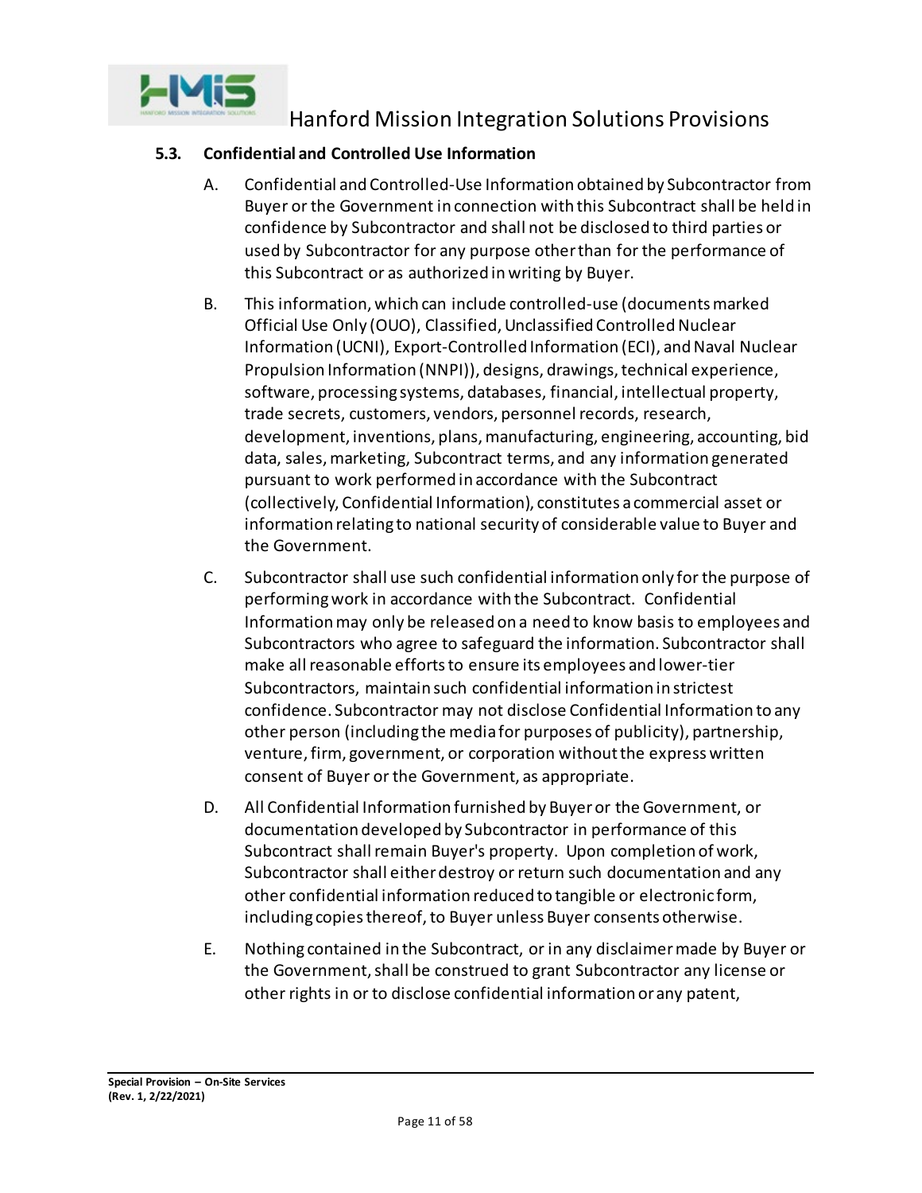

### <span id="page-10-0"></span>**5.3. Confidential and Controlled Use Information**

- A. Confidential and Controlled-Use Information obtained by Subcontractor from Buyer or the Government in connection with this Subcontract shall be held in confidence by Subcontractor and shall not be disclosed to third parties or used by Subcontractor for any purpose other than for the performance of this Subcontract or as authorized in writing by Buyer.
- B. This information, which can include controlled-use (documents marked Official Use Only (OUO), Classified, Unclassified Controlled Nuclear Information (UCNI), Export-Controlled Information (ECI), and Naval Nuclear Propulsion Information (NNPI)), designs, drawings, technical experience, software, processing systems, databases, financial, intellectual property, trade secrets, customers, vendors, personnel records, research, development, inventions, plans, manufacturing, engineering, accounting, bid data, sales, marketing, Subcontract terms, and any information generated pursuant to work performed in accordance with the Subcontract (collectively, Confidential Information), constitutes a commercial asset or information relating to national security of considerable value to Buyer and the Government.
- C. Subcontractor shall use such confidential information only for the purpose of performing work in accordance with the Subcontract. Confidential Information may only be released on a need to know basis to employees and Subcontractors who agree to safeguard the information. Subcontractor shall make all reasonable efforts to ensure its employees and lower-tier Subcontractors, maintain such confidential information in strictest confidence. Subcontractor may not disclose Confidential Information to any other person (including the media for purposes of publicity), partnership, venture, firm, government, or corporation without the express written consent of Buyer or the Government, as appropriate.
- D. All Confidential Information furnished by Buyer or the Government, or documentation developed by Subcontractor in performance of this Subcontract shall remain Buyer's property. Upon completion of work, Subcontractor shall either destroy or return such documentation and any other confidential information reduced to tangible or electronic form, including copies thereof, to Buyer unless Buyer consents otherwise.
- E. Nothing contained in the Subcontract, or in any disclaimer made by Buyer or the Government, shall be construed to grant Subcontractor any license or other rights in or to disclose confidential information or any patent,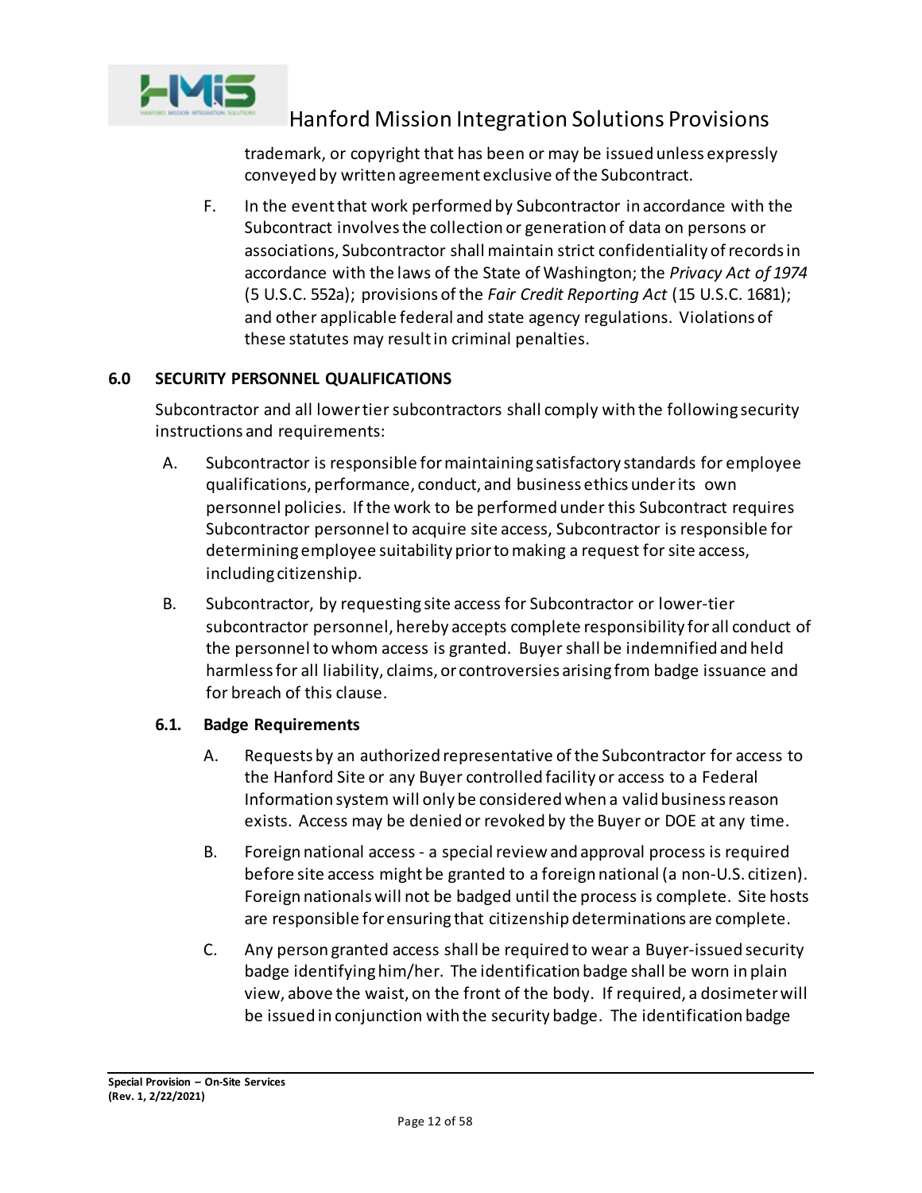

trademark, or copyright that has been or may be issued unless expressly conveyed by written agreement exclusive of the Subcontract.

F. In the event that work performed by Subcontractor in accordance with the Subcontract involves the collection or generation of data on persons or associations, Subcontractor shall maintain strict confidentiality of records in accordance with the laws of the State of Washington; the *Privacy Act of 1974*  (5 U.S.C. 552a); provisions of the *Fair Credit Reporting Act* (15 U.S.C. 1681); and other applicable federal and state agency regulations. Violations of these statutes may result in criminal penalties.

### <span id="page-11-0"></span>**6.0 SECURITY PERSONNEL QUALIFICATIONS**

Subcontractor and all lower tier subcontractors shall comply with the following security instructions and requirements:

- A. Subcontractor is responsible for maintaining satisfactory standards for employee qualifications, performance, conduct, and business ethics under its own personnel policies. If the work to be performed under this Subcontract requires Subcontractor personnel to acquire site access, Subcontractor is responsible for determining employee suitability prior to making a request for site access, including citizenship.
- B. Subcontractor, by requesting site access for Subcontractor or lower-tier subcontractor personnel, hereby accepts complete responsibility for all conduct of the personnel to whom access is granted. Buyer shall be indemnified and held harmless for all liability, claims, or controversies arising from badge issuance and for breach of this clause.

#### <span id="page-11-1"></span>**6.1. Badge Requirements**

- A. Requests by an authorized representative of the Subcontractor for access to the Hanford Site or any Buyer controlled facility or access to a Federal Information system will only be considered when a valid business reason exists. Access may be denied or revoked by the Buyer or DOE at any time.
- B. Foreign national access a special review and approval process is required before site access might be granted to a foreign national (a non-U.S. citizen). Foreign nationals will not be badged until the process is complete. Site hosts are responsible forensuring that citizenship determinations are complete.
- C. Any person granted access shall be required to wear a Buyer-issued security badge identifying him/her. The identification badge shall be worn in plain view, above the waist, on the front of the body. If required, a dosimeter will be issued in conjunction with the security badge. The identification badge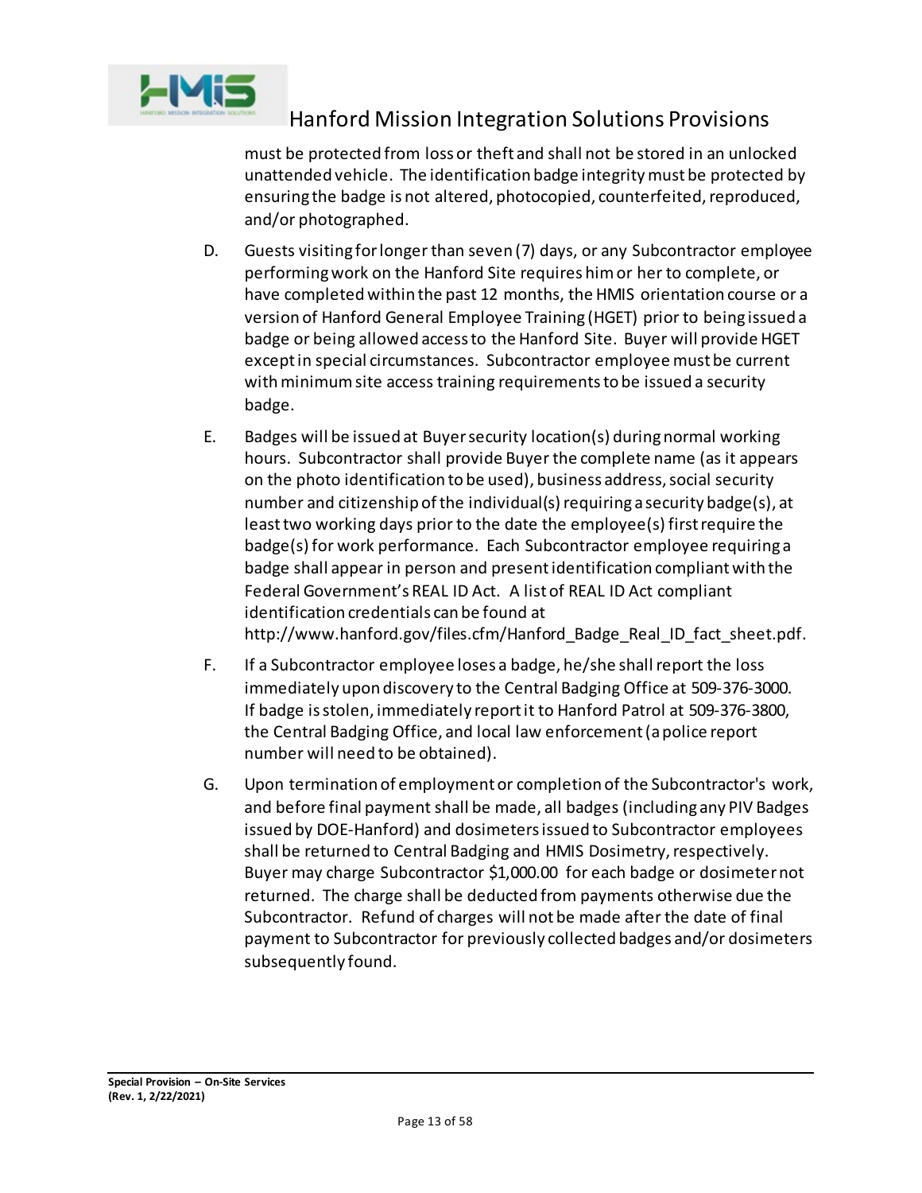

must be protected from loss or theft and shall not be stored in an unlocked unattended vehicle. The identification badge integrity must be protected by ensuring the badge is not altered, photocopied, counterfeited, reproduced, and/or photographed.

- D. Guests visiting for longer than seven (7) days, or any Subcontractor employee performing work on the Hanford Site requires him or her to complete, or have completed within the past 12 months, the HMIS orientation course or a version of Hanford General Employee Training (HGET) prior to being issued a badge or being allowed access to the Hanford Site. Buyer will provide HGET except in special circumstances. Subcontractor employee must be current with minimum site access training requirements to be issued a security badge.
- E. Badges will be issued at Buyer security location(s) during normal working hours. Subcontractor shall provide Buyer the complete name (as it appears on the photo identification to be used), business address, social security number and citizenship of the individual(s) requiring a security badge(s), at least two working days prior to the date the employee(s) first require the badge(s) for work performance. Each Subcontractor employee requiring a badge shall appear in person and present identification compliant with the Federal Government's REAL ID Act. A list of REAL ID Act compliant identification credentials can be found at http://www.hanford.gov/files.cfm/Hanford Badge Real ID fact sheet.pdf.
- F. If a Subcontractor employee loses a badge, he/she shall report the loss immediately upon discovery to the Central Badging Office at 509-376-3000. If badge is stolen, immediately report it to Hanford Patrol at 509-376-3800, the Central Badging Office, and local law enforcement (a police report number will need to be obtained).
- G. Upon termination of employment or completion of the Subcontractor's work, and before final payment shall be made, all badges (including any PIV Badges issued by DOE-Hanford) and dosimeters issued to Subcontractor employees shall be returned to Central Badging and HMIS Dosimetry, respectively. Buyer may charge Subcontractor \$1,000.00 for each badge or dosimeter not returned. The charge shall be deducted from payments otherwise due the Subcontractor. Refund of charges will not be made after the date of final payment to Subcontractor for previously collected badges and/or dosimeters subsequently found.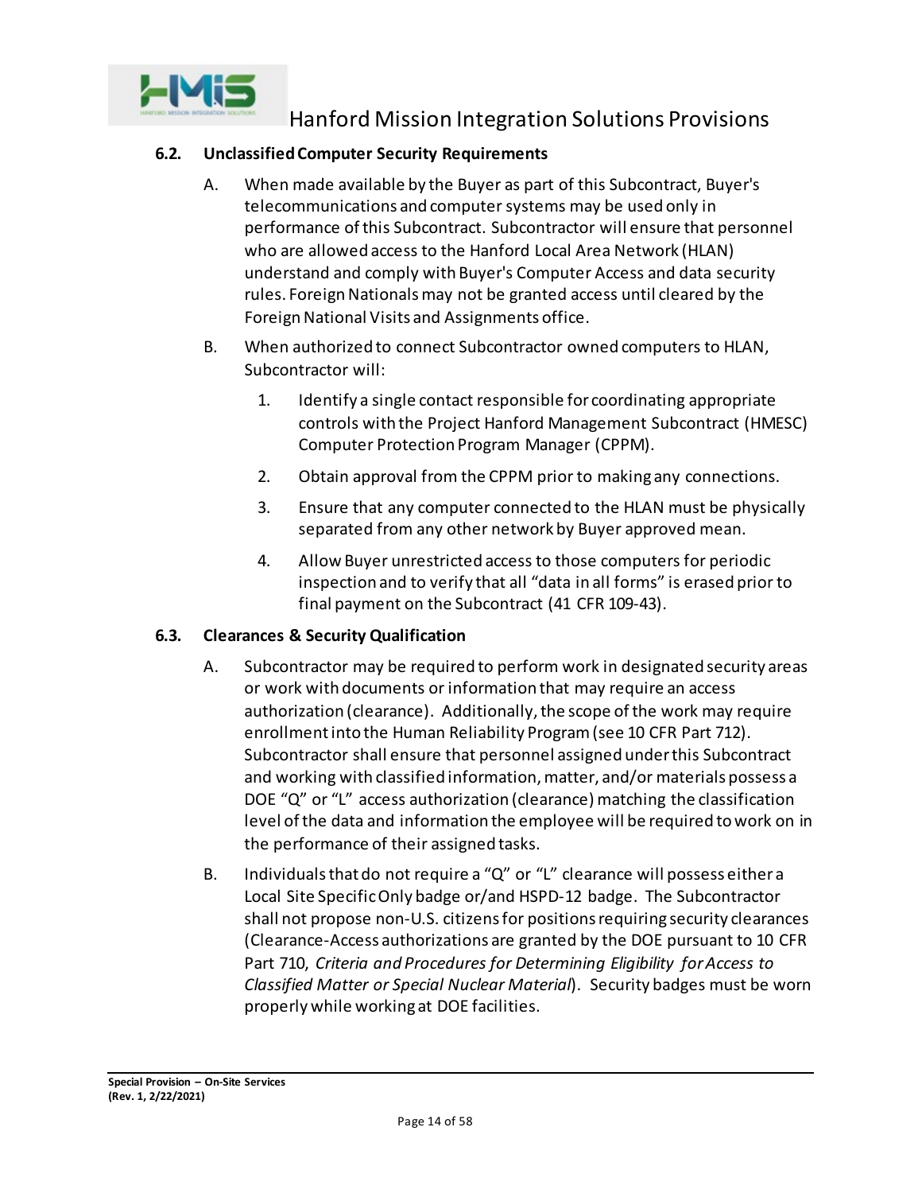

### <span id="page-13-0"></span>**6.2. Unclassified Computer Security Requirements**

- A. When made available by the Buyer as part of this Subcontract, Buyer's telecommunications and computer systems may be used only in performance of this Subcontract. Subcontractor will ensure that personnel who are allowed access to the Hanford Local Area Network (HLAN) understand and comply with Buyer's Computer Access and data security rules. Foreign Nationals may not be granted access until cleared by the Foreign National Visits and Assignments office.
- B. When authorized to connect Subcontractor owned computers to HLAN, Subcontractor will:
	- 1. Identify a single contact responsible for coordinating appropriate controls with the Project Hanford Management Subcontract (HMESC) Computer Protection Program Manager (CPPM).
	- 2. Obtain approval from the CPPM prior to making any connections.
	- 3. Ensure that any computer connected to the HLAN must be physically separated from any other network by Buyer approved mean.
	- 4. Allow Buyer unrestricted access to those computers for periodic inspection and to verify that all "data in all forms" is erased prior to final payment on the Subcontract (41 CFR 109-43).

#### <span id="page-13-1"></span>**6.3. Clearances & Security Qualification**

- A. Subcontractor may be required to perform work in designated security areas or work with documents or information that may require an access authorization (clearance). Additionally, the scope of the work may require enrollment into the Human Reliability Program (see 10 CFR Part 712). Subcontractor shall ensure that personnel assigned under this Subcontract and working with classified information, matter, and/or materials possess a DOE "Q" or "L" access authorization (clearance) matching the classification level of the data and information the employee will be required to work on in the performance of their assigned tasks.
- B. Individuals that do not require a "Q" or "L" clearance will possess either a Local Site Specific Only badge or/and HSPD-12 badge. The Subcontractor shall not propose non-U.S. citizens for positions requiring security clearances (Clearance-Access authorizations are granted by the DOE pursuant to 10 CFR Part 710, *Criteria and Procedures for Determining Eligibility for Access to Classified Matter or Special Nuclear Material*). Security badges must be worn properly while working at DOE facilities.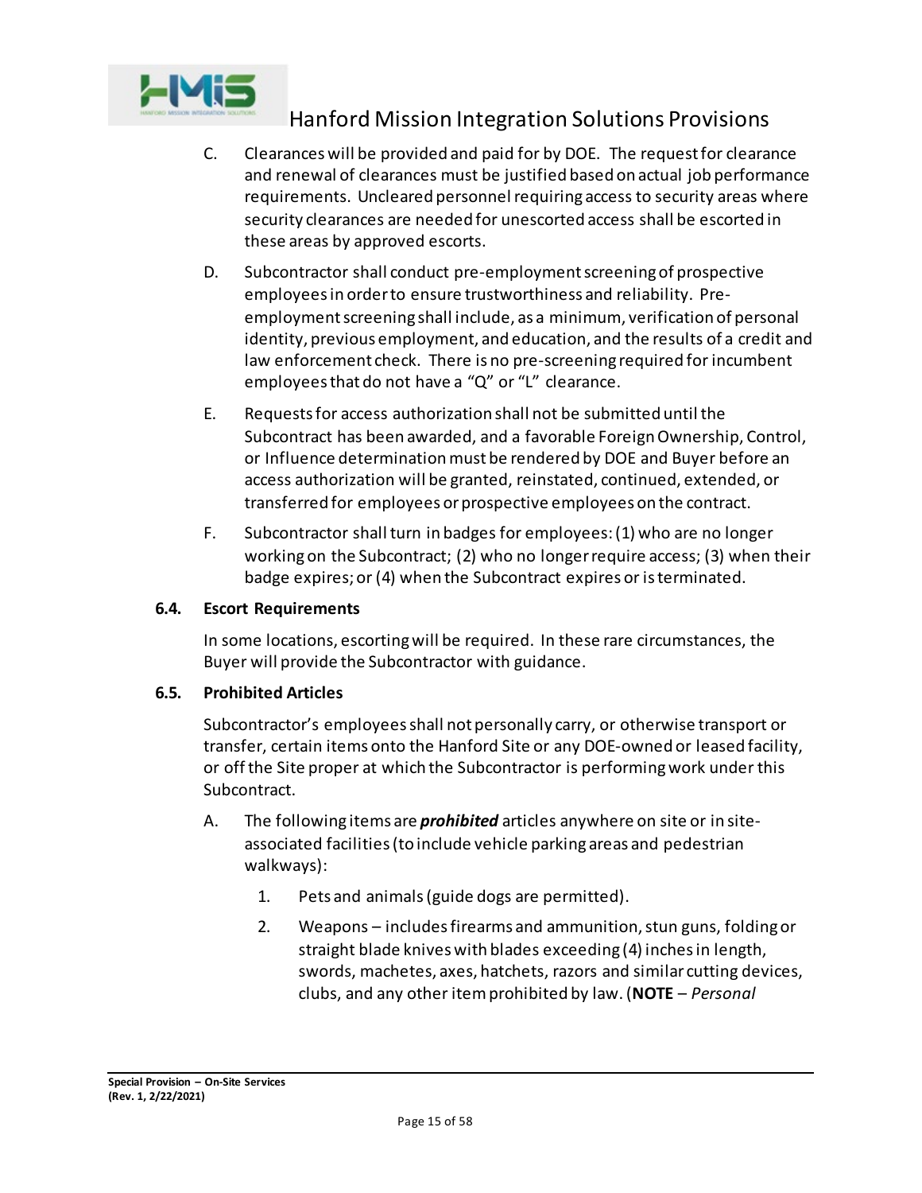

- C. Clearances will be provided and paid for by DOE. The request for clearance and renewal of clearances must be justified based on actual job performance requirements. Uncleared personnel requiring access to security areas where security clearances are needed for unescorted access shall be escorted in these areas by approved escorts.
- D. Subcontractor shall conduct pre-employment screening of prospective employees in order to ensure trustworthiness and reliability. Preemployment screening shall include, as a minimum, verification of personal identity, previous employment, and education, and the results of a credit and law enforcement check. There is no pre-screening required for incumbent employees that do not have a "Q" or "L" clearance.
- E. Requests for access authorization shall not be submitted until the Subcontract has been awarded, and a favorable Foreign Ownership, Control, or Influence determination must be rendered by DOE and Buyer before an access authorization will be granted, reinstated, continued, extended, or transferred for employees or prospective employees on the contract.
- F. Subcontractor shall turn in badges for employees: (1) who are no longer working on the Subcontract; (2) who no longer require access; (3) when their badge expires; or (4) when the Subcontract expires or is terminated.

### <span id="page-14-0"></span>**6.4. Escort Requirements**

In some locations, escorting will be required. In these rare circumstances, the Buyer will provide the Subcontractor with guidance.

### <span id="page-14-1"></span>**6.5. Prohibited Articles**

Subcontractor's employees shall not personally carry, or otherwise transport or transfer, certain items onto the Hanford Site or any DOE-owned or leased facility, or off the Site proper at which the Subcontractor is performing work under this Subcontract.

- A. The following items are *prohibited* articles anywhere on site or in siteassociated facilities (to include vehicle parking areas and pedestrian walkways):
	- 1. Pets and animals (guide dogs are permitted).
	- 2. Weapons includes firearms and ammunition, stun guns, folding or straight blade knives with blades exceeding (4) inches in length, swords, machetes, axes, hatchets, razors and similar cutting devices, clubs, and any other item prohibited by law. (**NOTE** – *Personal*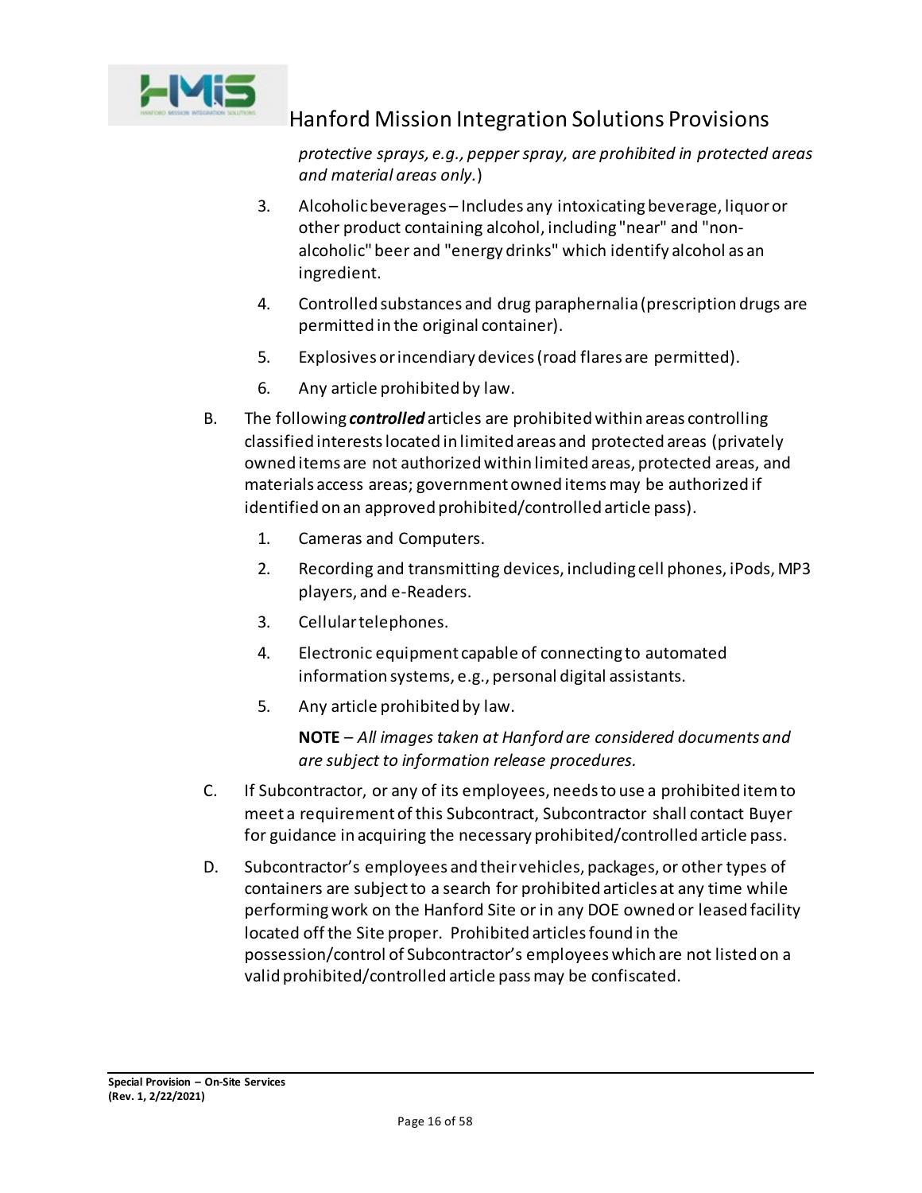

*protective sprays, e.g., pepper spray, are prohibited in protected areas and material areas only.*)

- 3. Alcoholic beverages Includes any intoxicating beverage, liquor or other product containing alcohol, including "near" and "nonalcoholic" beer and "energy drinks" which identify alcohol as an ingredient.
- 4. Controlled substances and drug paraphernalia (prescription drugs are permitted in the original container).
- 5. Explosives or incendiary devices (road flares are permitted).
- 6. Any article prohibited by law.
- B. The following *controlled* articles are prohibited within areas controlling classified interests located in limited areas and protected areas (privately owned items are not authorized within limited areas, protected areas, and materials access areas; government owned items may be authorized if identified on an approved prohibited/controlled article pass).
	- 1. Cameras and Computers.
	- 2. Recording and transmitting devices, including cell phones, iPods, MP3 players, and e-Readers.
	- 3. Cellular telephones.
	- 4. Electronic equipment capable of connecting to automated information systems, e.g., personal digital assistants.
	- 5. Any article prohibited by law.

**NOTE** – *All images taken at Hanford are considered documents and are subject to information release procedures.*

- C. If Subcontractor, or any of its employees, needs to use a prohibited item to meet a requirement of this Subcontract, Subcontractor shall contact Buyer for guidance in acquiring the necessary prohibited/controlled article pass.
- D. Subcontractor's employees and their vehicles, packages, or other types of containers are subject to a search for prohibited articles at any time while performing work on the Hanford Site or in any DOE owned or leased facility located off the Site proper. Prohibited articles found in the possession/control of Subcontractor's employees which are not listed on a valid prohibited/controlled article pass may be confiscated.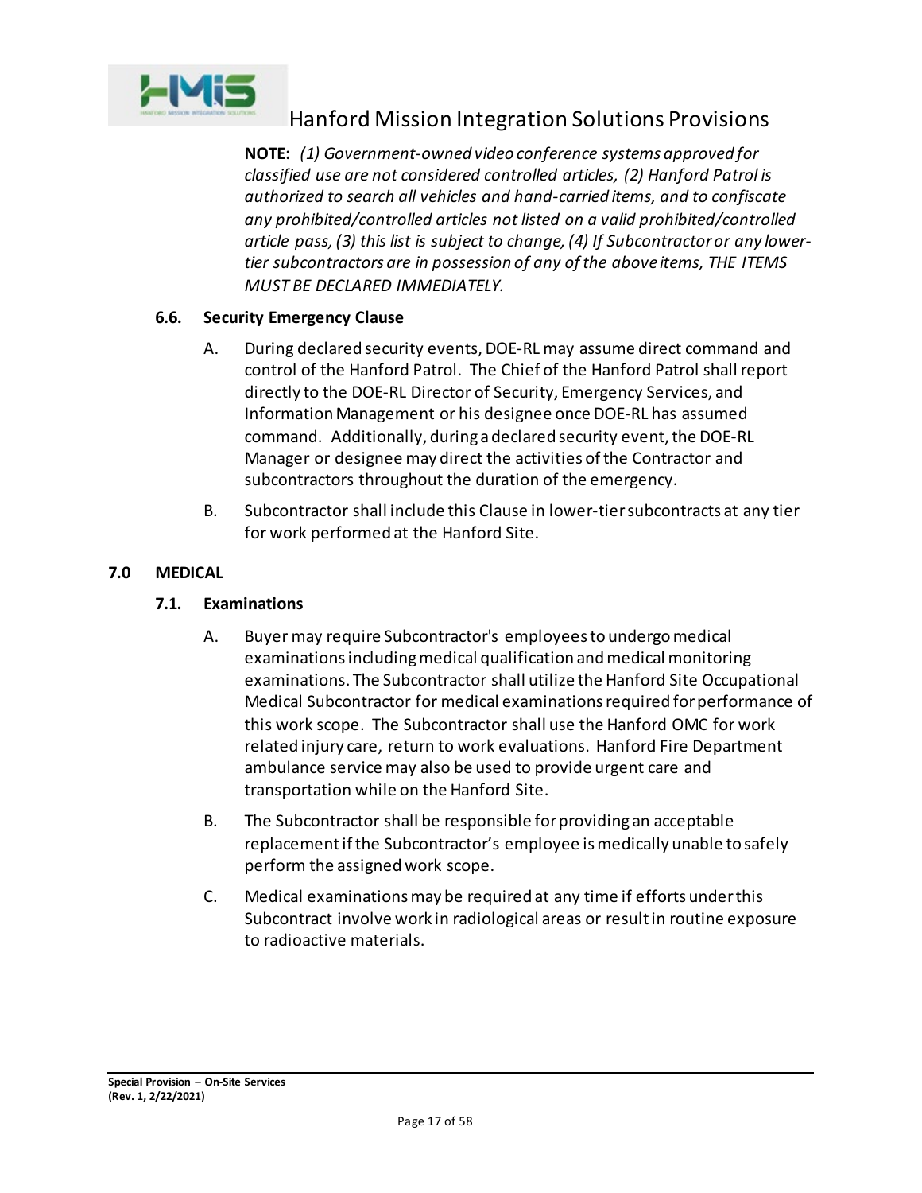

**NOTE:** *(1) Government-owned video conference systems approved for classified use are not considered controlled articles, (2) Hanford Patrol is authorized to search all vehicles and hand-carried items, and to confiscate any prohibited/controlled articles not listed on a valid prohibited/controlled article pass, (3) this list is subject to change, (4) If Subcontractor or any lowertier subcontractors are in possession of any of the above items, THE ITEMS MUST BE DECLARED IMMEDIATELY.*

### <span id="page-16-0"></span>**6.6. Security Emergency Clause**

- A. During declared security events, DOE-RL may assume direct command and control of the Hanford Patrol. The Chief of the Hanford Patrol shall report directly to the DOE-RL Director of Security, Emergency Services, and Information Management or his designee once DOE-RL has assumed command. Additionally, during a declared security event, the DOE-RL Manager or designee may direct the activities of the Contractor and subcontractors throughout the duration of the emergency.
- B. Subcontractor shall include this Clause in lower-tier subcontracts at any tier for work performed at the Hanford Site.

### <span id="page-16-2"></span><span id="page-16-1"></span>**7.0 MEDICAL**

### **7.1. Examinations**

- A. Buyer may require Subcontractor's employees to undergo medical examinations including medical qualification and medical monitoring examinations. The Subcontractor shall utilize the Hanford Site Occupational Medical Subcontractor for medical examinations required for performance of this work scope. The Subcontractor shall use the Hanford OMC for work related injury care, return to work evaluations. Hanford Fire Department ambulance service may also be used to provide urgent care and transportation while on the Hanford Site.
- B. The Subcontractor shall be responsible for providing an acceptable replacement if the Subcontractor's employee is medically unable to safely perform the assigned work scope.
- C. Medical examinations may be required at any time if efforts under this Subcontract involve work in radiological areas or result in routine exposure to radioactive materials.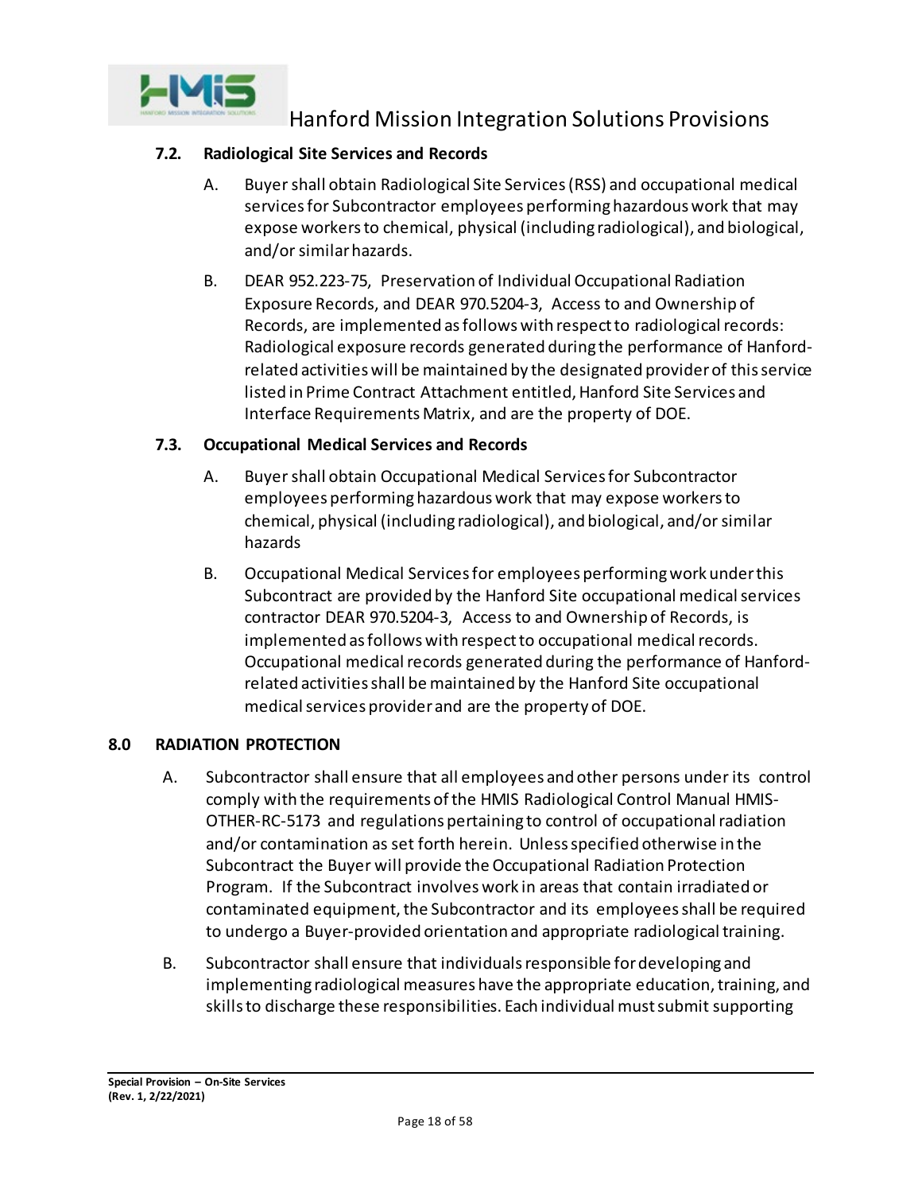

### <span id="page-17-0"></span>**7.2. Radiological Site Services and Records**

- A. Buyer shall obtain Radiological Site Services (RSS) and occupational medical services for Subcontractor employees performing hazardous work that may expose workers to chemical, physical (including radiological), and biological, and/or similar hazards.
- B. DEAR 952.223-75, Preservation of Individual Occupational Radiation Exposure Records, and DEAR 970.5204-3, Access to and Ownership of Records, are implemented as follows with respect to radiological records: Radiological exposure records generated during the performance of Hanfordrelated activities will be maintained by the designated provider of this service listed in Prime Contract Attachment entitled, Hanford Site Services and Interface Requirements Matrix, and are the property of DOE.

### <span id="page-17-1"></span>**7.3. Occupational Medical Services and Records**

- A. Buyer shall obtain Occupational Medical Services for Subcontractor employees performing hazardous work that may expose workers to chemical, physical (including radiological), and biological, and/or similar hazards
- B. Occupational Medical Services for employees performing work under this Subcontract are provided by the Hanford Site occupational medical services contractor DEAR 970.5204-3, Access to and Ownership of Records, is implemented as follows with respect to occupational medical records. Occupational medical records generated during the performance of Hanfordrelated activities shall be maintained by the Hanford Site occupational medical services provider and are the property of DOE.

#### <span id="page-17-2"></span>**8.0 RADIATION PROTECTION**

- A. Subcontractor shall ensure that all employees and other persons under its control comply with the requirements of the HMIS Radiological Control Manual HMIS-OTHER-RC-5173 and regulations pertaining to control of occupational radiation and/or contamination as set forth herein. Unless specified otherwise in the Subcontract the Buyer will provide the Occupational Radiation Protection Program. If the Subcontract involves work in areas that contain irradiated or contaminated equipment, the Subcontractor and its employees shall be required to undergo a Buyer-provided orientation and appropriate radiological training.
- B. Subcontractor shall ensure that individuals responsible for developing and implementing radiological measures have the appropriate education, training, and skills to discharge these responsibilities. Each individual must submit supporting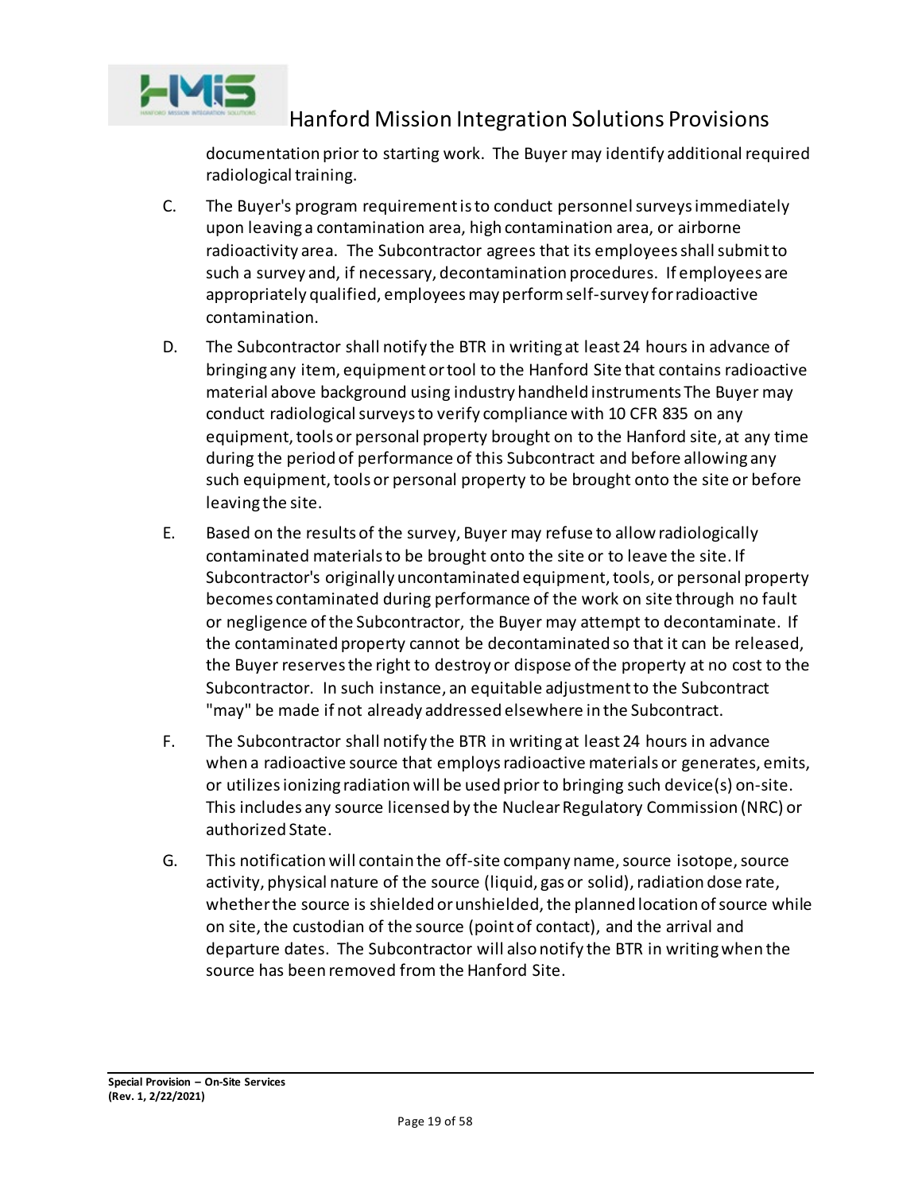

documentation prior to starting work. The Buyer may identify additional required radiological training.

- C. The Buyer's program requirement is to conduct personnel surveys immediately upon leaving a contamination area, high contamination area, or airborne radioactivity area. The Subcontractor agrees that its employees shall submit to such a survey and, if necessary, decontamination procedures. If employees are appropriately qualified, employees may perform self-survey for radioactive contamination.
- D. The Subcontractor shall notify the BTR in writing at least 24 hours in advance of bringing any item, equipment or tool to the Hanford Site that contains radioactive material above background using industry handheld instruments The Buyer may conduct radiological surveys to verify compliance with 10 CFR 835 on any equipment, tools or personal property brought on to the Hanford site, at any time during the period of performance of this Subcontract and before allowing any such equipment, tools or personal property to be brought onto the site or before leaving the site.
- E. Based on the results of the survey, Buyer may refuse to allow radiologically contaminated materials to be brought onto the site or to leave the site. If Subcontractor's originally uncontaminated equipment, tools, or personal property becomes contaminated during performance of the work on site through no fault or negligence of the Subcontractor, the Buyer may attempt to decontaminate. If the contaminated property cannot be decontaminated so that it can be released, the Buyer reserves the right to destroy or dispose of the property at no cost to the Subcontractor. In such instance, an equitable adjustment to the Subcontract "may" be made if not already addressed elsewhere in the Subcontract.
- F. The Subcontractor shall notify the BTR in writing at least 24 hours in advance when a radioactive source that employs radioactive materials or generates, emits, or utilizes ionizing radiation will be used prior to bringing such device(s) on-site. This includes any source licensed by the Nuclear Regulatory Commission (NRC) or authorized State.
- G. This notification will contain the off-site company name, source isotope, source activity, physical nature of the source (liquid, gas or solid), radiation dose rate, whether the source is shielded or unshielded, the planned location of source while on site, the custodian of the source (point of contact), and the arrival and departure dates. The Subcontractor will also notify the BTR in writing when the source has been removed from the Hanford Site.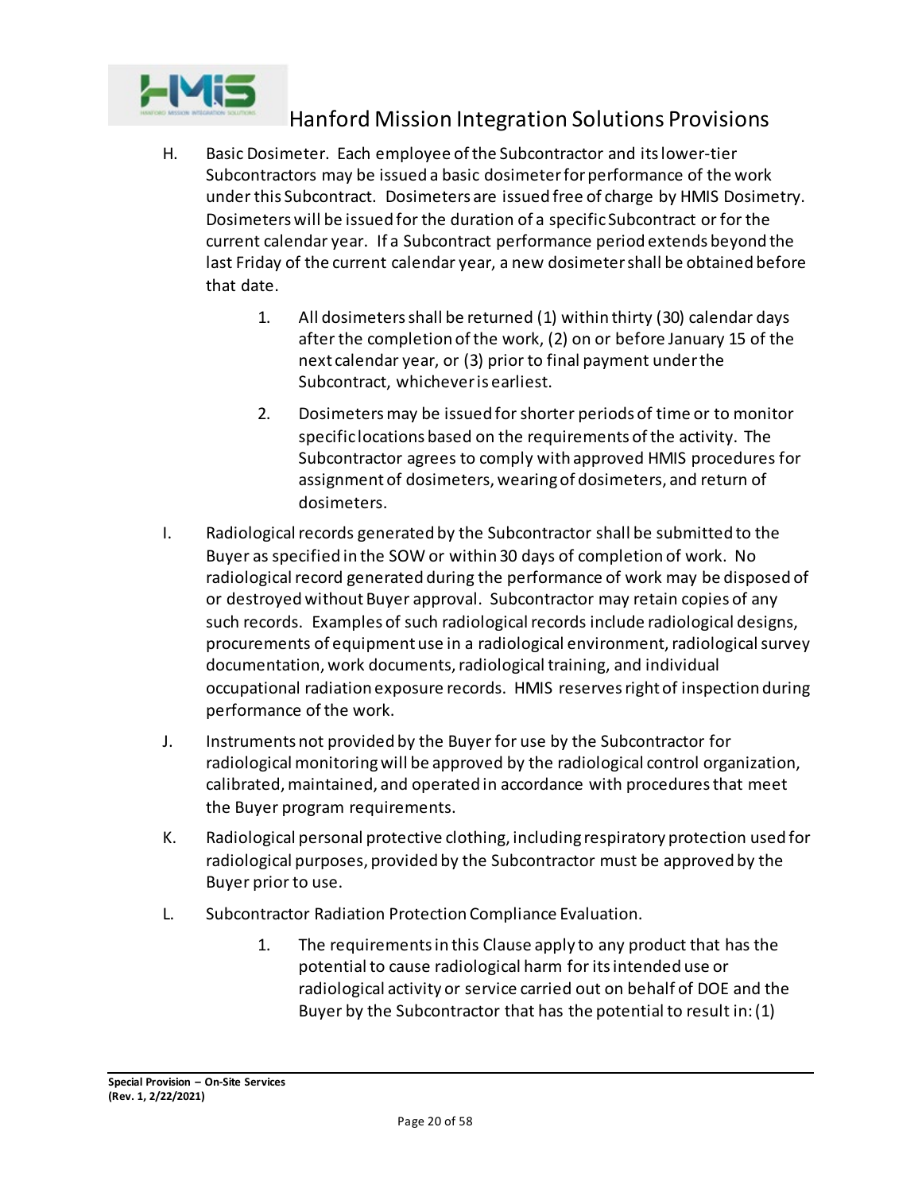

- H. Basic Dosimeter. Each employee of the Subcontractor and its lower-tier Subcontractors may be issued a basic dosimeter for performance of the work under this Subcontract. Dosimeters are issued free of charge by HMIS Dosimetry. Dosimeters will be issued for the duration of a specific Subcontract or for the current calendar year. If a Subcontract performance period extends beyond the last Friday of the current calendar year, a new dosimeter shall be obtained before that date.
	- 1. All dosimeters shall be returned (1) within thirty (30) calendar days after the completion of the work, (2) on or before January 15 of the next calendar year, or (3) prior to final payment under the Subcontract, whichever is earliest.
	- 2. Dosimeters may be issued for shorter periods of time or to monitor specific locations based on the requirements of the activity. The Subcontractor agrees to comply with approved HMIS procedures for assignment of dosimeters, wearing of dosimeters, and return of dosimeters.
- I. Radiological records generated by the Subcontractor shall be submitted to the Buyer as specified in the SOW or within 30 days of completion of work. No radiological record generated during the performance of work may be disposed of or destroyed without Buyer approval. Subcontractor may retain copies of any such records. Examples of such radiological records include radiological designs, procurements of equipment use in a radiological environment, radiological survey documentation, work documents, radiological training, and individual occupational radiation exposure records. HMIS reserves right of inspection during performance of the work.
- J. Instruments not provided by the Buyer for use by the Subcontractor for radiological monitoring will be approved by the radiological control organization, calibrated, maintained, and operated in accordance with procedures that meet the Buyer program requirements.
- K. Radiological personal protective clothing, including respiratory protection used for radiological purposes, provided by the Subcontractor must be approved by the Buyer prior to use.
- L. Subcontractor Radiation Protection Compliance Evaluation.
	- 1. The requirements in this Clause apply to any product that has the potential to cause radiological harm for its intended use or radiological activity or service carried out on behalf of DOE and the Buyer by the Subcontractor that has the potential to result in: (1)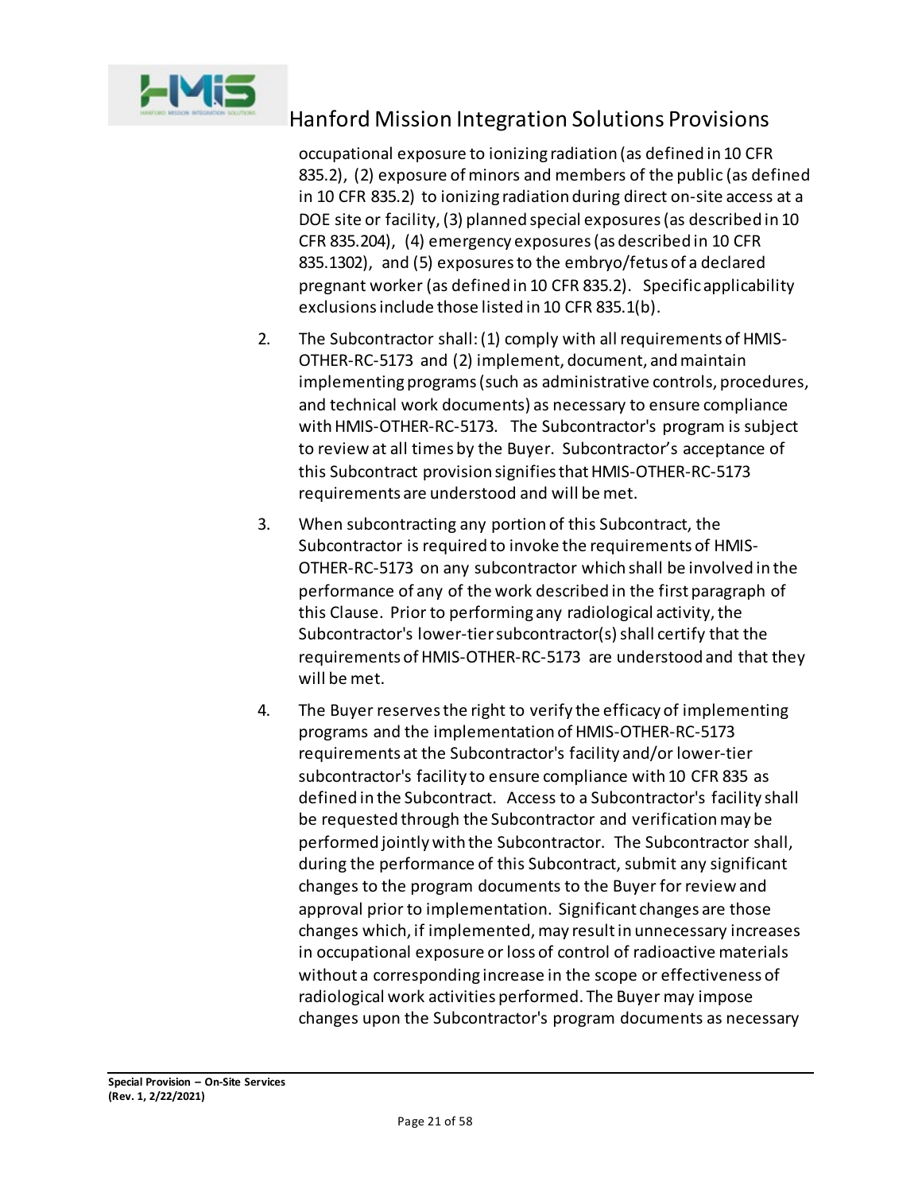

occupational exposure to ionizing radiation (as defined in 10 CFR 835.2), (2) exposure of minors and members of the public (as defined in 10 CFR 835.2) to ionizing radiation during direct on-site access at a DOE site or facility, (3) planned special exposures (as described in 10 CFR 835.204), (4) emergency exposures (as described in 10 CFR 835.1302), and (5) exposures to the embryo/fetus of a declared pregnant worker (as defined in 10 CFR 835.2). Specific applicability exclusions include those listed in 10 CFR 835.1(b).

- 2. The Subcontractor shall: (1) comply with all requirements of HMIS-OTHER-RC-5173 and (2) implement, document, and maintain implementing programs (such as administrative controls, procedures, and technical work documents) as necessary to ensure compliance with HMIS-OTHER-RC-5173. The Subcontractor's program is subject to review at all times by the Buyer. Subcontractor's acceptance of this Subcontract provision signifies that HMIS-OTHER-RC-5173 requirements are understood and will be met.
- 3. When subcontracting any portion of this Subcontract, the Subcontractor is required to invoke the requirements of HMIS-OTHER-RC-5173 on any subcontractor which shall be involved in the performance of any of the work described in the first paragraph of this Clause. Prior to performing any radiological activity, the Subcontractor's lower-tier subcontractor(s) shall certify that the requirements of HMIS-OTHER-RC-5173 are understood and that they will be met.
- 4. The Buyer reserves the right to verify the efficacy of implementing programs and the implementation of HMIS-OTHER-RC-5173 requirements at the Subcontractor's facility and/or lower-tier subcontractor's facility to ensure compliance with 10 CFR 835 as defined in the Subcontract. Access to a Subcontractor's facility shall be requested through the Subcontractor and verification may be performed jointly with the Subcontractor. The Subcontractor shall, during the performance of this Subcontract, submit any significant changes to the program documents to the Buyer for review and approval prior to implementation. Significant changes are those changes which, if implemented, may result in unnecessary increases in occupational exposure or loss of control of radioactive materials without a corresponding increase in the scope or effectiveness of radiological work activities performed. The Buyer may impose changes upon the Subcontractor's program documents as necessary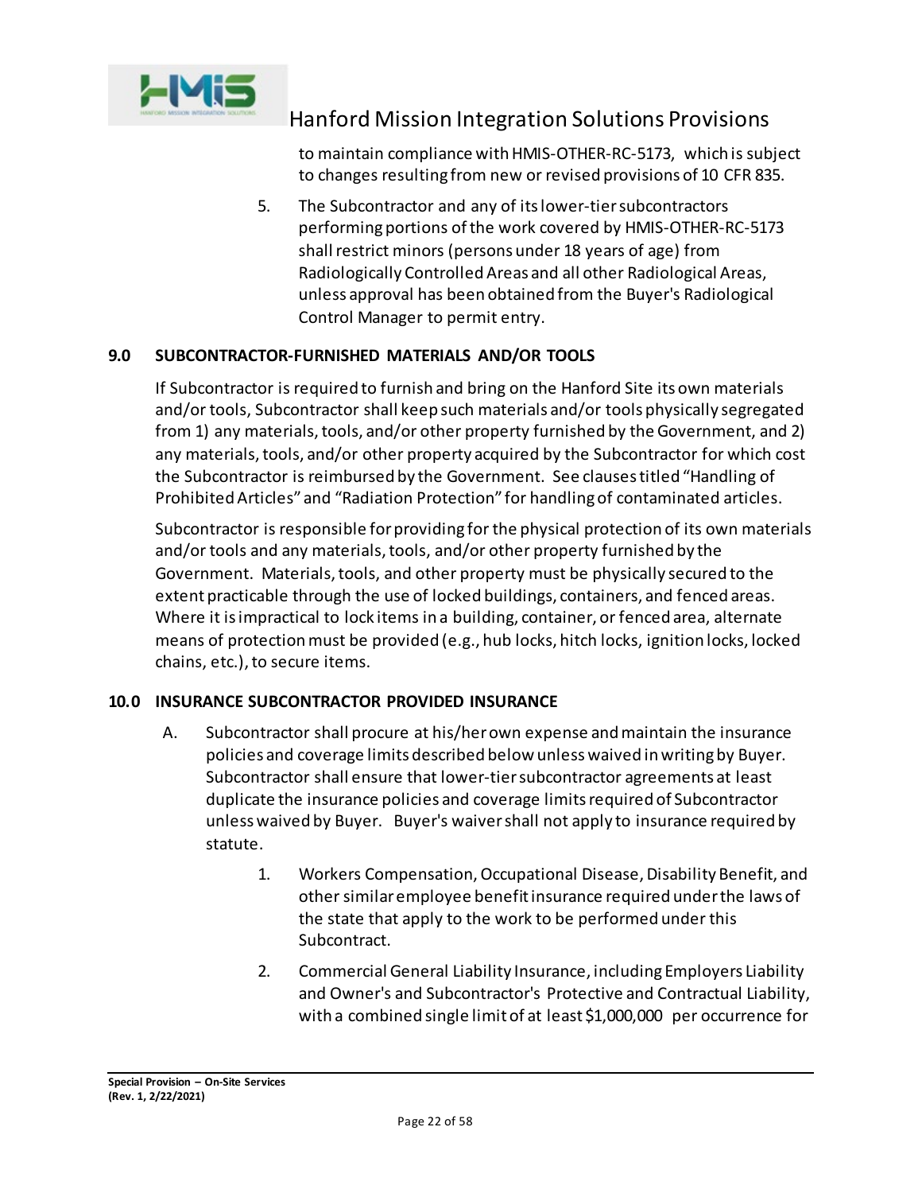

to maintain compliance with HMIS-OTHER-RC-5173, which is subject to changes resulting from new or revised provisions of 10 CFR 835.

5. The Subcontractor and any of its lower-tier subcontractors performing portions of the work covered by HMIS-OTHER-RC-5173 shall restrict minors (persons under 18 years of age) from Radiologically Controlled Areas and all other Radiological Areas, unless approval has been obtained from the Buyer's Radiological Control Manager to permit entry.

### <span id="page-21-0"></span>**9.0 SUBCONTRACTOR-FURNISHED MATERIALS AND/OR TOOLS**

If Subcontractor is required to furnish and bring on the Hanford Site its own materials and/or tools, Subcontractor shall keep such materials and/or tools physically segregated from 1) any materials, tools, and/or other property furnished by the Government, and 2) any materials, tools, and/or other property acquired by the Subcontractor for which cost the Subcontractor is reimbursed by the Government. See clauses titled "Handling of Prohibited Articles" and "Radiation Protection" for handling of contaminated articles.

Subcontractor is responsible for providing for the physical protection of its own materials and/or tools and any materials, tools, and/or other property furnished by the Government. Materials, tools, and other property must be physically secured to the extent practicable through the use of locked buildings, containers, and fenced areas. Where it is impractical to lock items in a building, container, or fenced area, alternate means of protection must be provided (e.g., hub locks, hitch locks, ignition locks, locked chains, etc.), to secure items.

### <span id="page-21-1"></span>**10.0 INSURANCE SUBCONTRACTOR PROVIDED INSURANCE**

- A. Subcontractor shall procure at his/her own expense and maintain the insurance policies and coverage limits described below unless waived in writing by Buyer. Subcontractor shall ensure that lower-tier subcontractor agreements at least duplicate the insurance policies and coverage limits required of Subcontractor unless waived by Buyer. Buyer's waiver shall not apply to insurance required by statute.
	- 1. Workers Compensation, Occupational Disease, Disability Benefit, and other similar employee benefit insurance required under the laws of the state that apply to the work to be performed under this Subcontract.
	- 2. Commercial General Liability Insurance, including Employers Liability and Owner's and Subcontractor's Protective and Contractual Liability, with a combined single limit of at least \$1,000,000 per occurrence for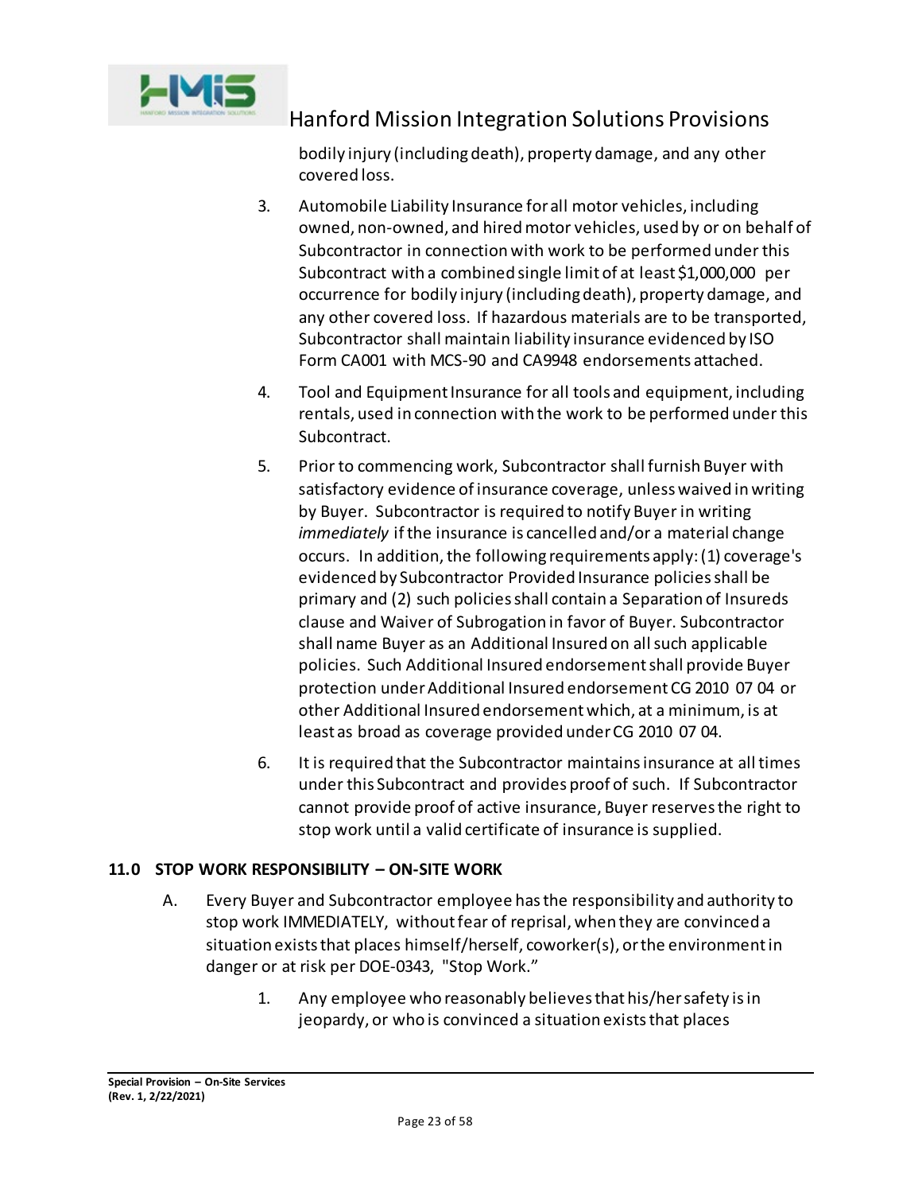

bodily injury (including death), property damage, and any other covered loss.

- 3. Automobile Liability Insurance for all motor vehicles, including owned, non-owned, and hired motor vehicles, used by or on behalf of Subcontractor in connection with work to be performed under this Subcontract with a combined single limit of at least \$1,000,000 per occurrence for bodily injury (including death), property damage, and any other covered loss. If hazardous materials are to be transported, Subcontractor shall maintain liability insurance evidenced by ISO Form CA001 with MCS-90 and CA9948 endorsements attached.
- 4. Tool and Equipment Insurance for all tools and equipment, including rentals, used in connection with the work to be performed under this Subcontract.
- 5. Prior to commencing work, Subcontractor shall furnish Buyer with satisfactory evidence of insurance coverage, unless waived in writing by Buyer. Subcontractor is required to notify Buyer in writing *immediately* if the insurance is cancelled and/or a material change occurs. In addition, the following requirements apply: (1) coverage's evidenced by Subcontractor Provided Insurance policies shall be primary and (2) such policies shall contain a Separation of Insureds clause and Waiver of Subrogation in favor of Buyer. Subcontractor shall name Buyer as an Additional Insured on all such applicable policies. Such Additional Insured endorsement shall provide Buyer protection under Additional Insured endorsement CG 2010 07 04 or other Additional Insured endorsement which, at a minimum, is at least as broad as coverage provided under CG 2010 07 04.
- 6. It is required that the Subcontractor maintains insurance at all times under this Subcontract and provides proof of such. If Subcontractor cannot provide proof of active insurance, Buyer reserves the right to stop work until a valid certificate of insurance is supplied.

### <span id="page-22-0"></span>**11.0 STOP WORK RESPONSIBILITY – ON-SITE WORK**

- A. Every Buyer and Subcontractor employee has the responsibility and authority to stop work IMMEDIATELY, without fear of reprisal, when they are convinced a situation exists that places himself/herself, coworker(s), or the environment in danger or at risk per DOE-0343, "Stop Work."
	- 1. Any employee who reasonably believes that his/her safety is in jeopardy, or who is convinced a situation exists that places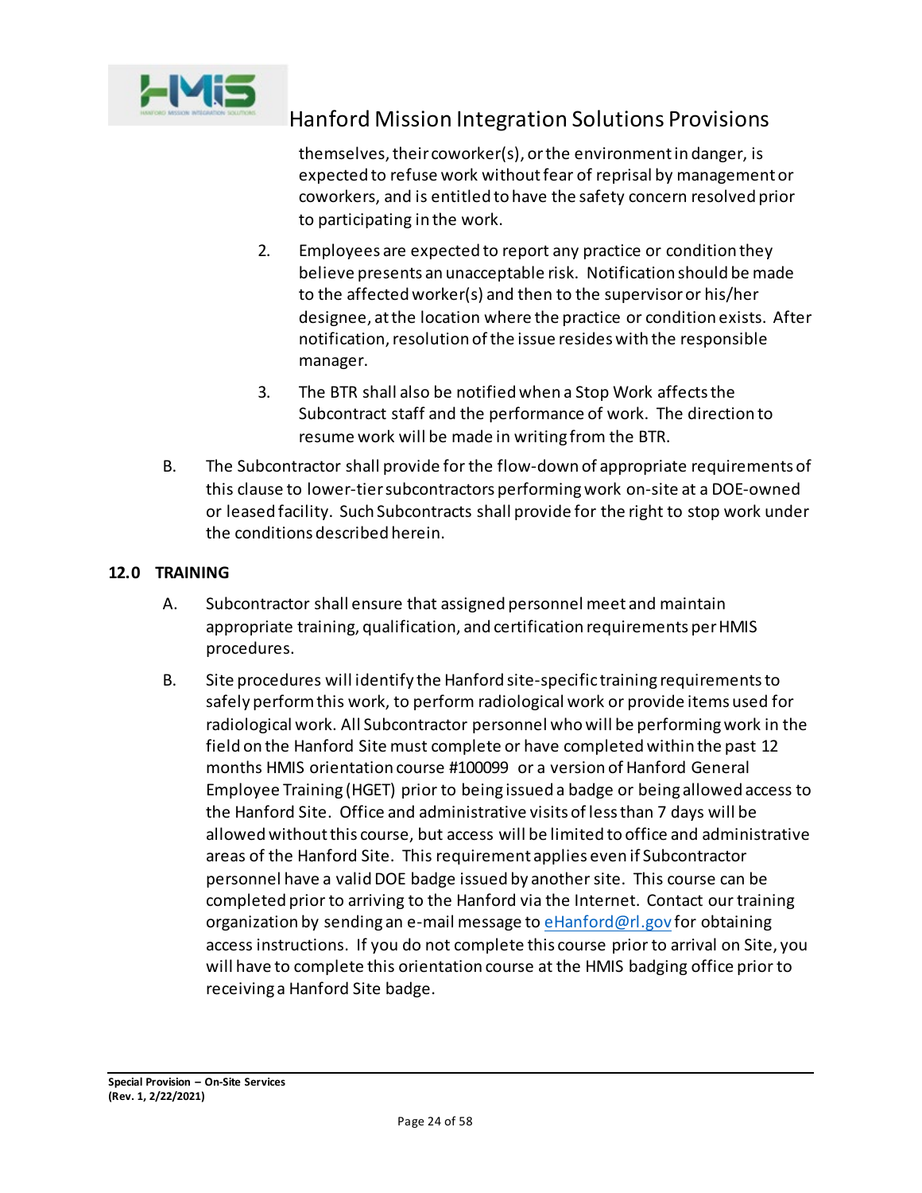

themselves, their coworker(s), or the environment in danger, is expected to refuse work without fear of reprisal by management or coworkers, and is entitled to have the safety concern resolved prior to participating in the work.

- 2. Employees are expected to report any practice or condition they believe presents an unacceptable risk. Notification should be made to the affected worker(s) and then to the supervisor or his/her designee, at the location where the practice or condition exists. After notification, resolution of the issue resides with the responsible manager.
- 3. The BTR shall also be notified when a Stop Work affects the Subcontract staff and the performance of work. The direction to resume work will be made in writing from the BTR.
- B. The Subcontractor shall provide for the flow-down of appropriate requirements of this clause to lower-tier subcontractors performing work on-site at a DOE-owned or leased facility. Such Subcontracts shall provide for the right to stop work under the conditions described herein.

### <span id="page-23-0"></span>**12.0 TRAINING**

- A. Subcontractor shall ensure that assigned personnel meet and maintain appropriate training, qualification, and certification requirements per HMIS procedures.
- B. Site procedures will identify the Hanford site-specific training requirements to safely perform this work, to perform radiological work or provide items used for radiological work. All Subcontractor personnel who will be performing work in the field on the Hanford Site must complete or have completed within the past 12 months HMIS orientation course #100099 or a version of Hanford General Employee Training (HGET) prior to being issued a badge or being allowed access to the Hanford Site. Office and administrative visits of less than 7 days will be allowed without this course, but access will be limited to office and administrative areas of the Hanford Site. This requirement applies even if Subcontractor personnel have a valid DOE badge issued by another site. This course can be completed prior to arriving to the Hanford via the Internet. Contact our training organization by sending an e-mail message t[o eHanford@rl.gov](mailto:eHanford@rl.gov) for obtaining access instructions. If you do not complete this course prior to arrival on Site, you will have to complete this orientation course at the HMIS badging office prior to receiving a Hanford Site badge.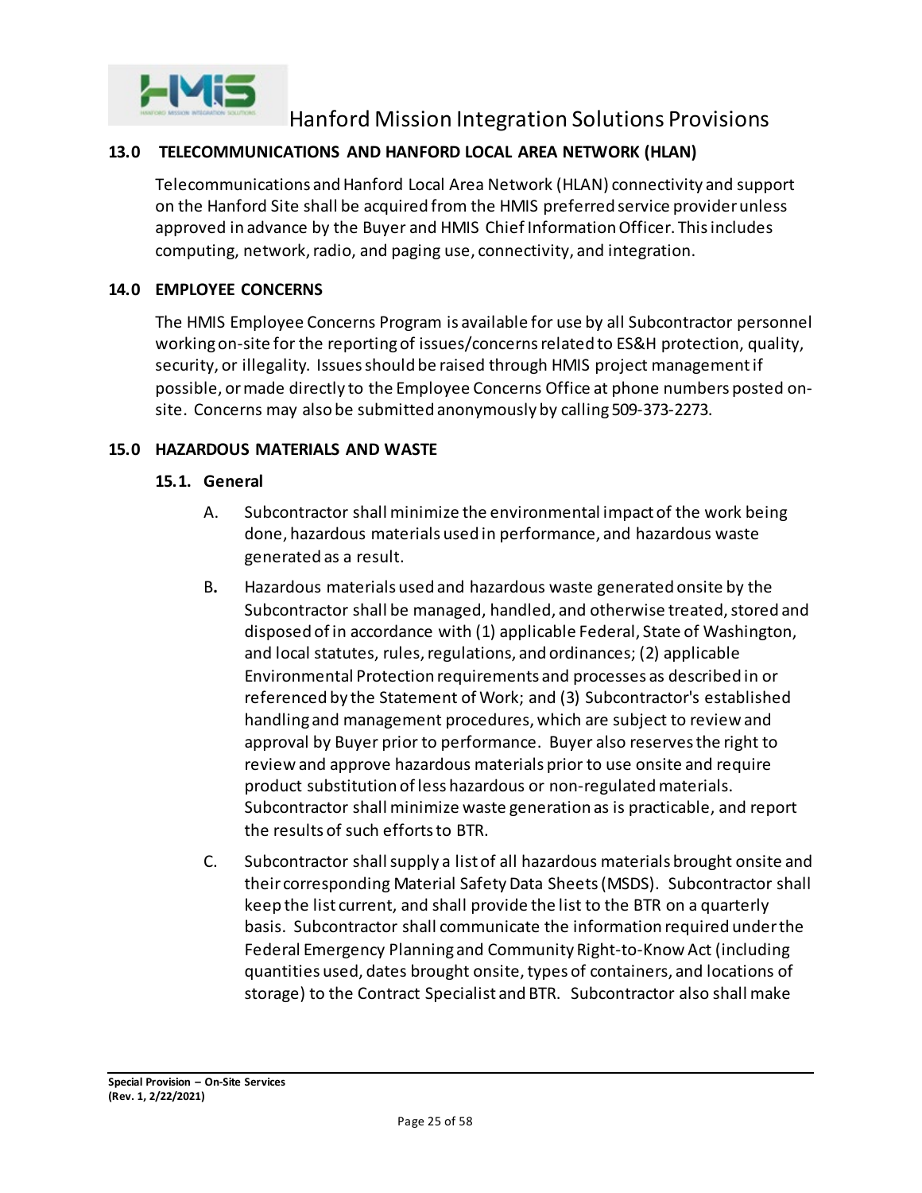

### **13.0 TELECOMMUNICATIONS AND HANFORD LOCAL AREA NETWORK (HLAN)**

<span id="page-24-0"></span>Telecommunications and Hanford Local Area Network (HLAN) connectivity and support on the Hanford Site shall be acquired from the HMIS preferred service provider unless approved in advance by the Buyer and HMIS Chief Information Officer. This includes computing, network, radio, and paging use, connectivity, and integration.

### <span id="page-24-1"></span>**14.0 EMPLOYEE CONCERNS**

The HMIS Employee Concerns Program is available for use by all Subcontractor personnel working on-site for the reporting of issues/concerns related to ES&H protection, quality, security, or illegality. Issues should be raised through HMIS project management if possible, or made directly to the Employee Concerns Office at phone numbers posted onsite. Concerns may also be submitted anonymously by calling 509-373-2273.

#### <span id="page-24-3"></span><span id="page-24-2"></span>**15.0 HAZARDOUS MATERIALS AND WASTE**

#### **15.1. General**

- A. Subcontractor shall minimize the environmental impact of the work being done, hazardous materials used in performance, and hazardous waste generated as a result.
- B**.** Hazardous materials used and hazardous waste generated onsite by the Subcontractor shall be managed, handled, and otherwise treated, stored and disposed of in accordance with (1) applicable Federal, State of Washington, and local statutes, rules, regulations, and ordinances; (2) applicable Environmental Protection requirements and processes as described in or referenced by the Statement of Work; and (3) Subcontractor's established handling and management procedures, which are subject to review and approval by Buyer prior to performance. Buyer also reserves the right to review and approve hazardous materials prior to use onsite and require product substitution of less hazardous or non-regulated materials. Subcontractor shall minimize waste generation as is practicable, and report the results of such efforts to BTR.
- C. Subcontractor shall supply a list of all hazardous materials brought onsite and their corresponding Material Safety Data Sheets (MSDS). Subcontractor shall keep the list current, and shall provide the list to the BTR on a quarterly basis. Subcontractor shall communicate the information required under the Federal Emergency Planning and Community Right-to-Know Act (including quantities used, dates brought onsite, types of containers, and locations of storage) to the Contract Specialist and BTR. Subcontractor also shall make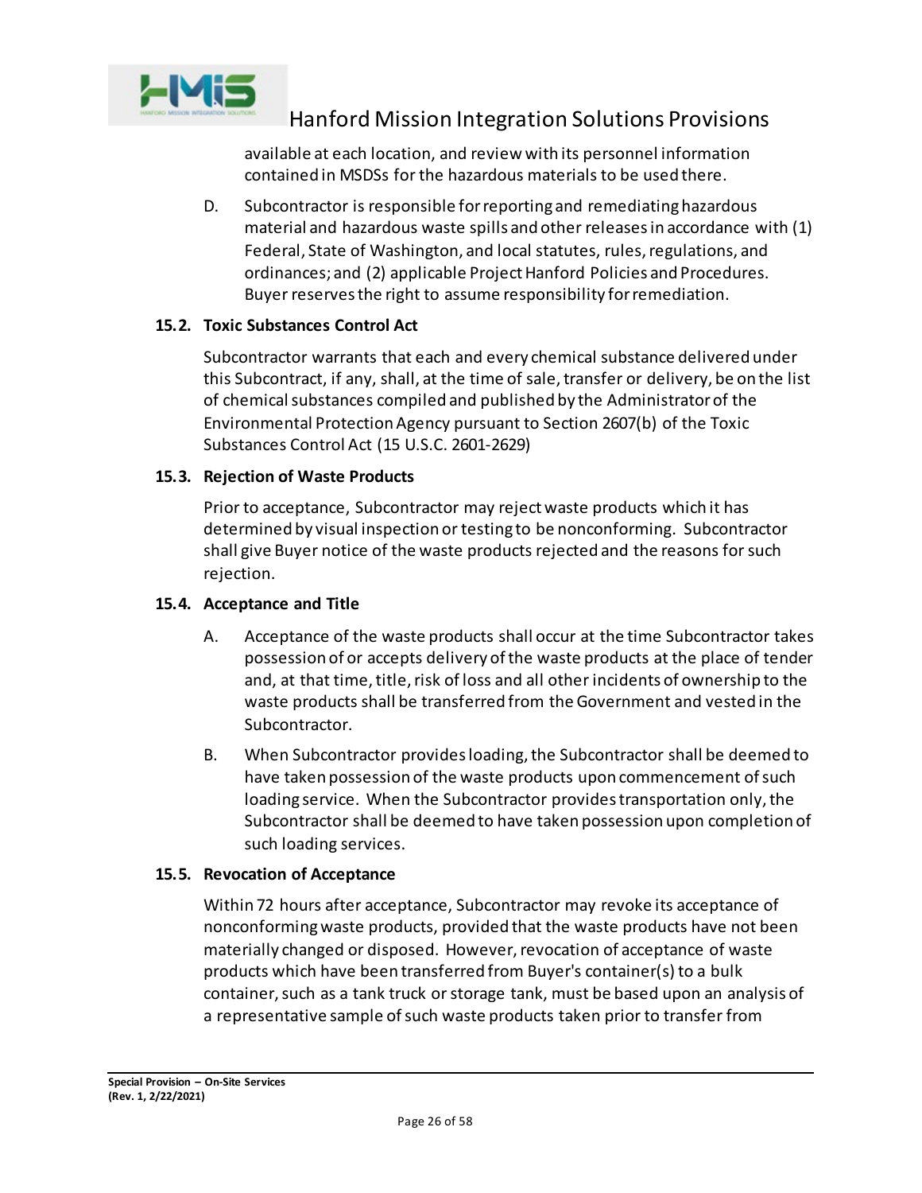

available at each location, and review with its personnel information contained in MSDSs for the hazardous materials to be used there.

D. Subcontractor is responsible for reporting and remediating hazardous material and hazardous waste spills and other releases in accordance with (1) Federal, State of Washington, and local statutes, rules, regulations, and ordinances; and (2) applicable Project Hanford Policies and Procedures. Buyer reserves the right to assume responsibility for remediation.

### <span id="page-25-0"></span>**15.2. Toxic Substances Control Act**

Subcontractor warrants that each and every chemical substance delivered under this Subcontract, if any, shall, at the time of sale, transfer or delivery, be on the list of chemical substances compiled and published by the Administrator of the Environmental Protection Agency pursuant to Section 2607(b) of the Toxic Substances Control Act (15 U.S.C. 2601-2629)

### <span id="page-25-1"></span>**15.3. Rejection of Waste Products**

Prior to acceptance, Subcontractor may reject waste products which it has determined by visual inspection or testing to be nonconforming. Subcontractor shall give Buyer notice of the waste products rejected and the reasons for such rejection.

#### <span id="page-25-2"></span>**15.4. Acceptance and Title**

- A. Acceptance of the waste products shall occur at the time Subcontractor takes possession of or accepts delivery of the waste products at the place of tender and, at that time, title, risk of loss and all other incidents of ownership to the waste products shall be transferred from the Government and vested in the Subcontractor.
- B. When Subcontractor provides loading, the Subcontractor shall be deemed to have taken possession of the waste products upon commencement of such loading service. When the Subcontractor provides transportation only, the Subcontractor shall be deemed to have taken possession upon completion of such loading services.

### <span id="page-25-3"></span>**15.5. Revocation of Acceptance**

Within 72 hours after acceptance, Subcontractor may revoke its acceptance of nonconforming waste products, provided that the waste products have not been materially changed or disposed. However, revocation of acceptance of waste products which have been transferred from Buyer's container(s) to a bulk container, such as a tank truck or storage tank, must be based upon an analysis of a representative sample of such waste products taken prior to transfer from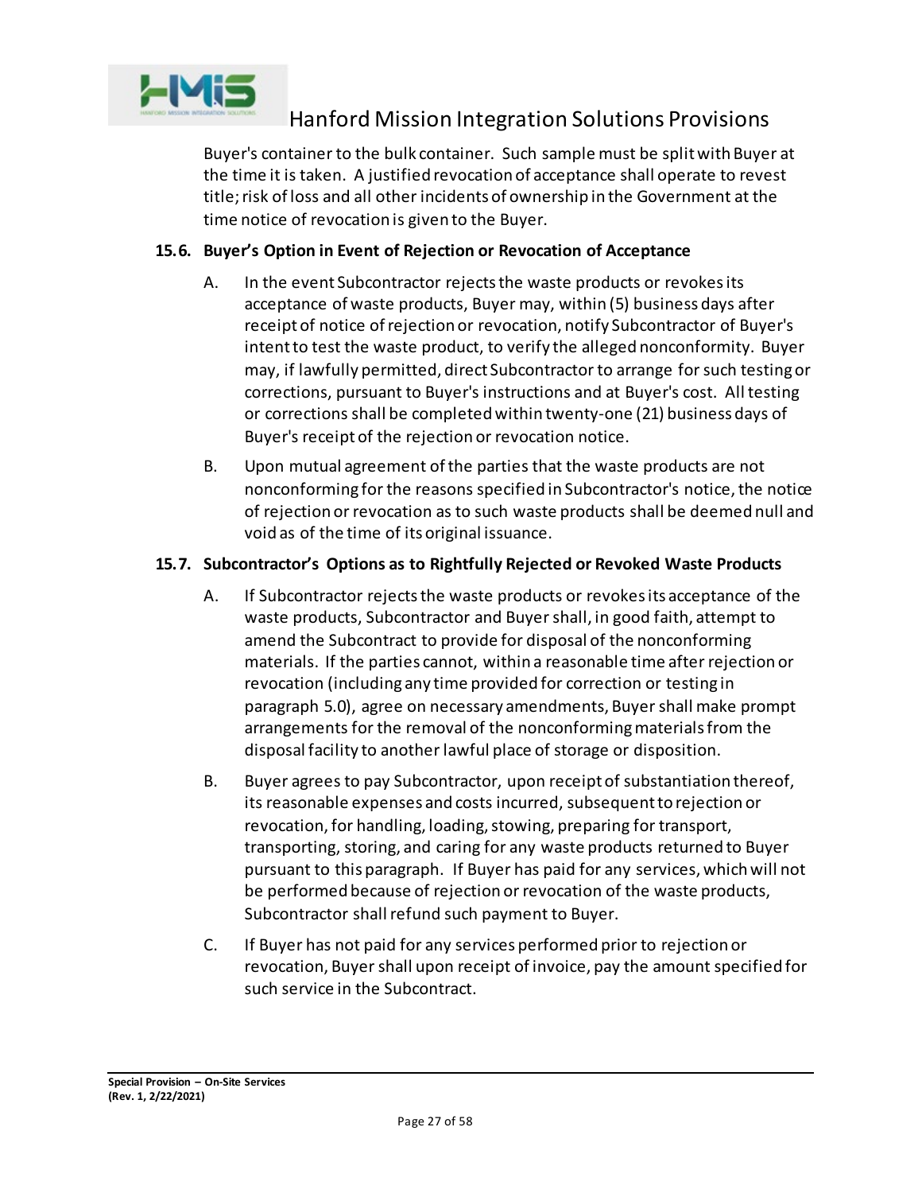

Buyer's container to the bulk container. Such sample must be split with Buyer at the time it is taken. A justified revocation of acceptance shall operate to revest title; risk of loss and all other incidents of ownership in the Government at the time notice of revocation is given to the Buyer.

### <span id="page-26-0"></span>**15.6. Buyer's Option in Event of Rejection or Revocation of Acceptance**

- A. In the event Subcontractor rejects the waste products or revokes its acceptance of waste products, Buyer may, within (5) business days after receipt of notice of rejection or revocation, notify Subcontractor of Buyer's intent to test the waste product, to verify the alleged nonconformity. Buyer may, if lawfully permitted, direct Subcontractor to arrange for such testing or corrections, pursuant to Buyer's instructions and at Buyer's cost. All testing or corrections shall be completed within twenty-one (21) business days of Buyer's receipt of the rejection or revocation notice.
- B. Upon mutual agreement of the parties that the waste products are not nonconforming for the reasons specified in Subcontractor's notice, the notice of rejection or revocation as to such waste products shall be deemed null and void as of the time of its original issuance.

### <span id="page-26-1"></span>**15.7. Subcontractor's Options as to Rightfully Rejected or Revoked Waste Products**

- A. If Subcontractor rejects the waste products or revokes its acceptance of the waste products, Subcontractor and Buyer shall, in good faith, attempt to amend the Subcontract to provide for disposal of the nonconforming materials. If the parties cannot, within a reasonable time after rejection or revocation (including any time provided for correction or testing in paragraph 5.0), agree on necessary amendments, Buyer shall make prompt arrangements for the removal of the nonconforming materials from the disposal facility to another lawful place of storage or disposition.
- B. Buyer agrees to pay Subcontractor, upon receipt of substantiation thereof, its reasonable expenses and costs incurred, subsequent to rejection or revocation, for handling, loading, stowing, preparing for transport, transporting, storing, and caring for any waste products returned to Buyer pursuant to this paragraph. If Buyer has paid for any services, which will not be performed because of rejection or revocation of the waste products, Subcontractor shall refund such payment to Buyer.
- C. If Buyer has not paid for any services performed prior to rejection or revocation, Buyer shall upon receipt of invoice, pay the amount specified for such service in the Subcontract.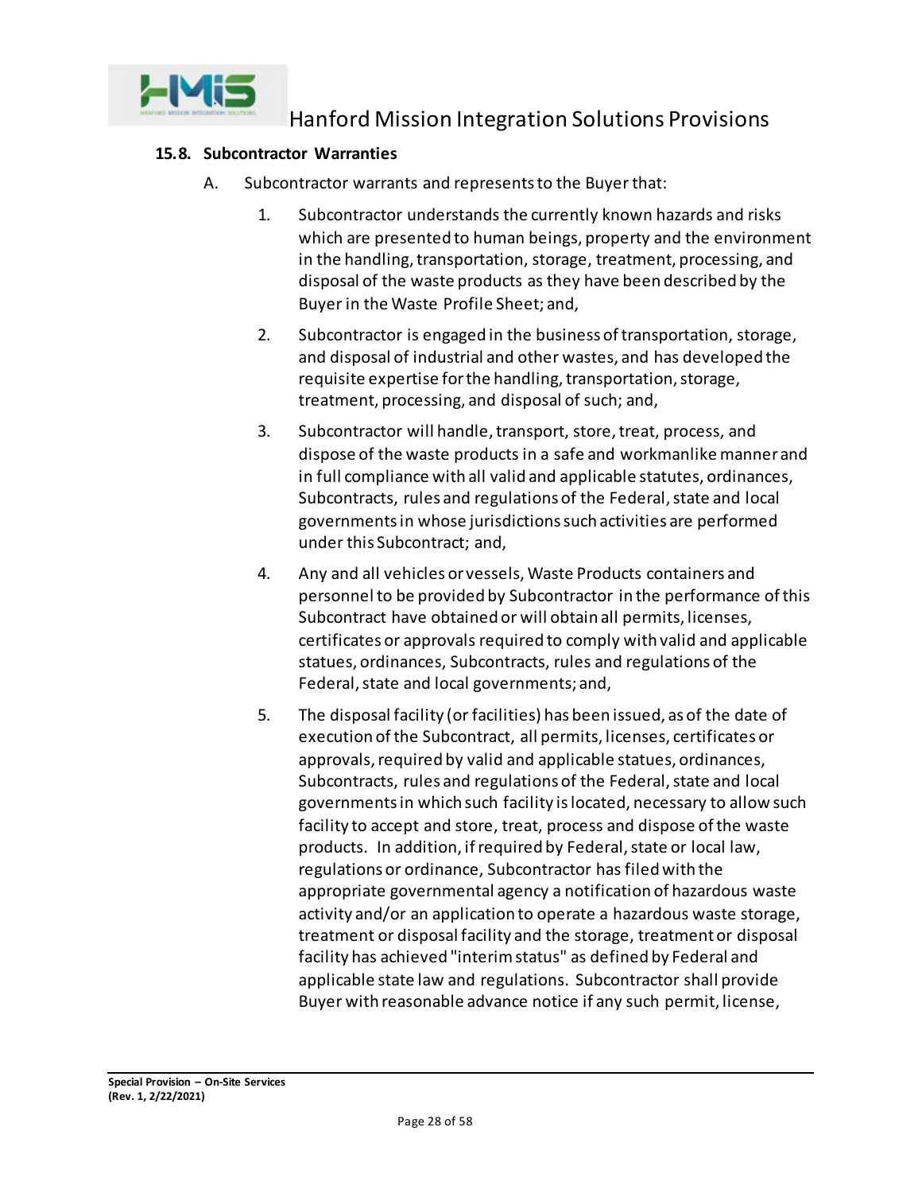

### <span id="page-27-0"></span>**15.8. Subcontractor Warranties**

- A. Subcontractor warrants and represents to the Buyer that:
	- 1. Subcontractor understands the currently known hazards and risks which are presented to human beings, property and the environment in the handling, transportation, storage, treatment, processing, and disposal of the waste products as they have been described by the Buyer in the Waste Profile Sheet; and,
	- 2. Subcontractor is engaged in the business of transportation, storage, and disposal of industrial and other wastes, and has developed the requisite expertise for the handling, transportation, storage, treatment, processing, and disposal of such; and,
	- 3. Subcontractor will handle, transport, store, treat, process, and dispose of the waste products in a safe and workmanlike manner and in full compliance with all valid and applicable statutes, ordinances, Subcontracts, rules and regulations of the Federal, state and local governments in whose jurisdictions such activities are performed under this Subcontract; and,
	- 4. Any and all vehicles or vessels, Waste Products containers and personnel to be provided by Subcontractor in the performance of this Subcontract have obtained or will obtain all permits, licenses, certificates or approvals required to comply with valid and applicable statues, ordinances, Subcontracts, rules and regulations of the Federal, state and local governments; and,
	- 5. The disposal facility (or facilities) has been issued, as of the date of execution of the Subcontract, all permits, licenses, certificates or approvals, required by valid and applicable statues, ordinances, Subcontracts, rules and regulations of the Federal, state and local governments in which such facility is located, necessary to allow such facility to accept and store, treat, process and dispose of the waste products. In addition, if required by Federal, state or local law, regulations or ordinance, Subcontractor has filed with the appropriate governmental agency a notification of hazardous waste activity and/or an application to operate a hazardous waste storage, treatment or disposal facility and the storage, treatment or disposal facility has achieved "interim status" as defined by Federal and applicable state law and regulations. Subcontractor shall provide Buyer with reasonable advance notice if any such permit, license,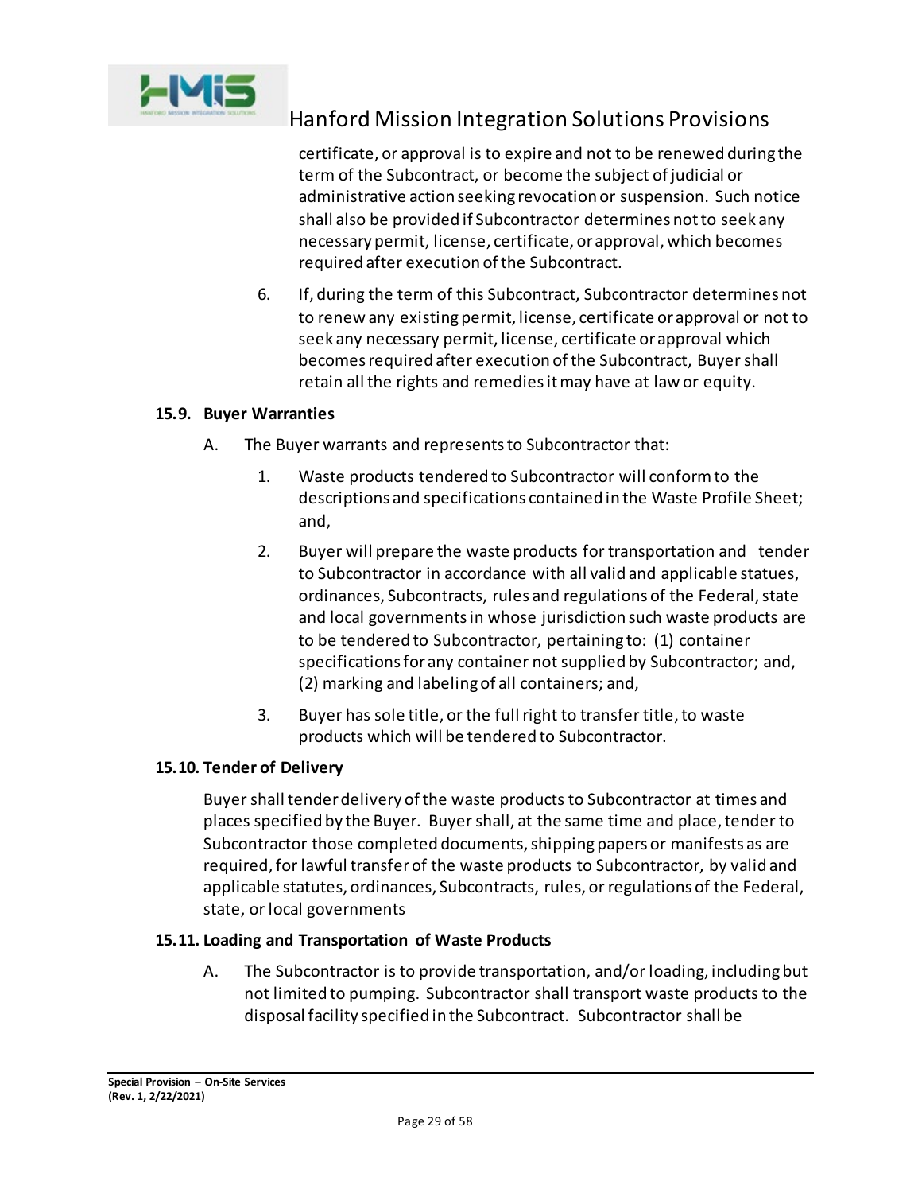

certificate, or approval is to expire and not to be renewed during the term of the Subcontract, or become the subject of judicial or administrative action seeking revocation or suspension. Such notice shall also be provided if Subcontractor determines not to seek any necessary permit, license, certificate, or approval, which becomes required after execution of the Subcontract.

6. If, during the term of this Subcontract, Subcontractor determines not to renew any existing permit, license, certificate or approval or not to seek any necessary permit, license, certificate or approval which becomes required after execution of the Subcontract, Buyer shall retain all the rights and remedies it may have at law or equity.

### <span id="page-28-0"></span>**15.9. Buyer Warranties**

- A. The Buyer warrants and represents to Subcontractor that:
	- 1. Waste products tendered to Subcontractor will conform to the descriptions and specifications contained in the Waste Profile Sheet; and,
	- 2. Buyer will prepare the waste products for transportation and tender to Subcontractor in accordance with all valid and applicable statues, ordinances, Subcontracts, rules and regulations of the Federal, state and local governments in whose jurisdiction such waste products are to be tendered to Subcontractor, pertaining to: (1) container specifications for any container not supplied by Subcontractor; and, (2) marking and labeling of all containers; and,
	- 3. Buyer has sole title, or the full right to transfer title, to waste products which will be tendered to Subcontractor.

#### <span id="page-28-1"></span>**15.10. Tender of Delivery**

Buyer shall tender delivery of the waste products to Subcontractor at times and places specified by the Buyer. Buyer shall, at the same time and place, tender to Subcontractor those completed documents, shipping papers or manifests as are required, for lawful transfer of the waste products to Subcontractor, by valid and applicable statutes, ordinances, Subcontracts, rules, or regulations of the Federal, state, or local governments

### <span id="page-28-2"></span>**15.11. Loading and Transportation of Waste Products**

A. The Subcontractor is to provide transportation, and/or loading, including but not limited to pumping. Subcontractor shall transport waste products to the disposal facility specified in the Subcontract. Subcontractor shall be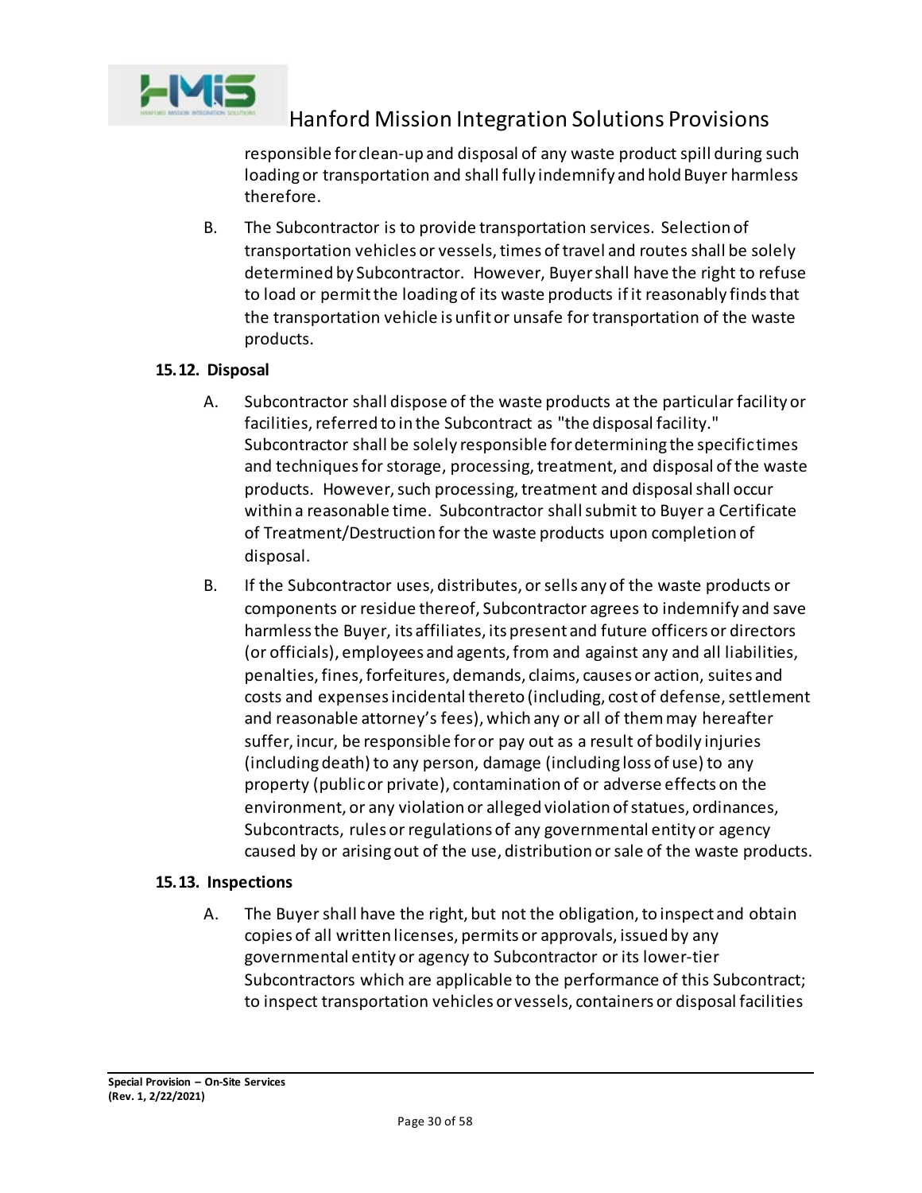

responsible for clean-up and disposal of any waste product spill during such loading or transportation and shall fully indemnify and hold Buyer harmless therefore.

B. The Subcontractor is to provide transportation services. Selection of transportation vehicles or vessels, times of travel and routes shall be solely determined by Subcontractor. However, Buyer shall have the right to refuse to load or permit the loading of its waste products if it reasonably finds that the transportation vehicle is unfit or unsafe for transportation of the waste products.

### **15.12. Disposal**

- <span id="page-29-0"></span>A. Subcontractor shall dispose of the waste products at the particular facility or facilities, referred to in the Subcontract as "the disposal facility." Subcontractor shall be solely responsible for determining the specific times and techniques for storage, processing, treatment, and disposal of the waste products. However, such processing, treatment and disposal shall occur within a reasonable time. Subcontractor shall submit to Buyer a Certificate of Treatment/Destruction for the waste products upon completion of disposal.
- B. If the Subcontractor uses, distributes, or sells any of the waste products or components or residue thereof, Subcontractor agrees to indemnify and save harmless the Buyer, its affiliates, its present and future officers or directors (or officials), employees and agents, from and against any and all liabilities, penalties, fines, forfeitures, demands, claims, causes or action, suites and costs and expenses incidental thereto (including, cost of defense, settlement and reasonable attorney's fees), which any or all of them may hereafter suffer, incur, be responsible for or pay out as a result of bodily injuries (including death) to any person, damage (including loss of use) to any property (public or private), contamination of or adverse effects on the environment, or any violation or alleged violation of statues, ordinances, Subcontracts, rules or regulations of any governmental entity or agency caused by or arising out of the use, distribution or sale of the waste products.

#### **15.13. Inspections**

<span id="page-29-1"></span>A. The Buyer shall have the right, but not the obligation, to inspect and obtain copies of all written licenses, permits or approvals, issued by any governmental entity or agency to Subcontractor or its lower-tier Subcontractors which are applicable to the performance of this Subcontract; to inspect transportation vehicles or vessels, containers or disposal facilities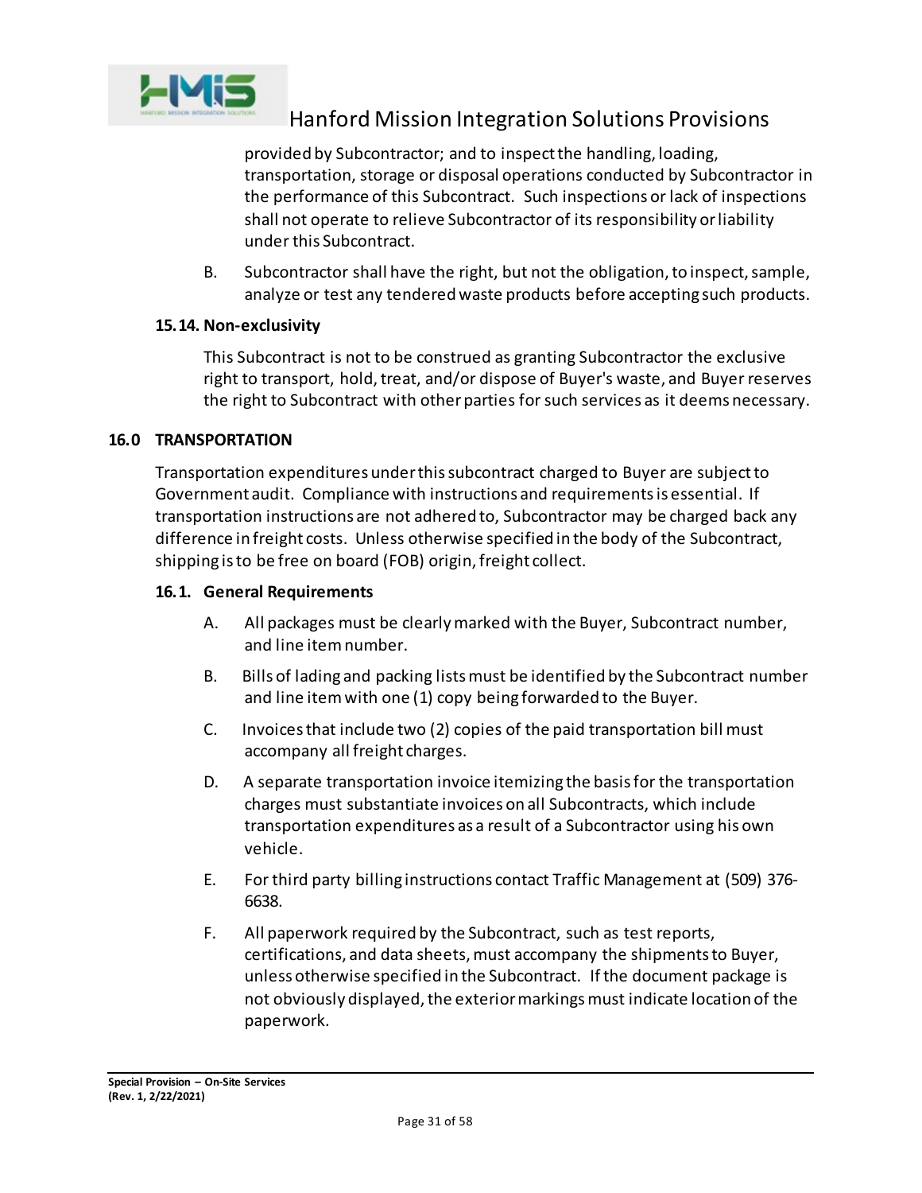

provided by Subcontractor; and to inspect the handling, loading, transportation, storage or disposal operations conducted by Subcontractor in the performance of this Subcontract. Such inspections or lack of inspections shall not operate to relieve Subcontractor of its responsibility or liability under this Subcontract.

B. Subcontractor shall have the right, but not the obligation, to inspect, sample, analyze or test any tendered waste products before accepting such products.

#### <span id="page-30-0"></span>**15.14. Non-exclusivity**

This Subcontract is not to be construed as granting Subcontractor the exclusive right to transport, hold, treat, and/or dispose of Buyer's waste, and Buyer reserves the right to Subcontract with other parties for such services as it deems necessary.

### <span id="page-30-1"></span>**16.0 TRANSPORTATION**

Transportation expenditures under this subcontract charged to Buyer are subject to Government audit. Compliance with instructions and requirements is essential. If transportation instructions are not adhered to, Subcontractor may be charged back any difference in freight costs. Unless otherwise specified in the body of the Subcontract, shipping is to be free on board (FOB) origin, freight collect.

#### <span id="page-30-2"></span>**16.1. General Requirements**

- A. All packages must be clearly marked with the Buyer, Subcontract number, and line item number.
- B. Bills of lading and packing lists must be identified by the Subcontract number and line item with one (1) copy being forwarded to the Buyer.
- C. Invoices that include two (2) copies of the paid transportation bill must accompany all freight charges.
- D. A separate transportation invoice itemizing the basis for the transportation charges must substantiate invoices on all Subcontracts, which include transportation expenditures as a result of a Subcontractor using his own vehicle.
- E. For third party billing instructions contact Traffic Management at (509) 376- 6638.
- F. All paperwork required by the Subcontract, such as test reports, certifications, and data sheets, must accompany the shipments to Buyer, unless otherwise specified in the Subcontract. If the document package is not obviously displayed, the exterior markings must indicate location of the paperwork.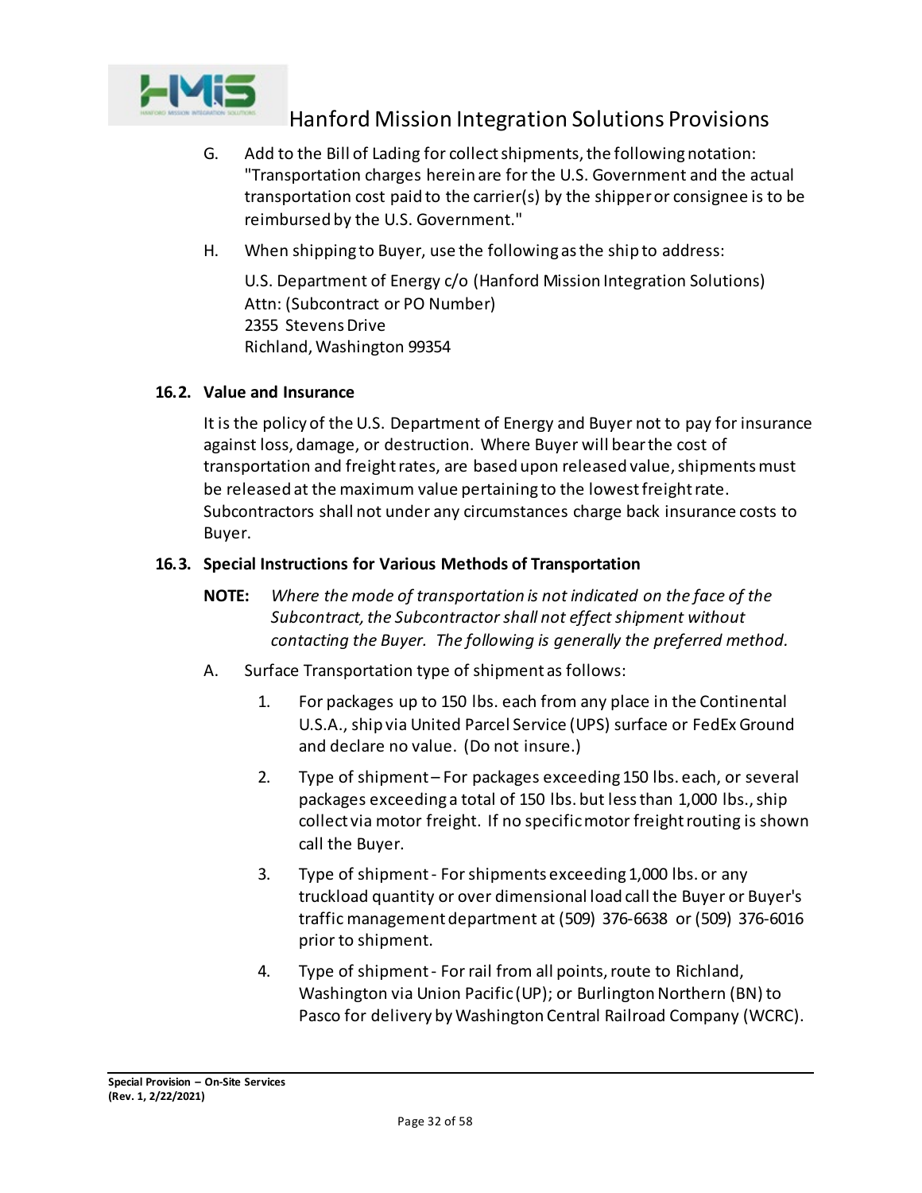

- G. Add to the Bill of Lading for collect shipments, the following notation: "Transportation charges herein are for the U.S. Government and the actual transportation cost paid to the carrier(s) by the shipper or consignee is to be reimbursed by the U.S. Government."
- H. When shipping to Buyer, use the following as the ship to address:

U.S. Department of Energy c/o (Hanford Mission Integration Solutions) Attn: (Subcontract or PO Number) 2355 Stevens Drive Richland, Washington 99354

### <span id="page-31-0"></span>**16.2. Value and Insurance**

It is the policy of the U.S. Department of Energy and Buyer not to pay for insurance against loss, damage, or destruction. Where Buyer will bear the cost of transportation and freight rates, are based upon released value, shipments must be released at the maximum value pertaining to the lowest freight rate. Subcontractors shall not under any circumstances charge back insurance costs to Buyer.

### <span id="page-31-1"></span>**16.3. Special Instructions for Various Methods of Transportation**

- **NOTE:** *Where the mode of transportation is not indicated on the face of the Subcontract, the Subcontractor shall not effect shipment without contacting the Buyer. The following is generally the preferred method.*
- A. Surface Transportation type of shipment as follows:
	- 1. For packages up to 150 lbs. each from any place in the Continental U.S.A., ship via United Parcel Service (UPS) surface or FedEx Ground and declare no value. (Do not insure.)
	- 2. Type of shipment For packages exceeding 150 lbs. each, or several packages exceeding a total of 150 lbs. but less than 1,000 lbs., ship collect via motor freight. If no specific motor freight routing is shown call the Buyer.
	- 3. Type of shipment For shipments exceeding 1,000 lbs. or any truckload quantity or over dimensional load call the Buyer or Buyer's traffic management department at (509) 376-6638 or (509) 376-6016 prior to shipment.
	- 4. Type of shipment For rail from all points, route to Richland, Washington via Union Pacific (UP); or Burlington Northern (BN) to Pasco for delivery by Washington Central Railroad Company (WCRC).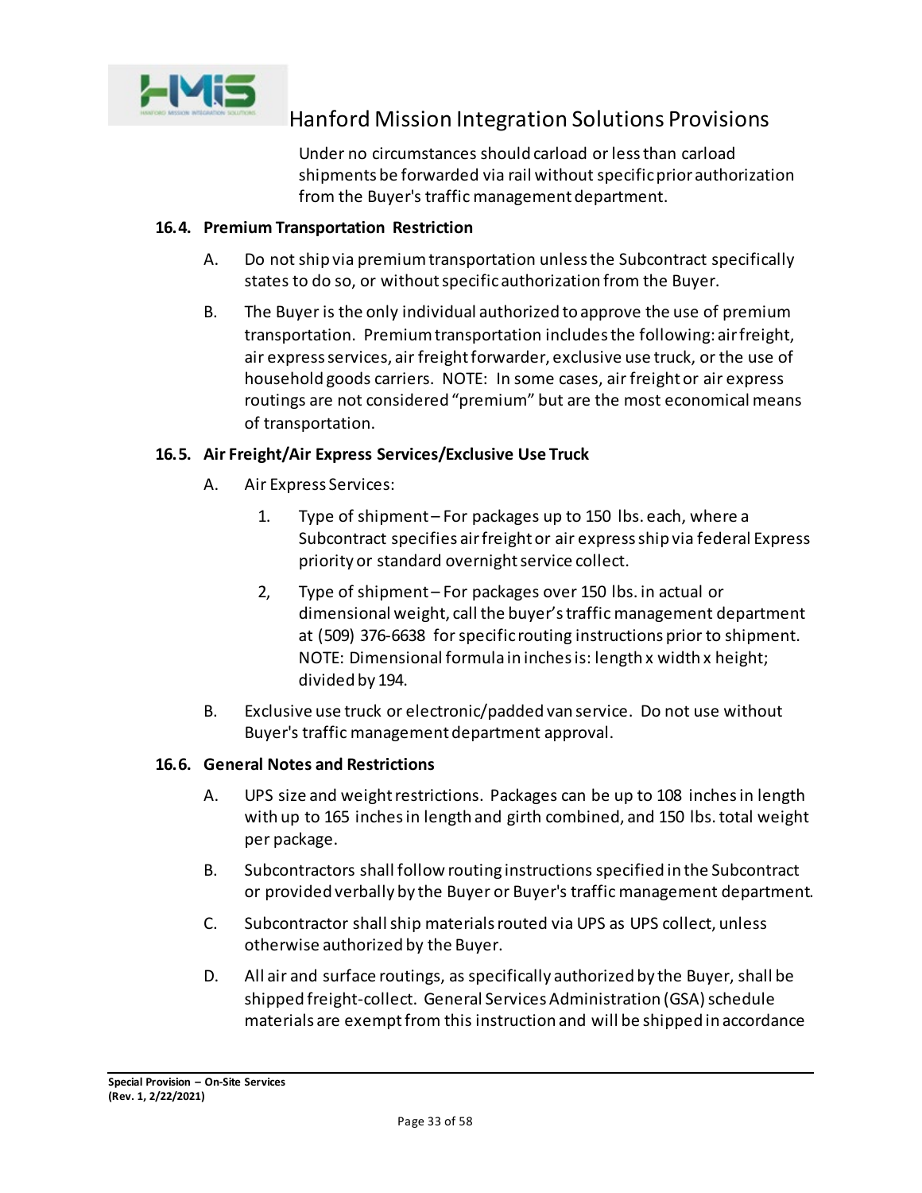

Under no circumstances should carload or less than carload shipments be forwarded via rail without specific prior authorization from the Buyer's traffic management department.

### <span id="page-32-0"></span>**16.4. Premium Transportation Restriction**

- A. Do not ship via premium transportation unless the Subcontract specifically states to do so, or without specific authorization from the Buyer.
- B. The Buyer is the only individual authorized to approve the use of premium transportation. Premium transportation includes the following: air freight, air express services, air freight forwarder, exclusive use truck, or the use of household goods carriers. NOTE: In some cases, air freight or air express routings are not considered "premium" but are the most economical means of transportation.

### <span id="page-32-1"></span>**16.5. Air Freight/Air Express Services/Exclusive Use Truck**

- A. Air Express Services:
	- 1. Type of shipment For packages up to 150 lbs. each, where a Subcontract specifies air freight or air express ship via federal Express priority or standard overnight service collect.
	- 2, Type of shipment For packages over 150 lbs. in actual or dimensional weight, call the buyer's traffic management department at (509) 376-6638 for specific routing instructions prior to shipment. NOTE: Dimensional formula in inches is: length x width x height; divided by 194.
- B. Exclusive use truck or electronic/padded van service. Do not use without Buyer's traffic management department approval.

#### <span id="page-32-2"></span>**16.6. General Notes and Restrictions**

- A. UPS size and weight restrictions. Packages can be up to 108 inches in length with up to 165 inches in length and girth combined, and 150 lbs. total weight per package.
- B. Subcontractors shall follow routing instructions specified in the Subcontract or provided verbally by the Buyer or Buyer's traffic management department.
- C. Subcontractor shall ship materials routed via UPS as UPS collect, unless otherwise authorized by the Buyer.
- D. All air and surface routings, as specifically authorized by the Buyer, shall be shipped freight-collect. General Services Administration (GSA) schedule materials are exempt from this instruction and will be shipped in accordance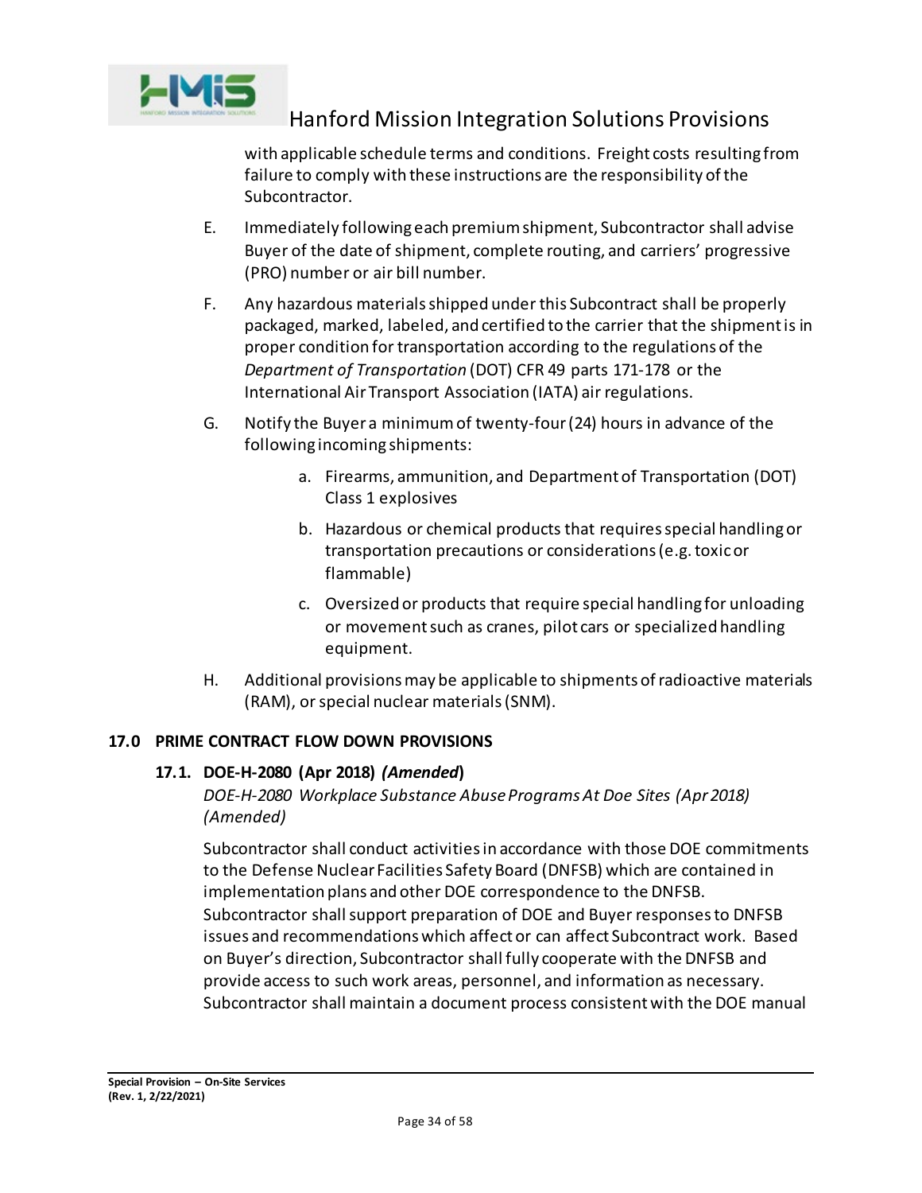

with applicable schedule terms and conditions. Freight costs resulting from failure to comply with these instructions are the responsibility of the Subcontractor.

- E. Immediately following each premium shipment, Subcontractor shall advise Buyer of the date of shipment, complete routing, and carriers' progressive (PRO) number or air bill number.
- F. Any hazardous materials shipped under this Subcontract shall be properly packaged, marked, labeled, and certified to the carrier that the shipment is in proper condition for transportation according to the regulations of the *Department of Transportation* (DOT) CFR 49 parts 171-178 or the International Air Transport Association (IATA) air regulations.
- G. Notify the Buyer a minimum of twenty-four (24) hours in advance of the following incoming shipments:
	- a. Firearms, ammunition, and Department of Transportation (DOT) Class 1 explosives
	- b. Hazardous or chemical products that requires special handling or transportation precautions or considerations (e.g. toxic or flammable)
	- c. Oversized or products that require special handling for unloading or movement such as cranes, pilot cars or specialized handling equipment.
- H. Additional provisions may be applicable to shipments of radioactive materials (RAM), or special nuclear materials (SNM).

### <span id="page-33-1"></span><span id="page-33-0"></span>**17.0 PRIME CONTRACT FLOW DOWN PROVISIONS**

### **17.1. DOE-H-2080 (Apr 2018)** *(Amended***)**

### *DOE-H-2080 Workplace Substance Abuse Programs At Doe Sites (Apr 2018) (Amended)*

Subcontractor shall conduct activities in accordance with those DOE commitments to the Defense Nuclear Facilities Safety Board (DNFSB) which are contained in implementation plans and other DOE correspondence to the DNFSB. Subcontractor shall support preparation of DOE and Buyer responses to DNFSB issues and recommendations which affect or can affect Subcontract work. Based on Buyer's direction, Subcontractor shall fully cooperate with the DNFSB and provide access to such work areas, personnel, and information as necessary. Subcontractor shall maintain a document process consistent with the DOE manual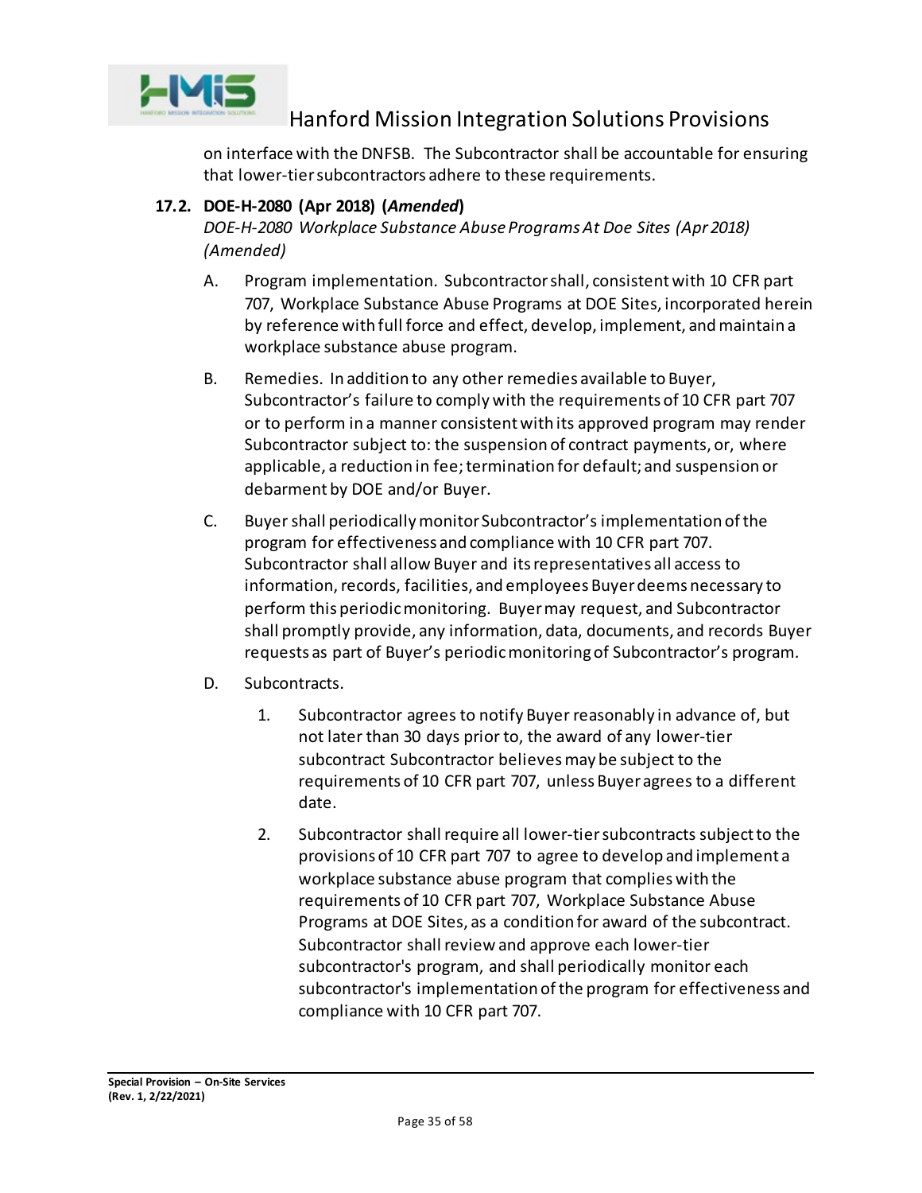

on interface with the DNFSB. The Subcontractor shall be accountable for ensuring that lower-tier subcontractors adhere to these requirements.

### <span id="page-34-0"></span>**17.2. DOE-H-2080 (Apr 2018) (***Amended***)**

*DOE-H-2080 Workplace Substance Abuse Programs At Doe Sites (Apr2018) (Amended)*

- A. Program implementation. Subcontractor shall, consistent with 10 CFR part 707, Workplace Substance Abuse Programs at DOE Sites, incorporated herein by reference with full force and effect, develop, implement, and maintain a workplace substance abuse program.
- B. Remedies. In addition to any other remedies available to Buyer, Subcontractor's failure to comply with the requirements of 10 CFR part 707 or to perform in a manner consistent with its approved program may render Subcontractor subject to: the suspension of contract payments, or, where applicable, a reduction in fee; termination for default; and suspension or debarment by DOE and/or Buyer.
- C. Buyer shall periodically monitor Subcontractor's implementation of the program for effectiveness and compliance with 10 CFR part 707. Subcontractor shall allow Buyer and its representatives all access to information, records, facilities, and employees Buyer deems necessary to perform this periodic monitoring. Buyer may request, and Subcontractor shall promptly provide, any information, data, documents, and records Buyer requests as part of Buyer's periodic monitoring of Subcontractor's program.
- D. Subcontracts.
	- 1. Subcontractor agrees to notify Buyer reasonably in advance of, but not later than 30 days prior to, the award of any lower-tier subcontract Subcontractor believes may be subject to the requirements of 10 CFR part 707, unless Buyer agrees to a different date.
	- 2. Subcontractor shall require all lower-tier subcontracts subject to the provisions of 10 CFR part 707 to agree to develop and implement a workplace substance abuse program that complies with the requirements of 10 CFR part 707, Workplace Substance Abuse Programs at DOE Sites, as a condition for award of the subcontract. Subcontractor shall review and approve each lower-tier subcontractor's program, and shall periodically monitor each subcontractor's implementation of the program for effectiveness and compliance with 10 CFR part 707.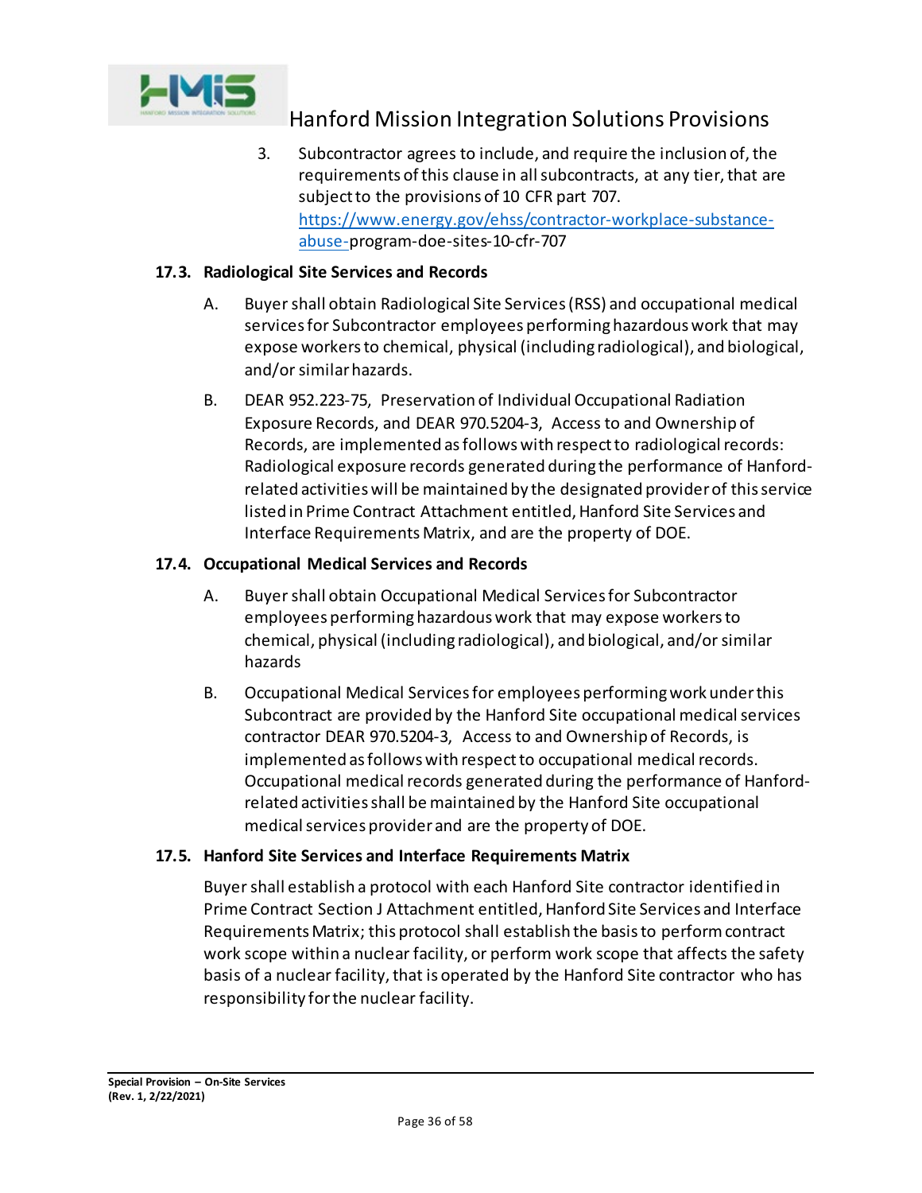

3. Subcontractor agrees to include, and require the inclusion of, the requirements of this clause in all subcontracts, at any tier, that are subject to the provisions of 10 CFR part 707. [https://www.energy.gov/ehss/contractor-workplace-substance](https://www.energy.gov/ehss/contractor-workplace-substance-abuse-)[abuse-p](https://www.energy.gov/ehss/contractor-workplace-substance-abuse-)rogram-doe-sites-10-cfr-707

### <span id="page-35-0"></span>**17.3. Radiological Site Services and Records**

- A. Buyer shall obtain Radiological Site Services (RSS) and occupational medical services for Subcontractor employees performing hazardous work that may expose workers to chemical, physical (including radiological), and biological, and/or similar hazards.
- B. DEAR 952.223-75, Preservation of Individual Occupational Radiation Exposure Records, and DEAR 970.5204-3, Access to and Ownership of Records, are implemented as follows with respect to radiological records: Radiological exposure records generated during the performance of Hanfordrelated activities will be maintained by the designated provider of this service listed in Prime Contract Attachment entitled, Hanford Site Services and Interface Requirements Matrix, and are the property of DOE.

### <span id="page-35-1"></span>**17.4. Occupational Medical Services and Records**

- A. Buyer shall obtain Occupational Medical Services for Subcontractor employees performing hazardous work that may expose workers to chemical, physical (including radiological), and biological, and/or similar hazards
- B. Occupational Medical Services for employees performing work under this Subcontract are provided by the Hanford Site occupational medical services contractor DEAR 970.5204-3, Access to and Ownership of Records, is implemented as follows with respect to occupational medical records. Occupational medical records generated during the performance of Hanfordrelated activities shall be maintained by the Hanford Site occupational medical services provider and are the property of DOE.

### <span id="page-35-2"></span>**17.5. Hanford Site Services and Interface Requirements Matrix**

Buyer shall establish a protocol with each Hanford Site contractor identified in Prime Contract Section J Attachment entitled, Hanford Site Services and Interface Requirements Matrix; this protocol shall establish the basis to perform contract work scope within a nuclear facility, or perform work scope that affects the safety basis of a nuclear facility, that is operated by the Hanford Site contractor who has responsibility for the nuclear facility.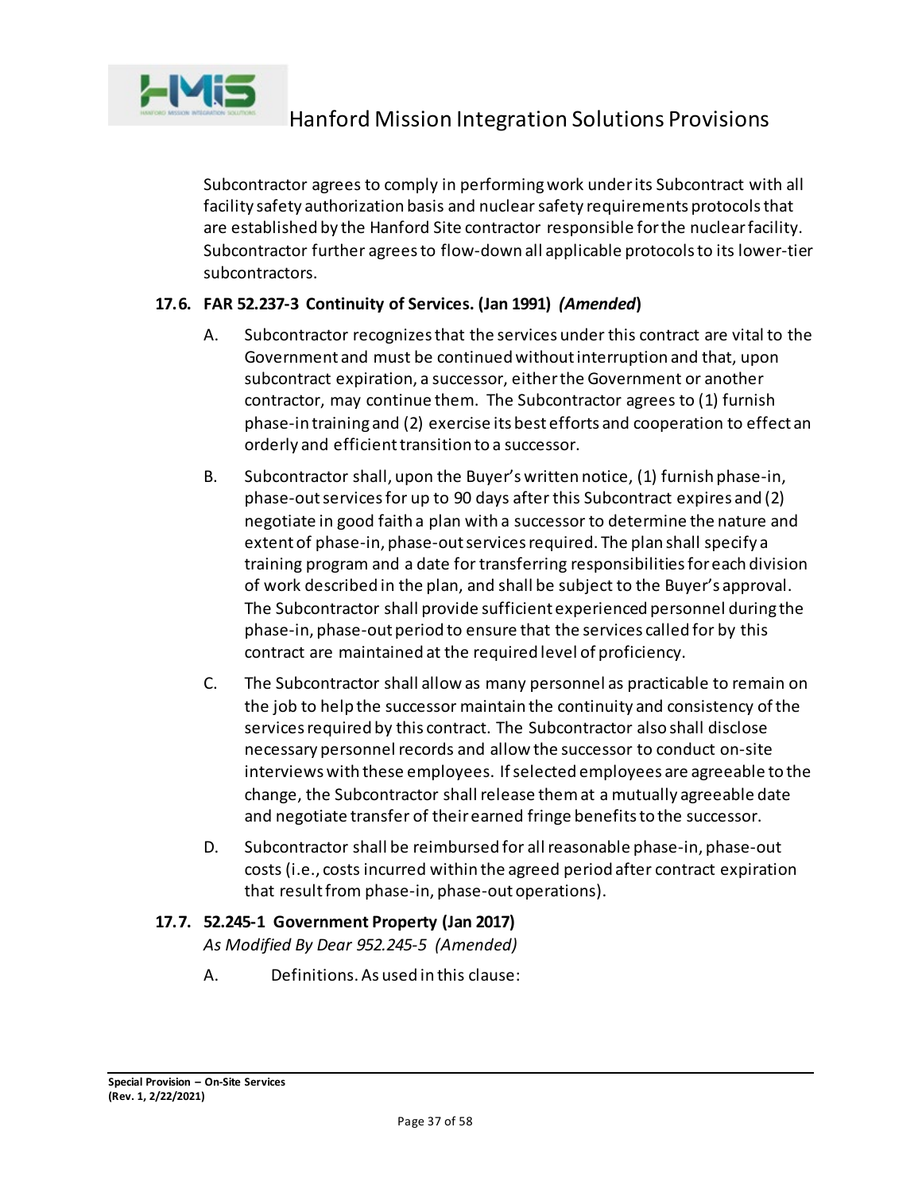

Subcontractor agrees to comply in performing work under its Subcontract with all facility safety authorization basis and nuclear safety requirements protocols that are established by the Hanford Site contractor responsible for the nuclear facility. Subcontractor further agrees to flow-down all applicable protocols to its lower-tier subcontractors.

### <span id="page-36-0"></span>**17.6. FAR 52.237-3 Continuity of Services. (Jan 1991)** *(Amended***)**

- A. Subcontractor recognizes that the services under this contract are vital to the Government and must be continued without interruption and that, upon subcontract expiration, a successor, either the Government or another contractor, may continue them. The Subcontractor agrees to (1) furnish phase-in training and (2) exercise its best efforts and cooperation to effect an orderly and efficient transition to a successor.
- B. Subcontractor shall, upon the Buyer's written notice, (1) furnish phase-in, phase-out services for up to 90 days after this Subcontract expires and (2) negotiate in good faith a plan with a successor to determine the nature and extent of phase-in, phase-out services required. The plan shall specify a training program and a date for transferring responsibilities for each division of work described in the plan, and shall be subject to the Buyer's approval. The Subcontractor shall provide sufficient experienced personnel during the phase-in, phase-out period to ensure that the services called for by this contract are maintained at the required level of proficiency.
- C. The Subcontractor shall allow as many personnel as practicable to remain on the job to help the successor maintain the continuity and consistency of the services required by this contract. The Subcontractor also shall disclose necessary personnel records and allow the successor to conduct on-site interviews with these employees. If selected employees are agreeable to the change, the Subcontractor shall release them at a mutually agreeable date and negotiate transfer of their earned fringe benefits to the successor.
- D. Subcontractor shall be reimbursed for all reasonable phase-in, phase-out costs (i.e., costs incurred within the agreed period after contract expiration that result from phase-in, phase-out operations).

#### <span id="page-36-1"></span>**17.7. 52.245-1 Government Property (Jan 2017)**

*As Modified By Dear 952.245-5 (Amended)*

A. Definitions. As used in this clause: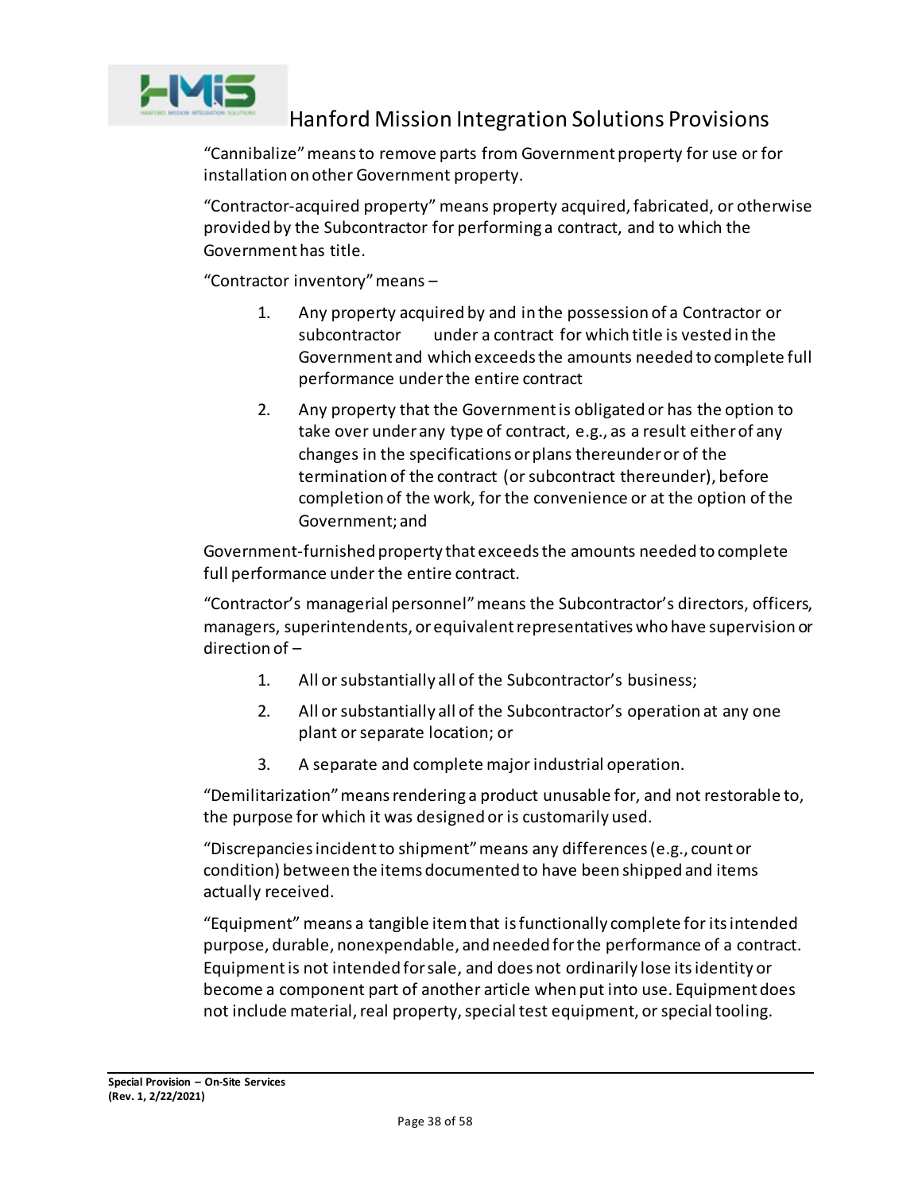

"Cannibalize" means to remove parts from Government property for use or for installation on other Government property.

"Contractor-acquired property" means property acquired, fabricated, or otherwise provided by the Subcontractor for performing a contract, and to which the Government has title.

"Contractor inventory" means –

- 1. Any property acquired by and in the possession of a Contractor or subcontractor under a contract for which title is vested in the Government and which exceeds the amounts needed to complete full performance under the entire contract
- 2. Any property that the Government is obligated or has the option to take over under any type of contract, e.g., as a result either of any changes in the specifications or plans thereunder or of the termination of the contract (or subcontract thereunder), before completion of the work, for the convenience or at the option of the Government; and

Government-furnished property that exceeds the amounts needed to complete full performance under the entire contract.

"Contractor's managerial personnel" means the Subcontractor's directors, officers, managers, superintendents, or equivalent representatives who have supervision or direction of –

- 1. All or substantially all of the Subcontractor's business;
- 2. All or substantially all of the Subcontractor's operation at any one plant or separate location; or
- 3. A separate and complete major industrial operation.

"Demilitarization" means rendering a product unusable for, and not restorable to, the purpose for which it was designed or is customarily used.

"Discrepancies incident to shipment" means any differences (e.g., count or condition) between the items documented to have been shipped and items actually received.

"Equipment" means a tangible item that is functionally complete for its intended purpose, durable, nonexpendable, and needed for the performance of a contract. Equipment is not intended for sale, and does not ordinarily lose its identity or become a component part of another article when put into use. Equipment does not include material, real property, special test equipment, or special tooling.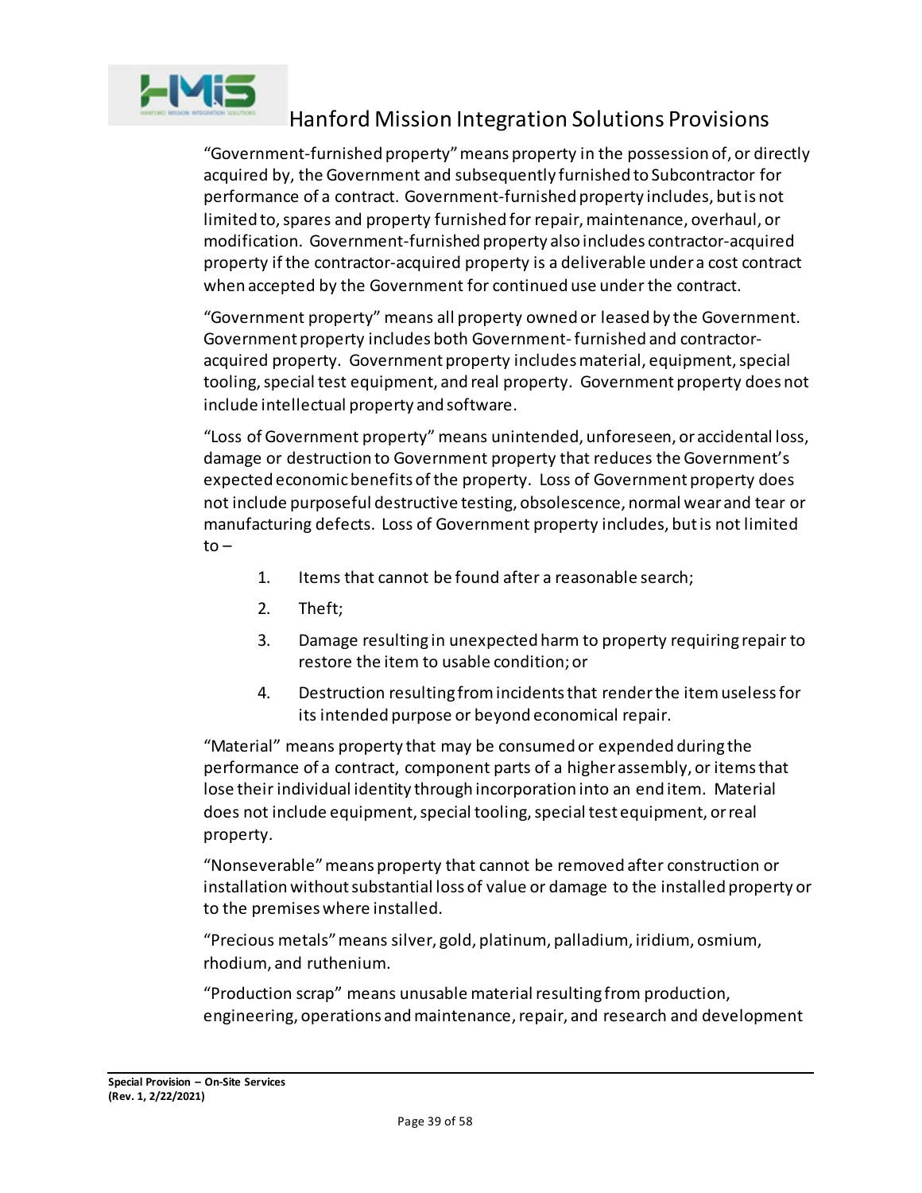

"Government-furnished property" means property in the possession of, or directly acquired by, the Government and subsequently furnished to Subcontractor for performance of a contract. Government-furnished property includes, but is not limited to, spares and property furnished for repair, maintenance, overhaul, or modification. Government-furnished property also includes contractor-acquired property if the contractor-acquired property is a deliverable under a cost contract when accepted by the Government for continued use under the contract.

"Government property" means all property owned or leased by the Government. Government property includes both Government- furnished and contractoracquired property. Government property includes material, equipment, special tooling, special test equipment, and real property. Government property does not include intellectual property and software.

"Loss of Government property" means unintended, unforeseen, or accidental loss, damage or destruction to Government property that reduces the Government's expected economic benefits of the property. Loss of Government property does not include purposeful destructive testing, obsolescence, normal wear and tear or manufacturing defects. Loss of Government property includes, but is not limited to –

- 1. Items that cannot be found after a reasonable search;
- 2. Theft;
- 3. Damage resulting in unexpected harm to property requiring repair to restore the item to usable condition; or
- 4. Destruction resulting from incidents that render the item useless for its intended purpose or beyond economical repair.

"Material" means property that may be consumed or expended during the performance of a contract, component parts of a higher assembly, or items that lose their individual identity through incorporation into an end item. Material does not include equipment, special tooling, special test equipment, or real property.

"Nonseverable" means property that cannot be removed after construction or installation without substantial loss of value or damage to the installed property or to the premises where installed.

"Precious metals" means silver, gold, platinum, palladium, iridium, osmium, rhodium, and ruthenium.

"Production scrap" means unusable material resulting from production, engineering, operations and maintenance, repair, and research and development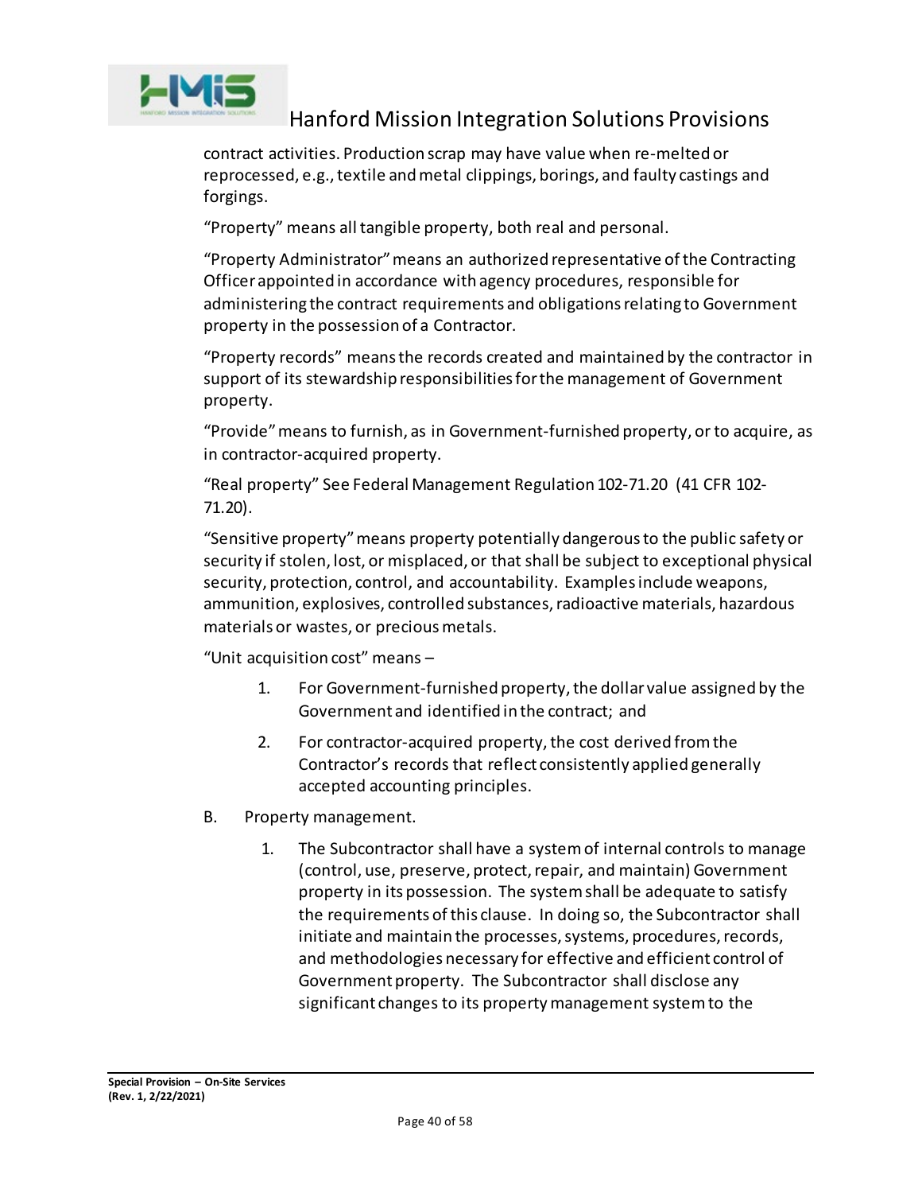

contract activities. Production scrap may have value when re-melted or reprocessed, e.g., textile and metal clippings, borings, and faulty castings and forgings.

"Property" means all tangible property, both real and personal.

"Property Administrator" means an authorized representative of the Contracting Officer appointed in accordance with agency procedures, responsible for administering the contract requirements and obligations relating to Government property in the possession of a Contractor.

"Property records" means the records created and maintained by the contractor in support of its stewardship responsibilities for the management of Government property.

"Provide" means to furnish, as in Government-furnished property, or to acquire, as in contractor-acquired property.

"Real property" See Federal Management Regulation 102-71.20 (41 CFR 102- 71.20).

"Sensitive property" means property potentially dangerous to the public safety or security if stolen, lost, or misplaced, or that shall be subject to exceptional physical security, protection, control, and accountability. Examples include weapons, ammunition, explosives, controlled substances, radioactive materials, hazardous materials or wastes, or precious metals.

"Unit acquisition cost" means –

- 1. For Government-furnished property, the dollar value assigned by the Government and identified in the contract; and
- 2. For contractor-acquired property, the cost derived from the Contractor's records that reflect consistently applied generally accepted accounting principles.
- B. Property management.
	- 1. The Subcontractor shall have a system of internal controls to manage (control, use, preserve, protect, repair, and maintain) Government property in its possession. The system shall be adequate to satisfy the requirements of this clause. In doing so, the Subcontractor shall initiate and maintain the processes, systems, procedures, records, and methodologies necessary for effective and efficient control of Government property. The Subcontractor shall disclose any significant changes to its property management system to the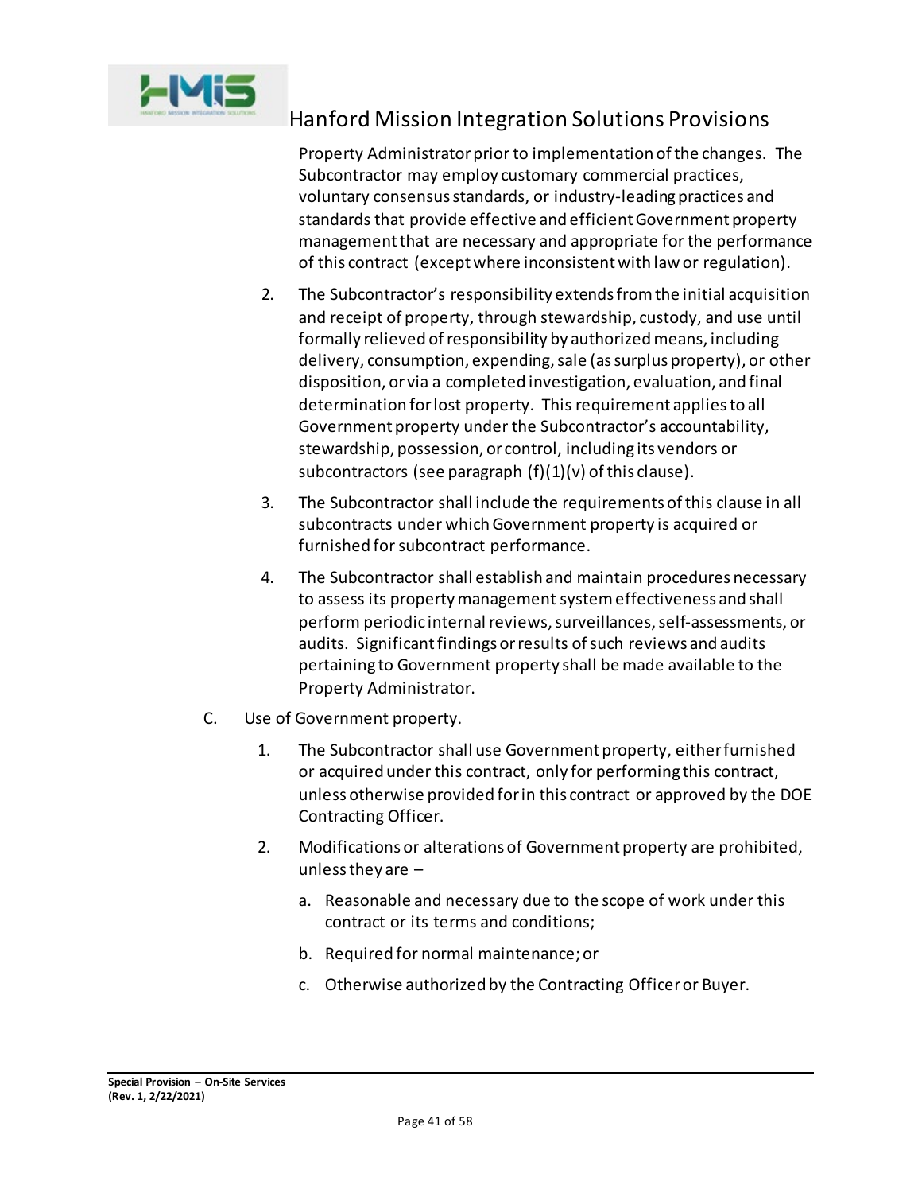

Property Administrator prior to implementation of the changes. The Subcontractor may employ customary commercial practices, voluntary consensus standards, or industry-leading practices and standards that provide effective and efficient Government property management that are necessary and appropriate for the performance of this contract (except where inconsistent with law or regulation).

- 2. The Subcontractor's responsibility extends from the initial acquisition and receipt of property, through stewardship, custody, and use until formally relieved of responsibility by authorized means, including delivery, consumption, expending, sale (as surplus property), or other disposition, or via a completed investigation, evaluation, and final determination for lost property. This requirement applies to all Government property under the Subcontractor's accountability, stewardship, possession, or control, including its vendors or subcontractors (see paragraph  $(f)(1)(v)$  of this clause).
- 3. The Subcontractor shall include the requirements of this clause in all subcontracts under which Government property is acquired or furnished for subcontract performance.
- 4. The Subcontractor shall establish and maintain procedures necessary to assess its property management system effectiveness and shall perform periodic internal reviews, surveillances, self-assessments, or audits. Significant findings or results of such reviews and audits pertaining to Government property shall be made available to the Property Administrator.
- C. Use of Government property.
	- 1. The Subcontractor shall use Government property, either furnished or acquired under this contract, only for performing this contract, unless otherwise provided for in this contract or approved by the DOE Contracting Officer.
	- 2. Modifications or alterations of Government property are prohibited, unless they are –
		- a. Reasonable and necessary due to the scope of work under this contract or its terms and conditions;
		- b. Required for normal maintenance; or
		- c. Otherwise authorized by the Contracting Officer or Buyer.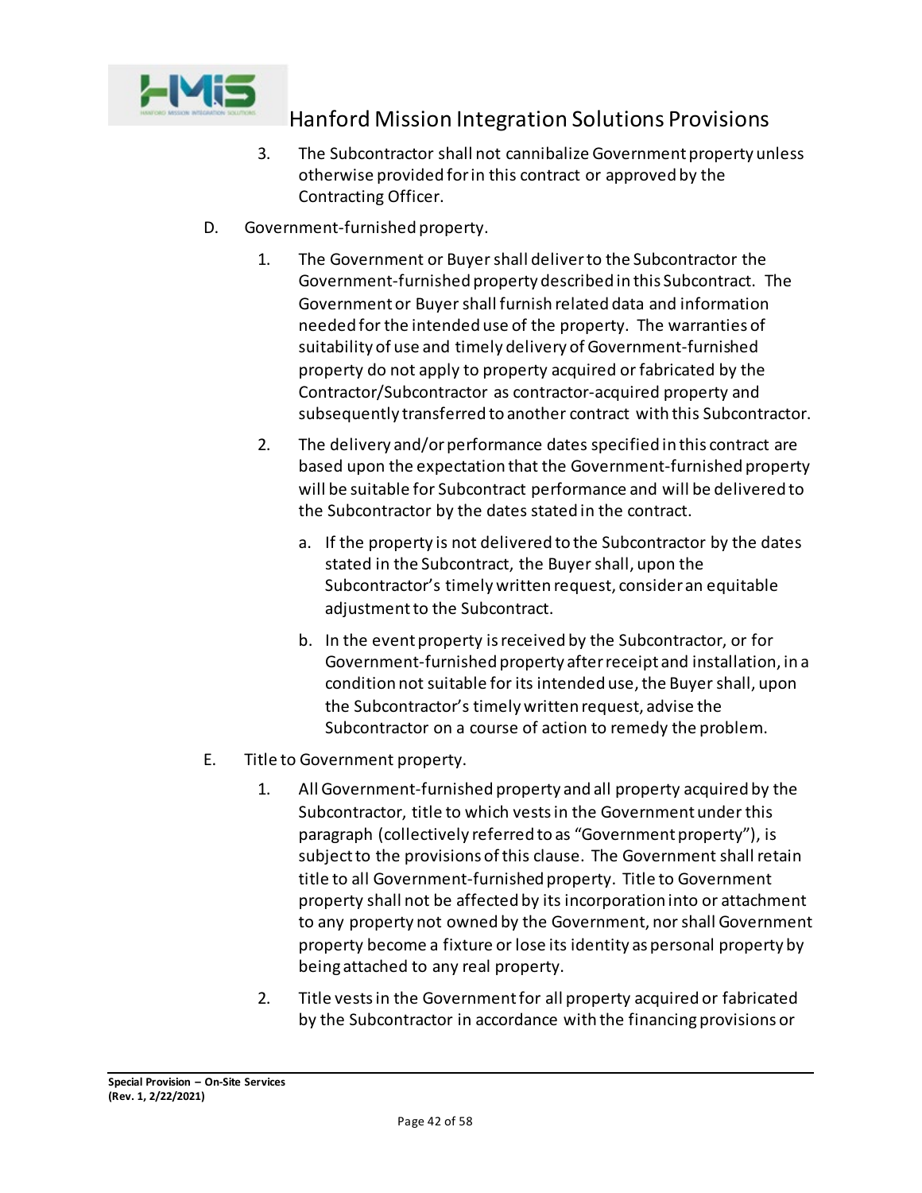

- 3. The Subcontractor shall not cannibalize Government property unless otherwise provided for in this contract or approved by the Contracting Officer.
- D. Government-furnished property.
	- 1. The Government or Buyer shall deliver to the Subcontractor the Government-furnished property described in this Subcontract. The Government or Buyer shall furnish related data and information needed for the intended use of the property. The warranties of suitability of use and timely delivery of Government-furnished property do not apply to property acquired or fabricated by the Contractor/Subcontractor as contractor-acquired property and subsequently transferred to another contract with this Subcontractor.
	- 2. The delivery and/or performance dates specified in this contract are based upon the expectation that the Government-furnished property will be suitable for Subcontract performance and will be delivered to the Subcontractor by the dates stated in the contract.
		- a. If the property is not delivered to the Subcontractor by the dates stated in the Subcontract, the Buyer shall, upon the Subcontractor's timely written request, consider an equitable adjustment to the Subcontract.
		- b. In the event property is received by the Subcontractor, or for Government-furnished property after receipt and installation, in a condition not suitable for its intended use, the Buyer shall, upon the Subcontractor's timely written request, advise the Subcontractor on a course of action to remedy the problem.
- E. Title to Government property.
	- 1. All Government-furnished property and all property acquired by the Subcontractor, title to which vests in the Government under this paragraph (collectively referred to as "Government property"), is subject to the provisions of this clause. The Government shall retain title to all Government-furnished property. Title to Government property shall not be affected by its incorporation into or attachment to any property not owned by the Government, nor shall Government property become a fixture or lose its identity as personal property by being attached to any real property.
	- 2. Title vests in the Government for all property acquired or fabricated by the Subcontractor in accordance with the financing provisions or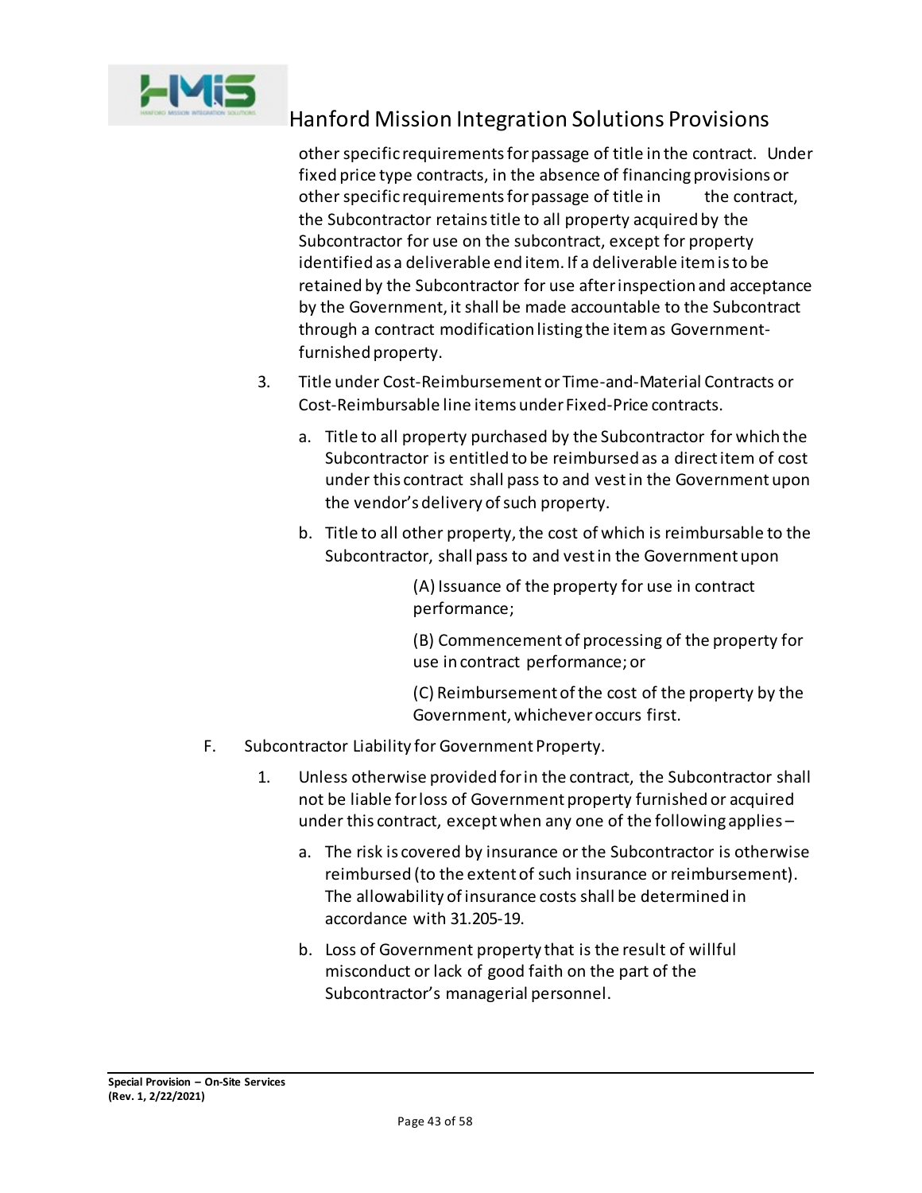

other specific requirements for passage of title in the contract. Under fixed price type contracts, in the absence of financing provisions or other specific requirements for passage of title in the contract, the Subcontractor retains title to all property acquired by the Subcontractor for use on the subcontract, except for property identified as a deliverable end item. If a deliverable item is to be retained by the Subcontractor for use after inspection and acceptance by the Government, it shall be made accountable to the Subcontract through a contract modification listing the item as Governmentfurnished property.

- 3. Title under Cost-Reimbursement or Time-and-Material Contracts or Cost-Reimbursable line items under Fixed-Price contracts.
	- a. Title to all property purchased by the Subcontractor for which the Subcontractor is entitled to be reimbursed as a direct item of cost under this contract shall pass to and vest in the Government upon the vendor's delivery of such property.
	- b. Title to all other property, the cost of which is reimbursable to the Subcontractor, shall pass to and vest in the Government upon

(A) Issuance of the property for use in contract performance;

(B) Commencement of processing of the property for use in contract performance; or

(C) Reimbursement of the cost of the property by the Government, whichever occurs first.

- F. Subcontractor Liability for Government Property.
	- 1. Unless otherwise provided for in the contract, the Subcontractor shall not be liable for loss of Government property furnished or acquired under this contract, except when any one of the following applies –
		- a. The risk is covered by insurance or the Subcontractor is otherwise reimbursed (to the extent of such insurance or reimbursement). The allowability of insurance costs shall be determined in accordance with 31.205-19.
		- b. Loss of Government property that is the result of willful misconduct or lack of good faith on the part of the Subcontractor's managerial personnel.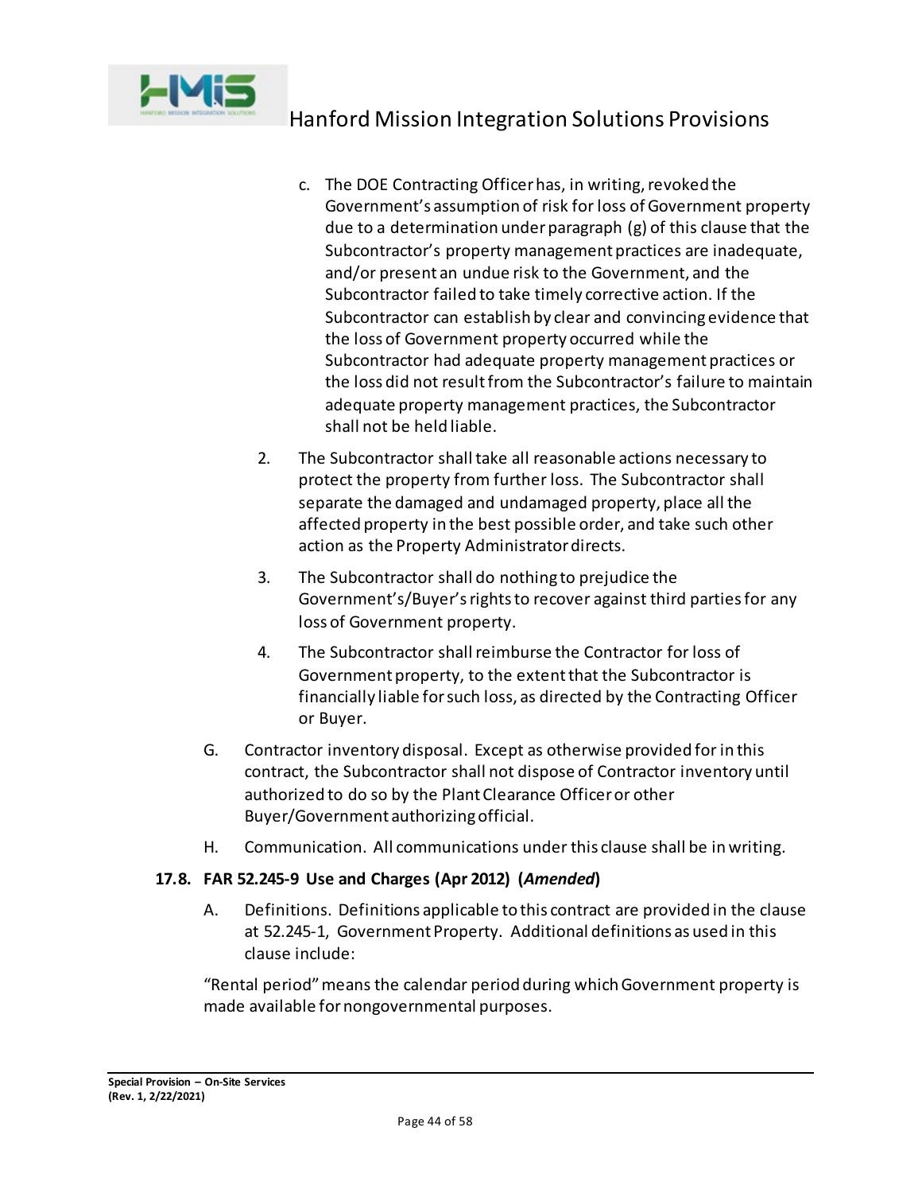

- c. The DOE Contracting Officer has, in writing, revoked the Government's assumption of risk for loss of Government property due to a determination under paragraph (g) of this clause that the Subcontractor's property management practices are inadequate, and/or present an undue risk to the Government, and the Subcontractor failed to take timely corrective action. If the Subcontractor can establish by clear and convincing evidence that the loss of Government property occurred while the Subcontractor had adequate property management practices or the loss did not result from the Subcontractor's failure to maintain adequate property management practices, the Subcontractor shall not be held liable.
- 2. The Subcontractor shall take all reasonable actions necessary to protect the property from further loss. The Subcontractor shall separate the damaged and undamaged property, place all the affected property in the best possible order, and take such other action as the Property Administrator directs.
- 3. The Subcontractor shall do nothing to prejudice the Government's/Buyer's rights to recover against third parties for any loss of Government property.
- 4. The Subcontractor shall reimburse the Contractor for loss of Government property, to the extent that the Subcontractor is financially liable for such loss, as directed by the Contracting Officer or Buyer.
- G. Contractor inventory disposal. Except as otherwise provided for in this contract, the Subcontractor shall not dispose of Contractor inventory until authorized to do so by the Plant Clearance Officer or other Buyer/Government authorizing official.
- H. Communication. All communications under this clause shall be in writing.

### <span id="page-43-0"></span>**17.8. FAR 52.245-9 Use and Charges (Apr 2012) (***Amended***)**

A. Definitions. Definitions applicable to this contract are provided in the clause at 52.245-1, Government Property. Additional definitions as used in this clause include:

"Rental period" means the calendar period during which Government property is made available for nongovernmental purposes.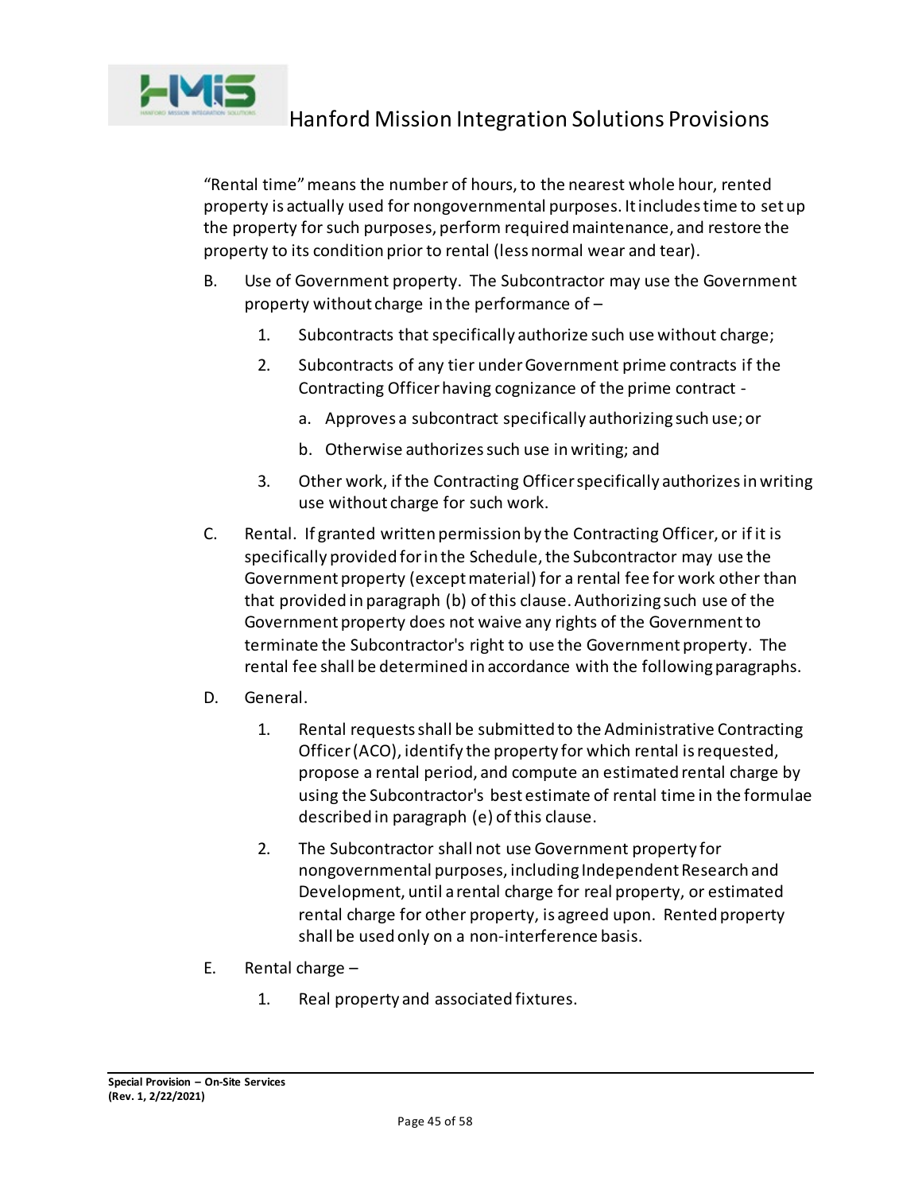

"Rental time" means the number of hours, to the nearest whole hour, rented property is actually used for nongovernmental purposes. It includes time to set up the property for such purposes, perform required maintenance, and restore the property to its condition prior to rental (less normal wear and tear).

- B. Use of Government property. The Subcontractor may use the Government property without charge in the performance of –
	- 1. Subcontracts that specifically authorize such use without charge;
	- 2. Subcontracts of any tier under Government prime contracts if the Contracting Officer having cognizance of the prime contract
		- a. Approves a subcontract specifically authorizing such use; or
		- b. Otherwise authorizes such use in writing; and
	- 3. Other work, if the Contracting Officer specifically authorizes in writing use without charge for such work.
- C. Rental. If granted written permission by the Contracting Officer, or if it is specifically provided for in the Schedule, the Subcontractor may use the Government property (except material) for a rental fee for work other than that provided in paragraph (b) of this clause. Authorizing such use of the Government property does not waive any rights of the Government to terminate the Subcontractor's right to use the Government property. The rental fee shall be determined in accordance with the following paragraphs.
- D. General.
	- 1. Rental requests shall be submitted to the Administrative Contracting Officer (ACO), identify the property for which rental is requested, propose a rental period, and compute an estimated rental charge by using the Subcontractor's best estimate of rental time in the formulae described in paragraph (e) of this clause.
	- 2. The Subcontractor shall not use Government property for nongovernmental purposes, including Independent Research and Development, until a rental charge for real property, or estimated rental charge for other property, is agreed upon. Rented property shall be used only on a non-interference basis.
- E. Rental charge
	- 1. Real property and associated fixtures.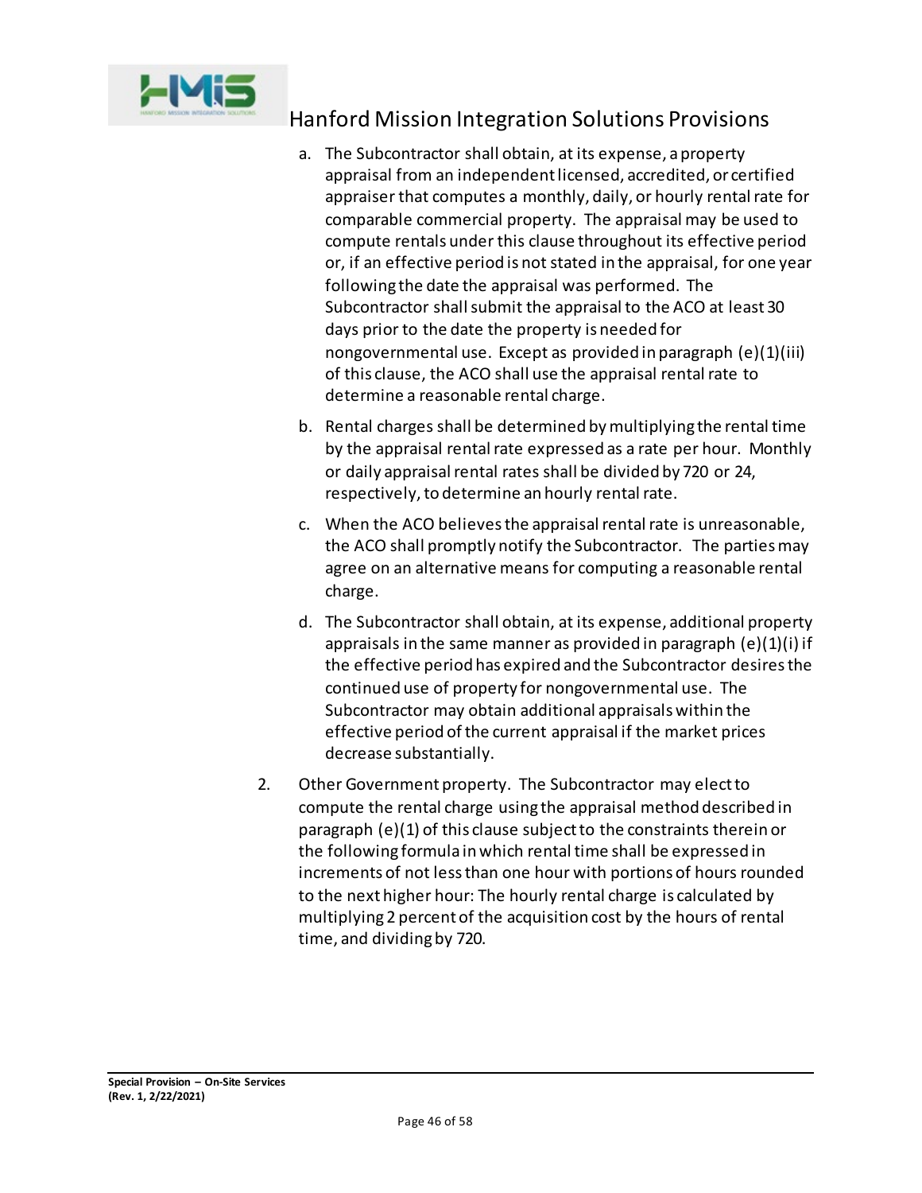

- a. The Subcontractor shall obtain, at its expense, a property appraisal from an independent licensed, accredited, or certified appraiser that computes a monthly, daily, or hourly rental rate for comparable commercial property. The appraisal may be used to compute rentals under this clause throughout its effective period or, if an effective period is not stated in the appraisal, for one year following the date the appraisal was performed. The Subcontractor shall submit the appraisal to the ACO at least 30 days prior to the date the property is needed for nongovernmental use. Except as provided in paragraph (e)(1)(iii) of this clause, the ACO shall use the appraisal rental rate to determine a reasonable rental charge.
- b. Rental charges shall be determined by multiplying the rental time by the appraisal rental rate expressed as a rate per hour. Monthly or daily appraisal rental rates shall be divided by 720 or 24, respectively, to determine an hourly rental rate.
- c. When the ACO believes the appraisal rental rate is unreasonable, the ACO shall promptly notify the Subcontractor. The parties may agree on an alternative means for computing a reasonable rental charge.
- d. The Subcontractor shall obtain, at its expense, additional property appraisals in the same manner as provided in paragraph (e)(1)(i) if the effective period has expired and the Subcontractor desires the continued use of property for nongovernmental use. The Subcontractor may obtain additional appraisals within the effective period of the current appraisal if the market prices decrease substantially.
- 2. Other Government property. The Subcontractor may elect to compute the rental charge using the appraisal method described in paragraph (e)(1) of this clause subject to the constraints therein or the following formula in which rental time shall be expressed in increments of not less than one hour with portions of hours rounded to the next higher hour: The hourly rental charge is calculated by multiplying 2 percent of the acquisition cost by the hours of rental time, and dividing by 720.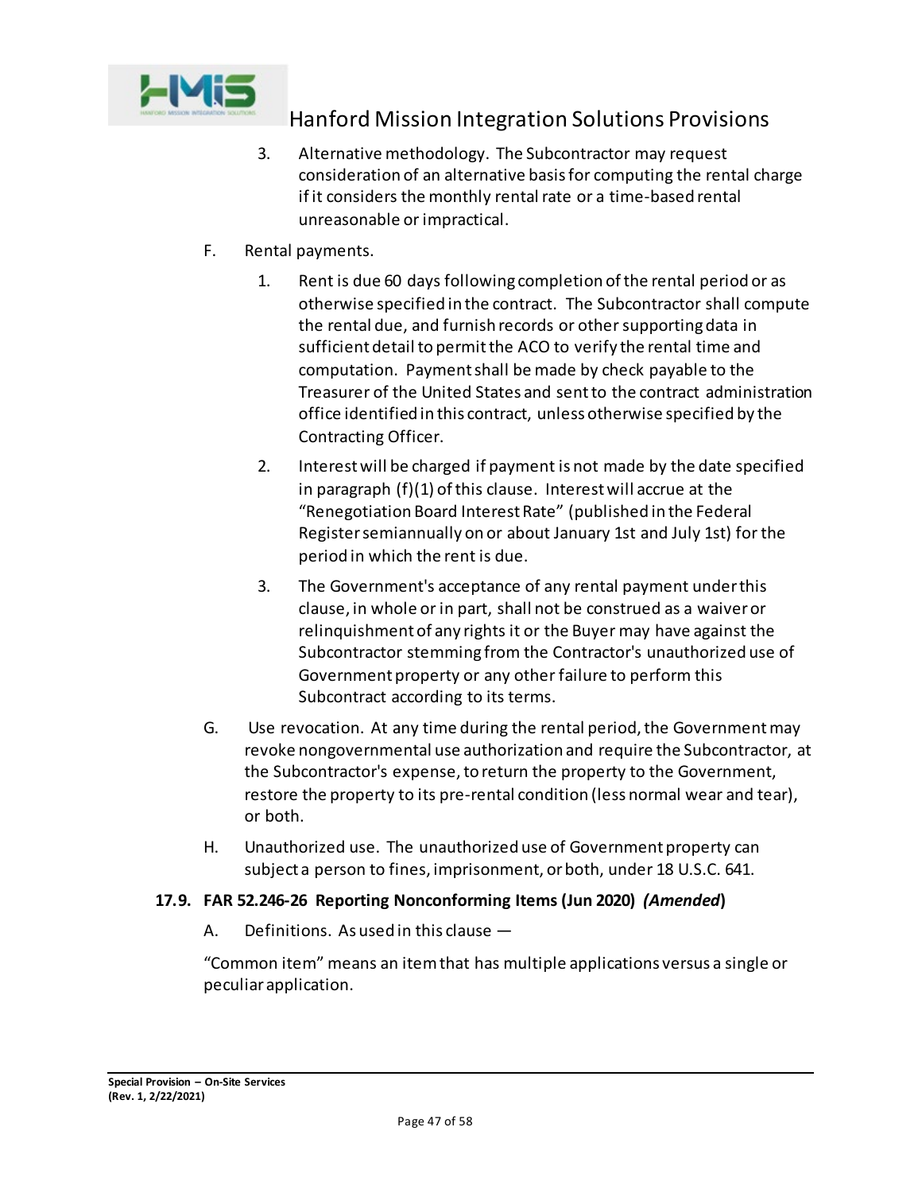

- 3. Alternative methodology. The Subcontractor may request consideration of an alternative basis for computing the rental charge if it considers the monthly rental rate or a time-based rental unreasonable or impractical.
- F. Rental payments.
	- 1. Rent is due 60 days following completion of the rental period or as otherwise specified in the contract. The Subcontractor shall compute the rental due, and furnish records or other supporting data in sufficient detail to permit the ACO to verify the rental time and computation. Payment shall be made by check payable to the Treasurer of the United States and sent to the contract administration office identified in this contract, unless otherwise specified by the Contracting Officer.
	- 2. Interest will be charged if payment is not made by the date specified in paragraph (f)(1) of this clause. Interest will accrue at the "Renegotiation Board Interest Rate" (published in the Federal Register semiannually on or about January 1st and July 1st) for the period in which the rent is due.
	- 3. The Government's acceptance of any rental payment under this clause, in whole or in part, shall not be construed as a waiver or relinquishment of any rights it or the Buyer may have against the Subcontractor stemming from the Contractor's unauthorized use of Government property or any other failure to perform this Subcontract according to its terms.
- G. Use revocation. At any time during the rental period, the Government may revoke nongovernmental use authorization and require the Subcontractor, at the Subcontractor's expense, to return the property to the Government, restore the property to its pre-rental condition (less normal wear and tear), or both.
- H. Unauthorized use. The unauthorized use of Government property can subject a person to fines, imprisonment, or both, under 18 U.S.C. 641.

### <span id="page-46-0"></span>**17.9. FAR 52.246-26 Reporting Nonconforming Items (Jun 2020)** *(Amended***)**

A. Definitions. As used in this clause —

"Common item" means an item that has multiple applications versus a single or peculiar application.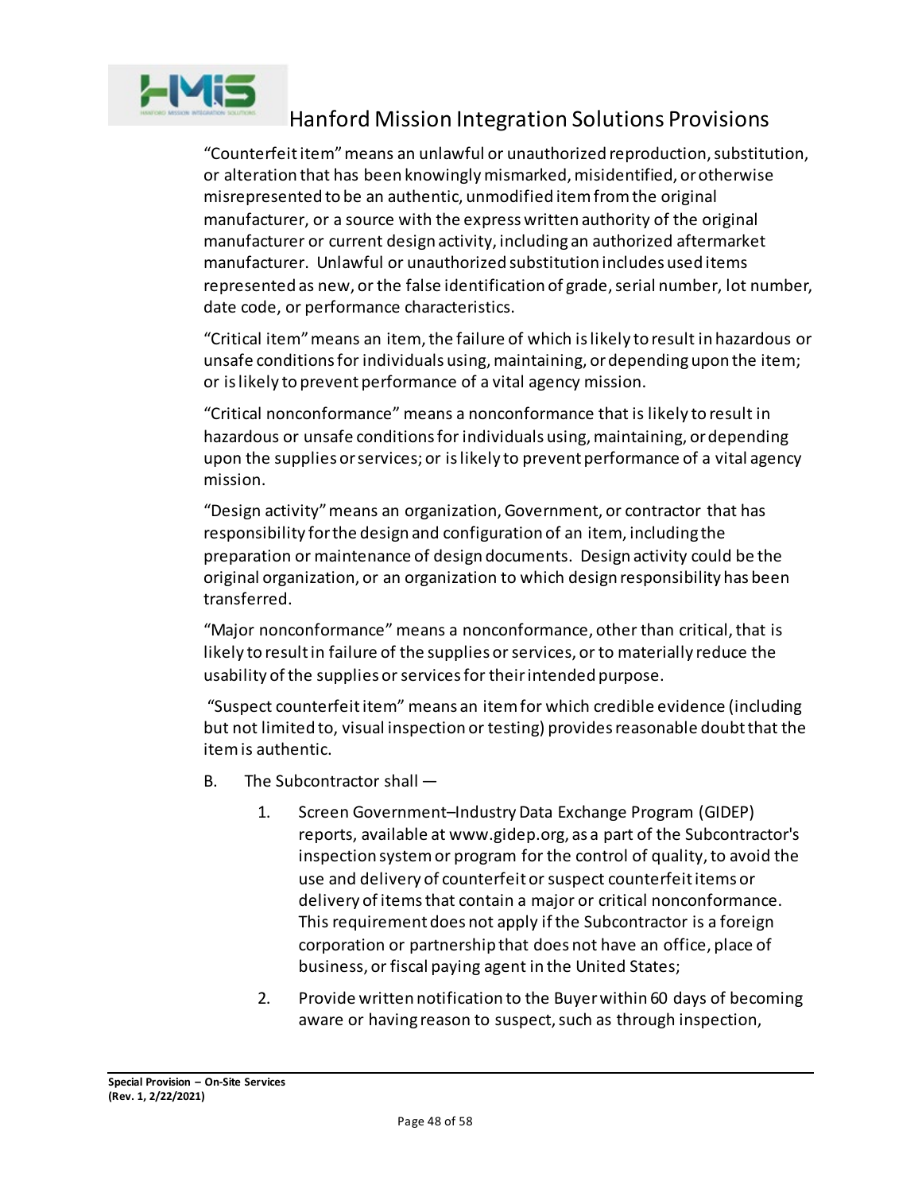

"Counterfeit item" means an unlawful or unauthorized reproduction, substitution, or alteration that has been knowingly mismarked, misidentified, or otherwise misrepresented to be an authentic, unmodified item from the original manufacturer, or a source with the express written authority of the original manufacturer or current design activity, including an authorized aftermarket manufacturer. Unlawful or unauthorized substitution includes used items represented as new, or the false identification of grade, serial number, lot number, date code, or performance characteristics.

"Critical item" means an item, the failure of which is likely to result in hazardous or unsafe conditions for individuals using, maintaining, or depending upon the item; or is likely to prevent performance of a vital agency mission.

"Critical nonconformance" means a nonconformance that is likely to result in hazardous or unsafe conditions for individuals using, maintaining, or depending upon the supplies or services; or is likely to prevent performance of a vital agency mission.

"Design activity" means an organization, Government, or contractor that has responsibility for the design and configuration of an item, including the preparation or maintenance of design documents. Design activity could be the original organization, or an organization to which design responsibility has been transferred.

"Major nonconformance" means a nonconformance, other than critical, that is likely to result in failure of the supplies or services, or to materially reduce the usability of the supplies or services for their intended purpose.

"Suspect counterfeit item" means an item for which credible evidence (including but not limited to, visual inspection or testing) provides reasonable doubt that the item is authentic.

- B. The Subcontractor shall
	- 1. Screen Government–Industry Data Exchange Program (GIDEP) reports, available at www.gidep.org, as a part of the Subcontractor's inspection system or program for the control of quality, to avoid the use and delivery of counterfeit or suspect counterfeit items or delivery of items that contain a major or critical nonconformance. This requirement does not apply if the Subcontractor is a foreign corporation or partnership that does not have an office, place of business, or fiscal paying agent in the United States;
	- 2. Provide written notification to the Buyer within 60 days of becoming aware or having reason to suspect, such as through inspection,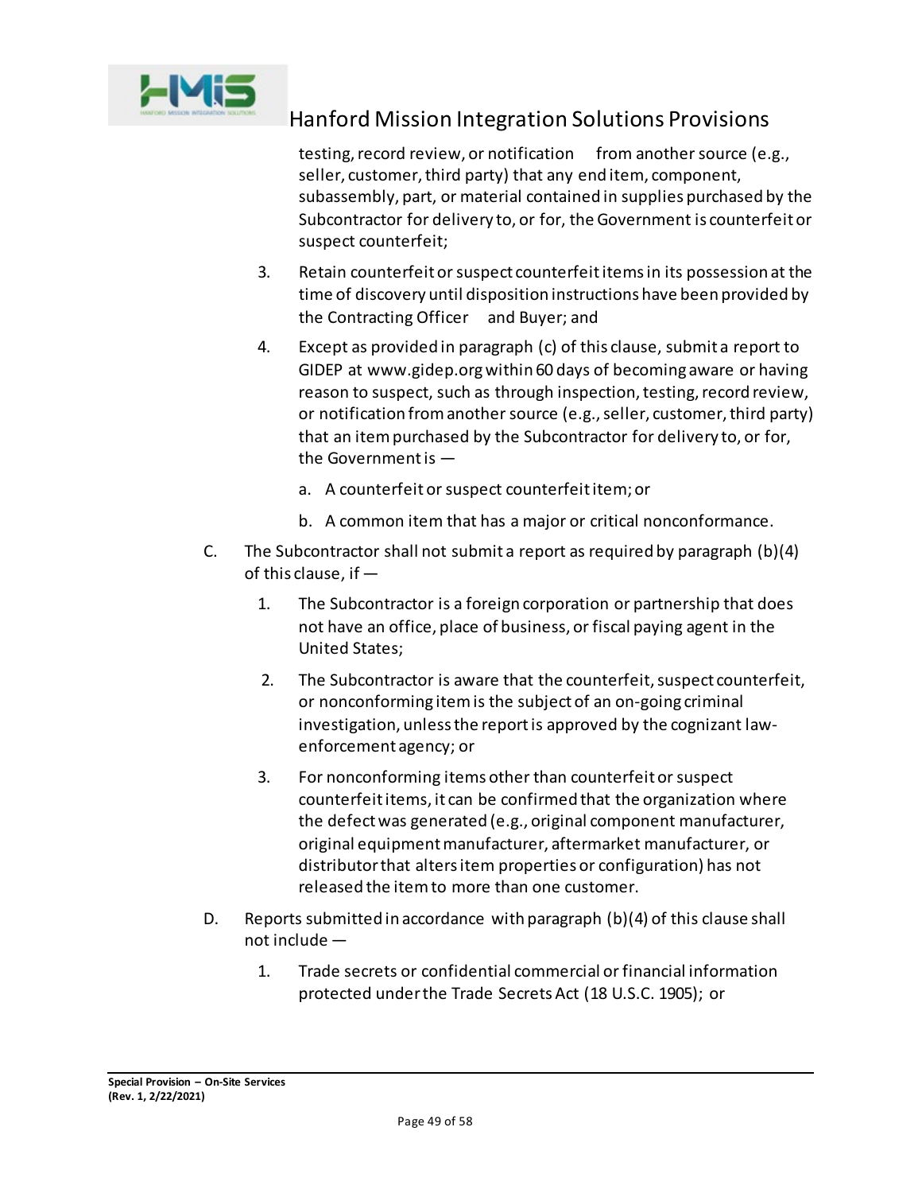

testing, record review, or notification from another source (e.g., seller, customer, third party) that any end item, component, subassembly, part, or material contained in supplies purchased by the Subcontractor for delivery to, or for, the Government is counterfeit or suspect counterfeit;

- 3. Retain counterfeit or suspect counterfeit items in its possession at the time of discovery until disposition instructions have been provided by the Contracting Officer and Buyer; and
- 4. Except as provided in paragraph (c) of this clause, submit a report to GIDEP at www.gidep.org within 60 days of becoming aware or having reason to suspect, such as through inspection, testing, record review, or notification from another source (e.g., seller, customer, third party) that an item purchased by the Subcontractor for delivery to, or for, the Government is
	- a. A counterfeit or suspect counterfeit item; or
	- b. A common item that has a major or critical nonconformance.
- C. The Subcontractor shall not submit a report as required by paragraph (b)(4) of this clause, if —
	- 1. The Subcontractor is a foreign corporation or partnership that does not have an office, place of business, or fiscal paying agent in the United States;
	- 2. The Subcontractor is aware that the counterfeit, suspect counterfeit, or nonconforming item is the subject of an on-going criminal investigation, unless the report is approved by the cognizant lawenforcement agency; or
	- 3. For nonconforming items other than counterfeit or suspect counterfeit items, it can be confirmed that the organization where the defect was generated (e.g., original component manufacturer, original equipment manufacturer, aftermarket manufacturer, or distributor that alters item properties or configuration) has not released the item to more than one customer.
- D. Reports submitted in accordance with paragraph (b)(4) of this clause shall not include —
	- 1. Trade secrets or confidential commercial or financial information protected under the Trade Secrets Act (18 U.S.C. 1905); or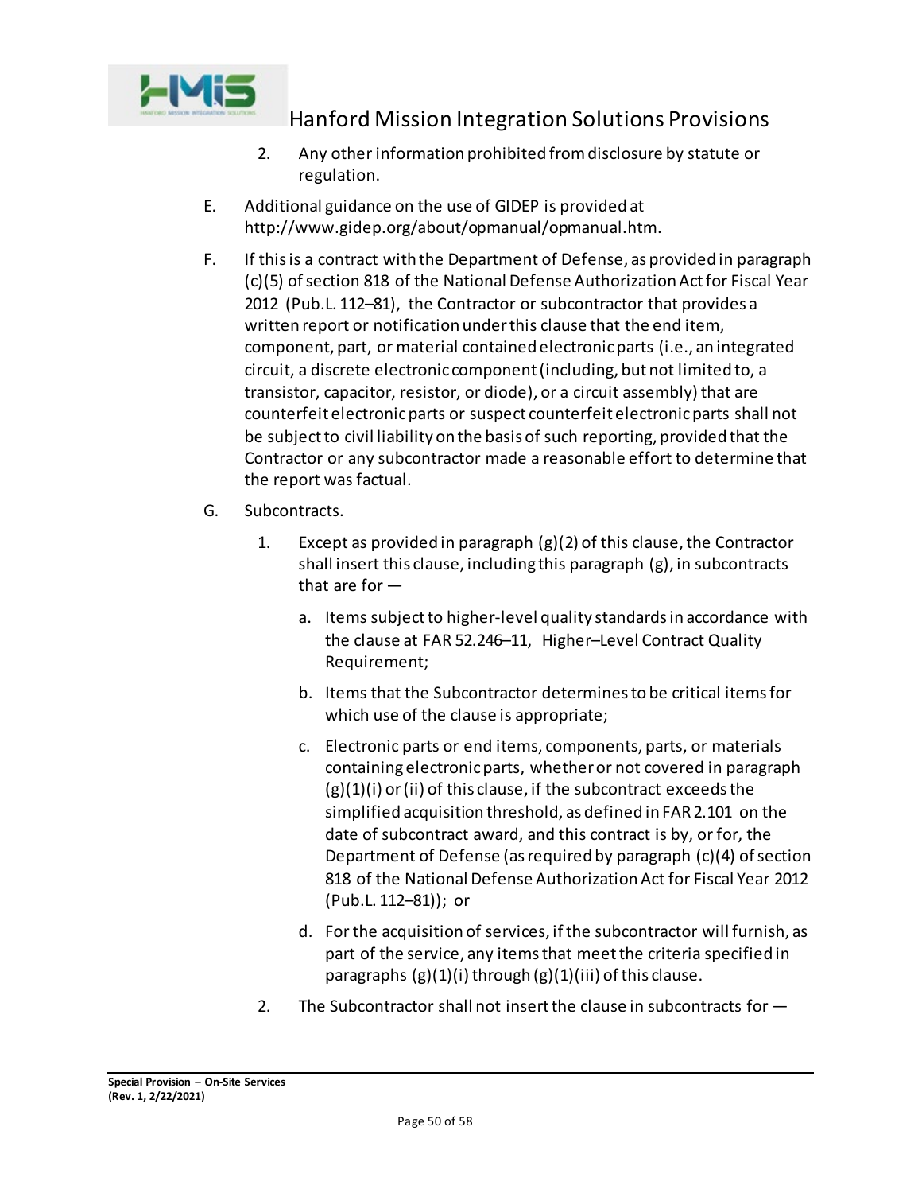

- 2. Any other information prohibited from disclosure by statute or regulation.
- E. Additional guidance on the use of GIDEP is provided at http://www.gidep.org/about/opmanual/opmanual.htm.
- F. If this is a contract with the Department of Defense, as provided in paragraph (c)(5) of section 818 of the National Defense Authorization Act for Fiscal Year 2012 (Pub.L. 112–81), the Contractor or subcontractor that provides a written report or notification under this clause that the end item, component, part, or material contained electronic parts (i.e., an integrated circuit, a discrete electronic component (including, but not limited to, a transistor, capacitor, resistor, or diode), or a circuit assembly) that are counterfeit electronic parts or suspect counterfeit electronic parts shall not be subject to civil liability on the basis of such reporting, provided that the Contractor or any subcontractor made a reasonable effort to determine that the report was factual.
- G. Subcontracts.
	- 1. Except as provided in paragraph (g)(2) of this clause, the Contractor shall insert this clause, including this paragraph (g), in subcontracts that are for
		- a. Items subject to higher-level quality standards in accordance with the clause at FAR 52.246–11, Higher–Level Contract Quality Requirement;
		- b. Items that the Subcontractor determines to be critical items for which use of the clause is appropriate;
		- c. Electronic parts or end items, components, parts, or materials containing electronic parts, whether or not covered in paragraph  $(g)(1)(i)$  or (ii) of this clause, if the subcontract exceeds the simplified acquisition threshold, as defined in FAR 2.101 on the date of subcontract award, and this contract is by, or for, the Department of Defense (as required by paragraph (c)(4) of section 818 of the National Defense Authorization Act for Fiscal Year 2012 (Pub.L. 112–81)); or
		- d. For the acquisition of services, ifthe subcontractor will furnish, as part of the service, any items that meet the criteria specified in paragraphs  $(g)(1)(i)$  through  $(g)(1)(iii)$  of this clause.
	- 2. The Subcontractor shall not insert the clause in subcontracts for -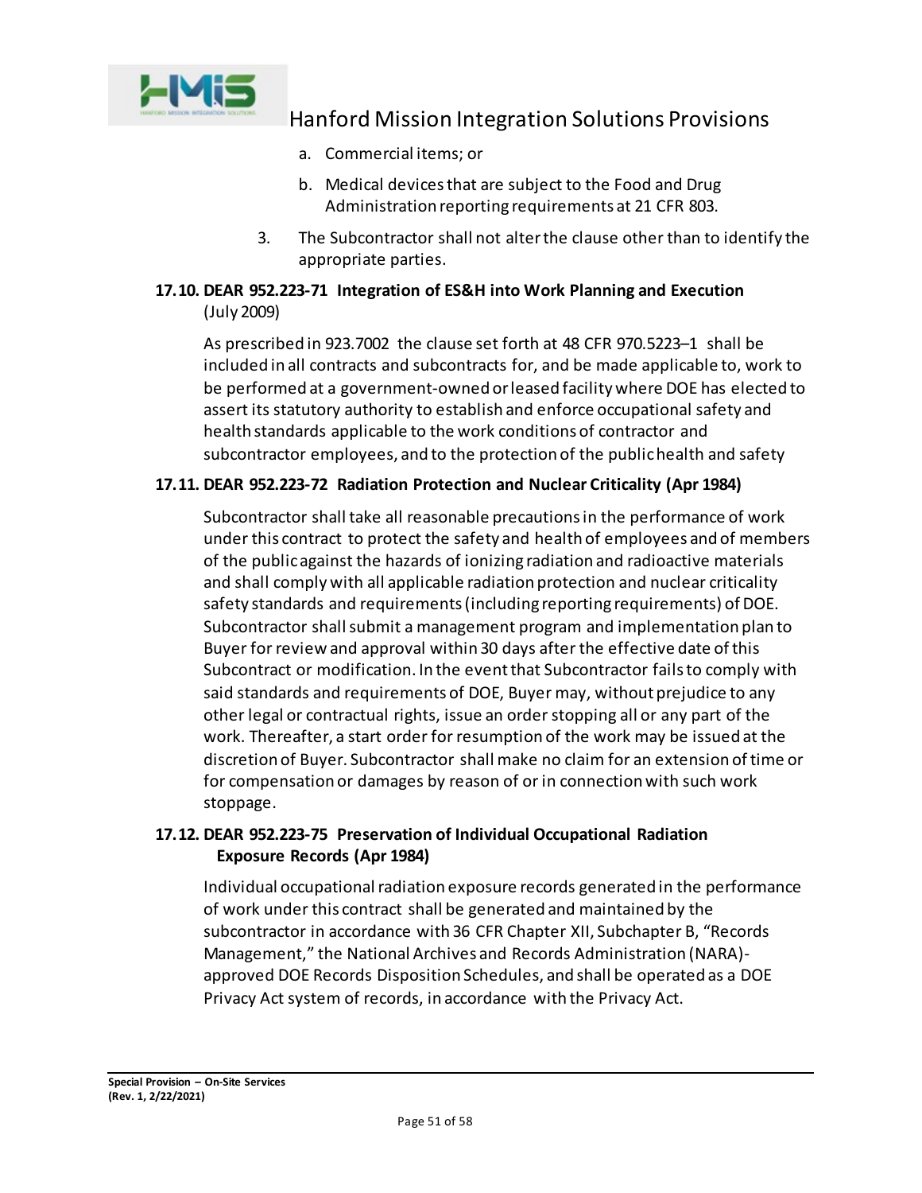

- a. Commercial items; or
- b. Medical devices that are subject to the Food and Drug Administration reporting requirements at 21 CFR 803.
- 3. The Subcontractor shall not alter the clause other than to identify the appropriate parties.

### <span id="page-50-0"></span>**17.10. DEAR 952.223-71 Integration of ES&H into Work Planning and Execution**  (July 2009)

As prescribed in 923.7002 the clause set forth at 48 CFR 970.5223–1 shall be included in all contracts and subcontracts for, and be made applicable to, work to be performed at a government-owned or leased facility where DOE has elected to assert its statutory authority to establish and enforce occupational safety and health standards applicable to the work conditions of contractor and subcontractor employees, and to the protection of the public health and safety

### <span id="page-50-1"></span>**17.11. DEAR 952.223-72 Radiation Protection and Nuclear Criticality (Apr 1984)**

Subcontractor shall take all reasonable precautions in the performance of work under this contract to protect the safety and health of employees and of members of the public against the hazards of ionizing radiation and radioactive materials and shall comply with all applicable radiation protection and nuclear criticality safety standards and requirements (including reporting requirements) of DOE. Subcontractor shall submit a management program and implementation plan to Buyer for review and approval within 30 days after the effective date of this Subcontract or modification. In the event that Subcontractor fails to comply with said standards and requirements of DOE, Buyer may, without prejudice to any other legal or contractual rights, issue an order stopping all or any part of the work. Thereafter, a start order for resumption of the work may be issued at the discretion of Buyer. Subcontractor shall make no claim for an extension of time or for compensation or damages by reason of or in connection with such work stoppage.

### <span id="page-50-2"></span>**17.12. DEAR 952.223-75 Preservation of Individual Occupational Radiation Exposure Records (Apr 1984)**

Individual occupational radiation exposure records generated in the performance of work under this contract shall be generated and maintained by the subcontractor in accordance with 36 CFR Chapter XII, Subchapter B, "Records Management," the National Archives and Records Administration (NARA) approved DOE Records Disposition Schedules, and shall be operated as a DOE Privacy Act system of records, in accordance with the Privacy Act.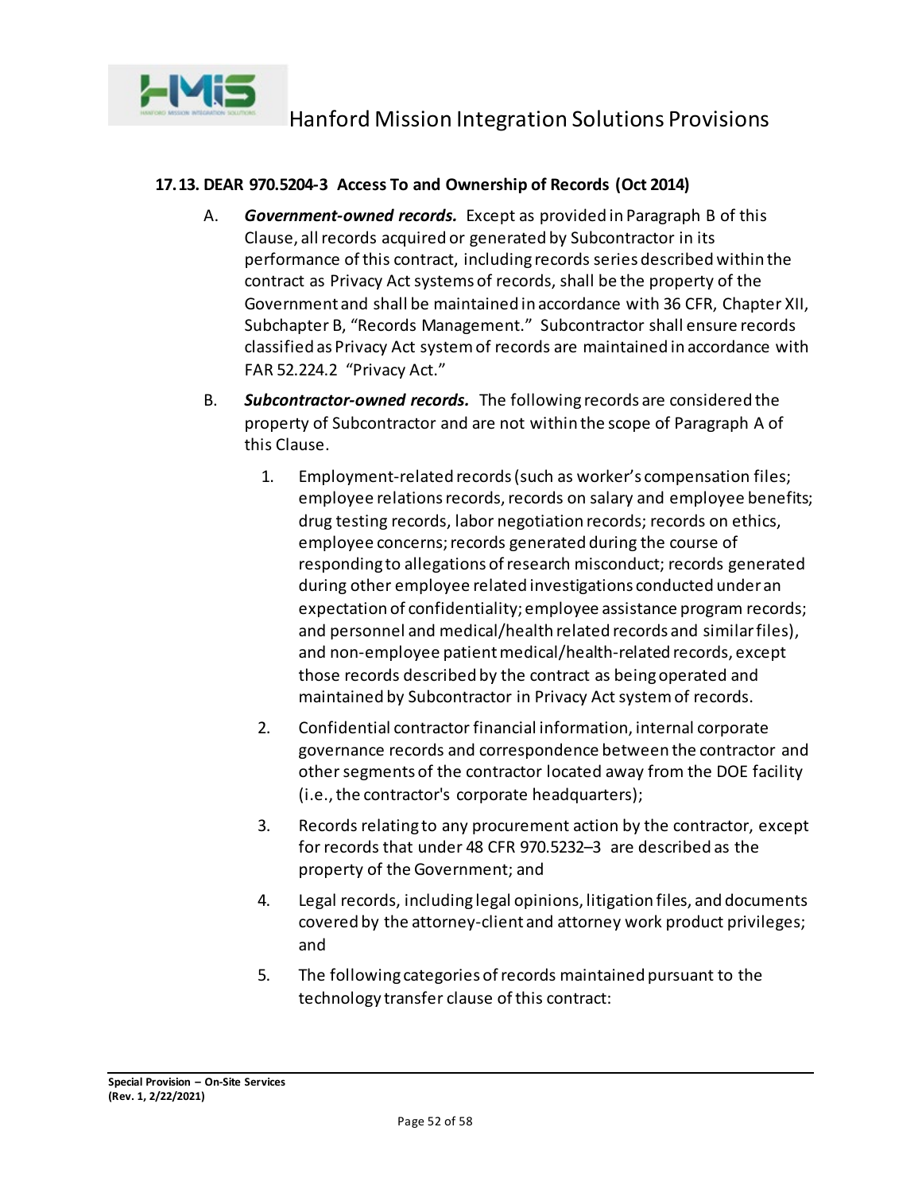

### <span id="page-51-0"></span>**17.13. DEAR 970.5204-3 Access To and Ownership of Records (Oct 2014)**

- A. *Government-owned records.* Except as provided in Paragraph B of this Clause, all records acquired or generated by Subcontractor in its performance of this contract, including records series described within the contract as Privacy Act systems of records, shall be the property of the Government and shall be maintained in accordance with 36 CFR, Chapter XII, Subchapter B, "Records Management." Subcontractor shall ensure records classified as Privacy Act system of records are maintained in accordance with FAR 52.224.2 "Privacy Act."
- B. *Subcontractor-owned records.* The following records are considered the property of Subcontractor and are not within the scope of Paragraph A of this Clause.
	- 1. Employment-related records (such as worker's compensation files; employee relations records, records on salary and employee benefits; drug testing records, labor negotiation records; records on ethics, employee concerns; records generated during the course of responding to allegations of research misconduct; records generated during other employee related investigations conducted under an expectation of confidentiality; employee assistance program records; and personnel and medical/health related records and similar files), and non-employee patient medical/health-related records, except those records described by the contract as being operated and maintained by Subcontractor in Privacy Act system of records.
	- 2. Confidential contractor financial information, internal corporate governance records and correspondence between the contractor and other segments of the contractor located away from the DOE facility (i.e., the contractor's corporate headquarters);
	- 3. Records relating to any procurement action by the contractor, except for records that under 48 CFR 970.5232–3 are described as the property of the Government; and
	- 4. Legal records, including legal opinions, litigation files, and documents covered by the attorney-client and attorney work product privileges; and
	- 5. The following categories of records maintained pursuant to the technology transfer clause of this contract: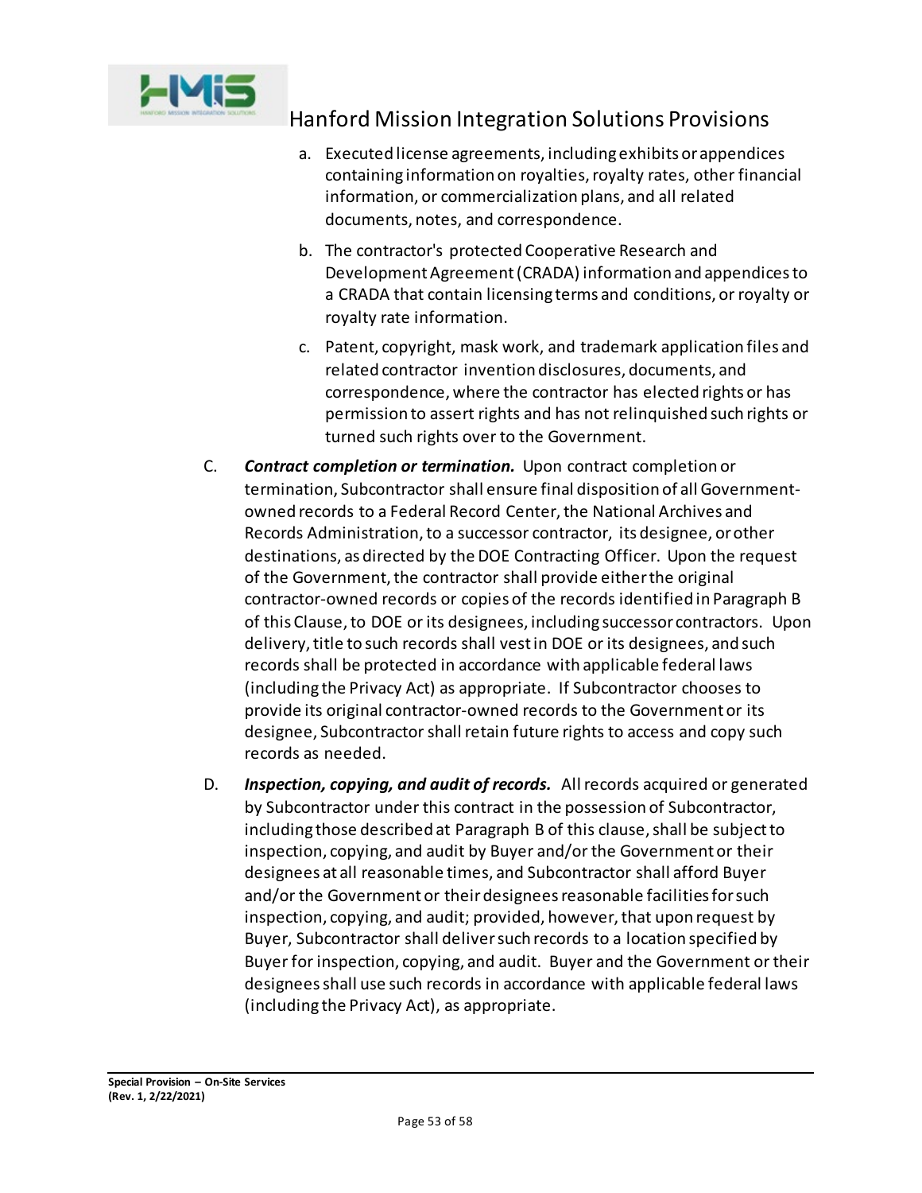

- a. Executed license agreements, including exhibits or appendices containing information on royalties, royalty rates, other financial information, or commercialization plans, and all related documents, notes, and correspondence.
- b. The contractor's protected Cooperative Research and Development Agreement (CRADA) information and appendices to a CRADA that contain licensing terms and conditions, or royalty or royalty rate information.
- c. Patent, copyright, mask work, and trademark application files and related contractor invention disclosures, documents, and correspondence, where the contractor has elected rights or has permission to assert rights and has not relinquished such rights or turned such rights over to the Government.
- C. *Contract completion or termination.* Upon contract completion or termination, Subcontractor shall ensure final disposition of all Governmentowned records to a Federal Record Center, the National Archives and Records Administration, to a successor contractor, its designee, or other destinations, as directed by the DOE Contracting Officer. Upon the request of the Government, the contractor shall provide either the original contractor-owned records or copies of the records identified in Paragraph B of this Clause, to DOE or its designees, including successor contractors. Upon delivery, title to such records shall vest in DOE or its designees, and such records shall be protected in accordance with applicable federal laws (including the Privacy Act) as appropriate. If Subcontractor chooses to provide its original contractor-owned records to the Government or its designee, Subcontractor shall retain future rights to access and copy such records as needed.
- D. *Inspection, copying, and audit of records.* All records acquired or generated by Subcontractor under this contract in the possession of Subcontractor, including those described at Paragraph B of this clause, shall be subject to inspection, copying, and audit by Buyer and/or the Government or their designees at all reasonable times, and Subcontractor shall afford Buyer and/or the Government or their designees reasonable facilities for such inspection, copying, and audit; provided, however, that upon request by Buyer, Subcontractor shall deliver such records to a location specified by Buyer for inspection, copying, and audit. Buyer and the Government or their designees shall use such records in accordance with applicable federal laws (including the Privacy Act), as appropriate.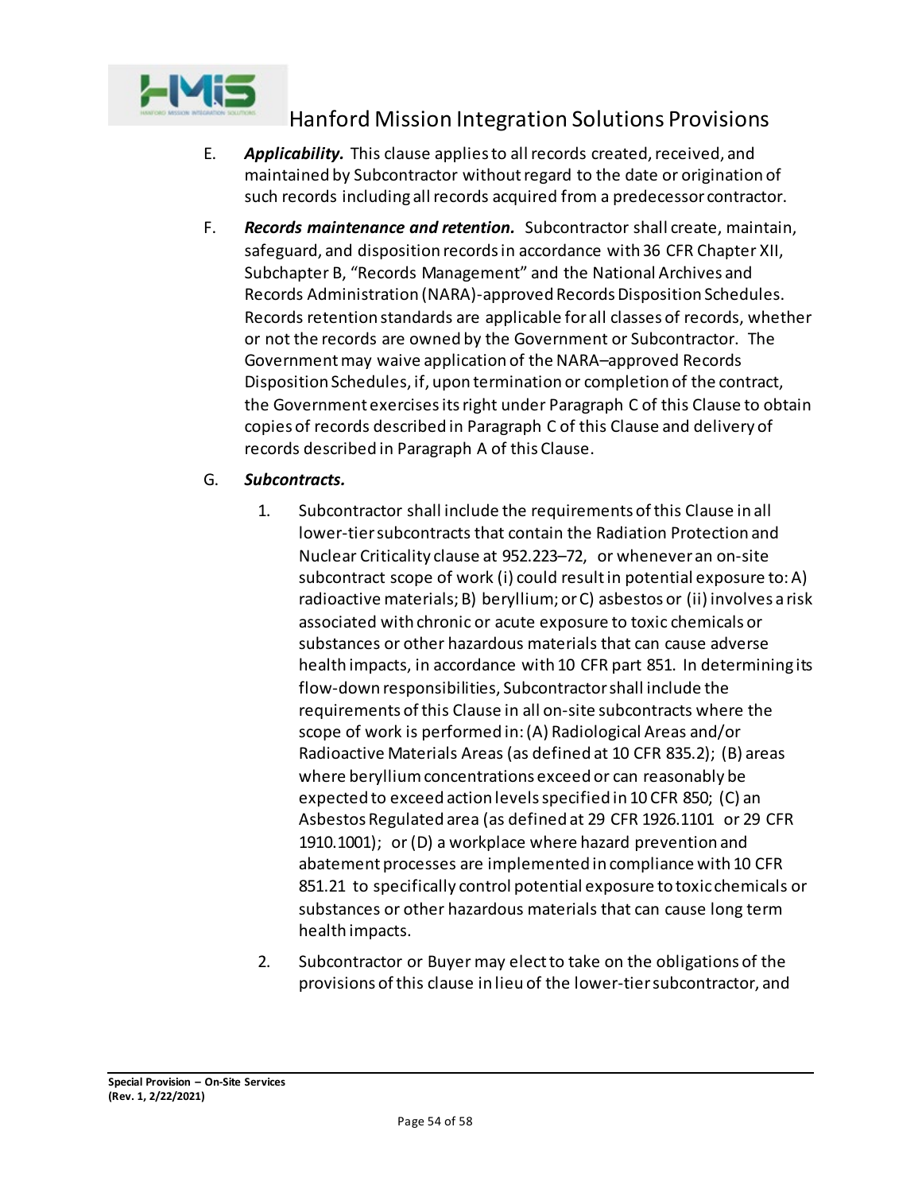

- E. *Applicability.* This clause applies to all records created, received, and maintained by Subcontractor without regard to the date or origination of such records including all records acquired from a predecessor contractor.
- F. *Records maintenance and retention.* Subcontractor shall create, maintain, safeguard, and disposition records in accordance with 36 CFR Chapter XII, Subchapter B, "Records Management" and the National Archives and Records Administration (NARA)-approved Records Disposition Schedules. Records retention standards are applicable for all classes of records, whether or not the records are owned by the Government or Subcontractor. The Government may waive application of the NARA–approved Records Disposition Schedules, if, upon termination or completion of the contract, the Government exercises its right under Paragraph C of this Clause to obtain copies of records described in Paragraph C of this Clause and delivery of records described in Paragraph A of this Clause.

### G. *Subcontracts.*

- 1. Subcontractor shall include the requirements of this Clause in all lower-tier subcontracts that contain the Radiation Protection and Nuclear Criticality clause at 952.223–72, or whenever an on-site subcontract scope of work (i) could result in potential exposure to: A) radioactive materials; B) beryllium; or C) asbestos or (ii) involves a risk associated with chronic or acute exposure to toxic chemicals or substances or other hazardous materials that can cause adverse health impacts, in accordance with 10 CFR part 851. In determining its flow-down responsibilities, Subcontractor shall include the requirements of this Clause in all on-site subcontracts where the scope of work is performed in: (A) Radiological Areas and/or Radioactive Materials Areas (as defined at 10 CFR 835.2); (B) areas where beryllium concentrations exceed or can reasonably be expected to exceed action levels specified in 10 CFR 850; (C) an Asbestos Regulated area (as defined at 29 CFR 1926.1101 or 29 CFR 1910.1001); or (D) a workplace where hazard prevention and abatement processes are implemented in compliance with 10 CFR 851.21 to specifically control potential exposure to toxic chemicals or substances or other hazardous materials that can cause long term health impacts.
- 2. Subcontractor or Buyer may elect to take on the obligations of the provisions of this clause in lieu of the lower-tier subcontractor, and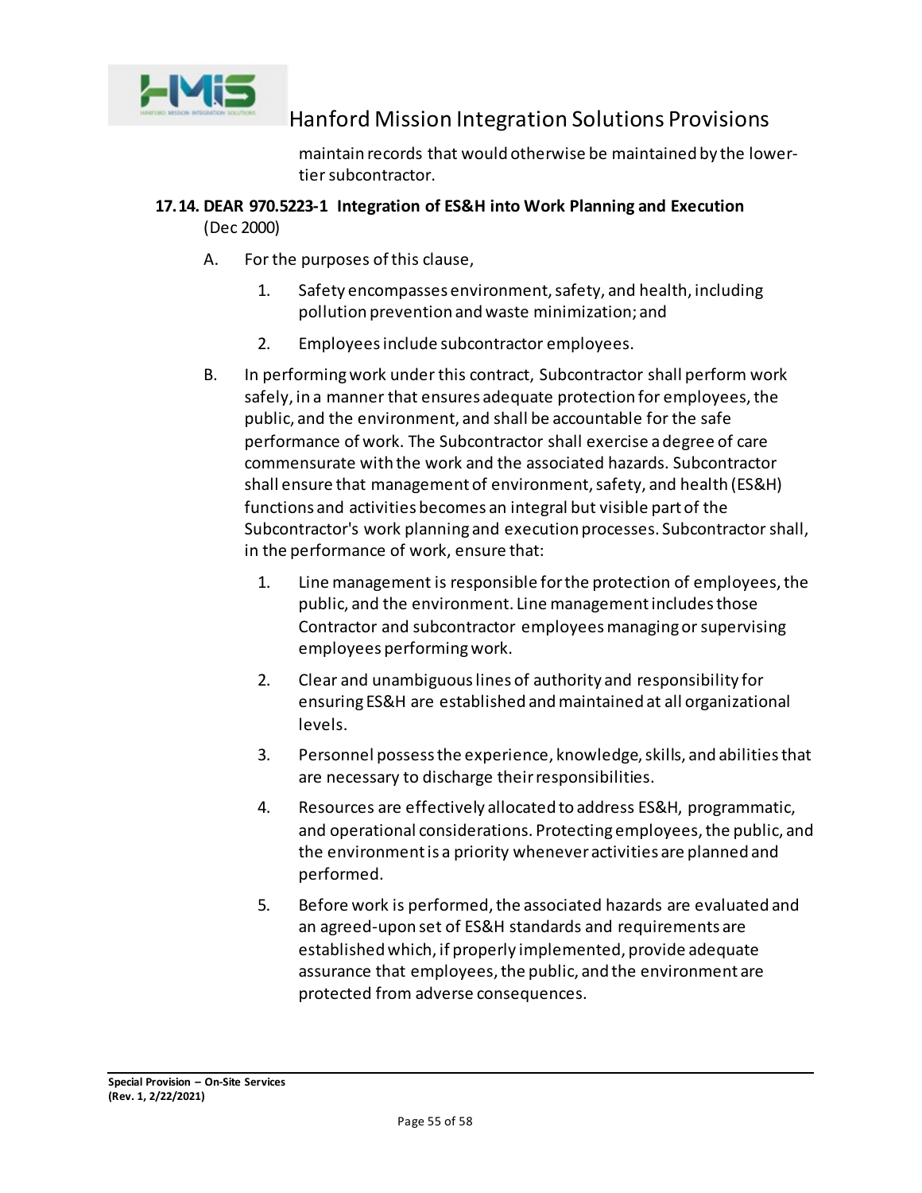

maintain records that would otherwise be maintained by the lowertier subcontractor.

### <span id="page-54-0"></span>**17.14. DEAR 970.5223-1 Integration of ES&H into Work Planning and Execution**  (Dec 2000)

- A. For the purposes of this clause,
	- 1. Safety encompasses environment, safety, and health, including pollution prevention and waste minimization; and
	- 2. Employees include subcontractor employees.
- B. In performing work under this contract, Subcontractor shall perform work safely, in a manner that ensures adequate protection for employees, the public, and the environment, and shall be accountable for the safe performance of work. The Subcontractor shall exercise a degree of care commensurate with the work and the associated hazards. Subcontractor shall ensure that management of environment, safety, and health (ES&H) functions and activities becomes an integral but visible part of the Subcontractor's work planning and execution processes. Subcontractor shall, in the performance of work, ensure that:
	- 1. Line management is responsible for the protection of employees, the public, and the environment. Line management includes those Contractor and subcontractor employees managing or supervising employees performing work.
	- 2. Clear and unambiguous lines of authority and responsibility for ensuring ES&H are established and maintained at all organizational levels.
	- 3. Personnel possess the experience, knowledge, skills, and abilities that are necessary to discharge their responsibilities.
	- 4. Resources are effectively allocated to address ES&H, programmatic, and operational considerations. Protecting employees, the public, and the environment is a priority whenever activities are planned and performed.
	- 5. Before work is performed, the associated hazards are evaluated and an agreed-upon set of ES&H standards and requirements are established which, if properly implemented, provide adequate assurance that employees, the public, and the environment are protected from adverse consequences.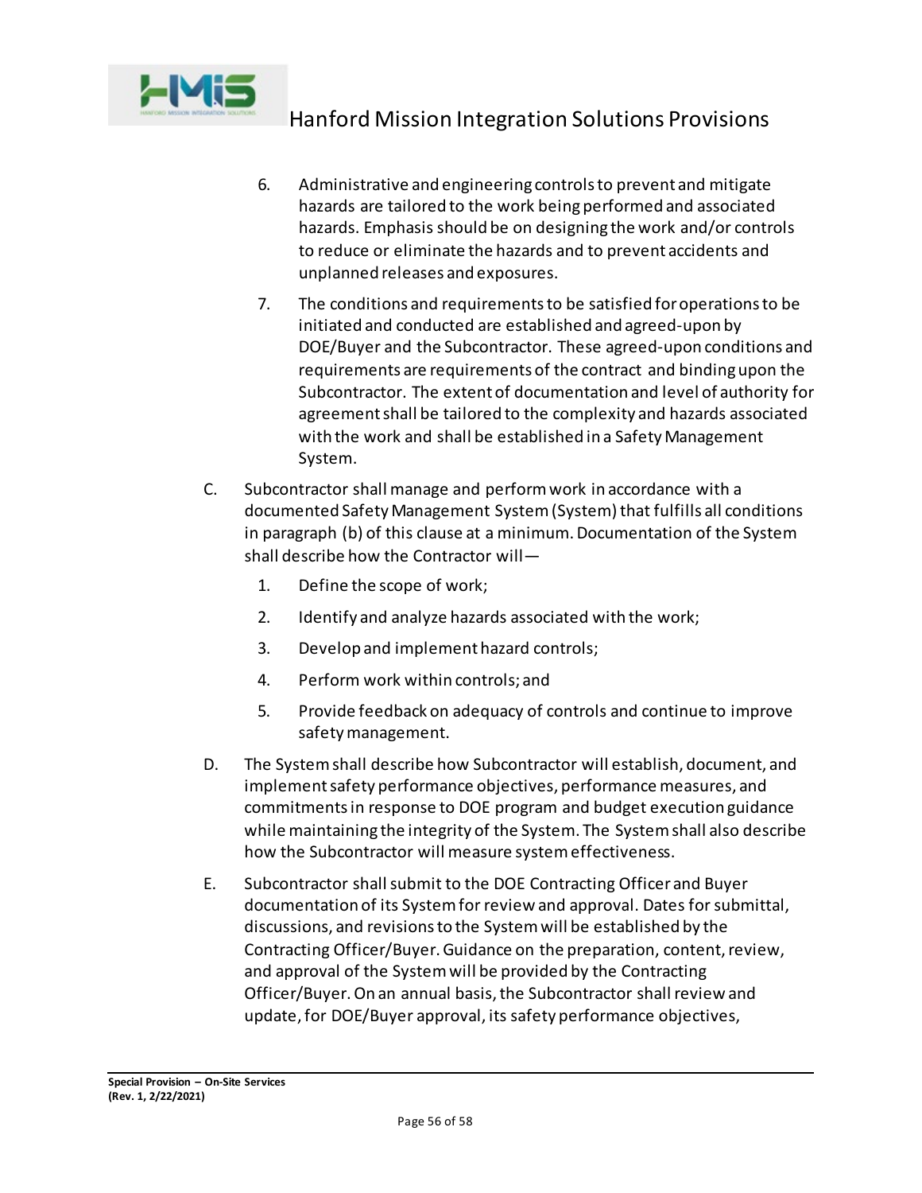

- 6. Administrative and engineering controls to prevent and mitigate hazards are tailored to the work being performed and associated hazards. Emphasis should be on designing the work and/or controls to reduce or eliminate the hazards and to prevent accidents and unplanned releases and exposures.
- 7. The conditions and requirements to be satisfied for operations to be initiated and conducted are established and agreed-upon by DOE/Buyer and the Subcontractor. These agreed-upon conditions and requirements are requirements of the contract and binding upon the Subcontractor. The extent of documentation and level of authority for agreement shall be tailored to the complexity and hazards associated with the work and shall be established in a Safety Management System.
- C. Subcontractor shall manage and perform work in accordance with a documented Safety Management System (System) that fulfills all conditions in paragraph (b) of this clause at a minimum. Documentation of the System shall describe how the Contractor will—
	- 1. Define the scope of work;
	- 2. Identify and analyze hazards associated with the work;
	- 3. Develop and implement hazard controls;
	- 4. Perform work within controls; and
	- 5. Provide feedback on adequacy of controls and continue to improve safety management.
- D. The System shall describe how Subcontractor will establish, document, and implement safety performance objectives, performance measures, and commitments in response to DOE program and budget execution guidance while maintaining the integrity of the System. The System shall also describe how the Subcontractor will measure system effectiveness.
- E. Subcontractor shall submit to the DOE Contracting Officer and Buyer documentation of its System for review and approval. Dates for submittal, discussions, and revisions to the System will be established by the Contracting Officer/Buyer. Guidance on the preparation, content, review, and approval of the System will be provided by the Contracting Officer/Buyer. On an annual basis, the Subcontractor shall review and update, for DOE/Buyer approval, its safety performance objectives,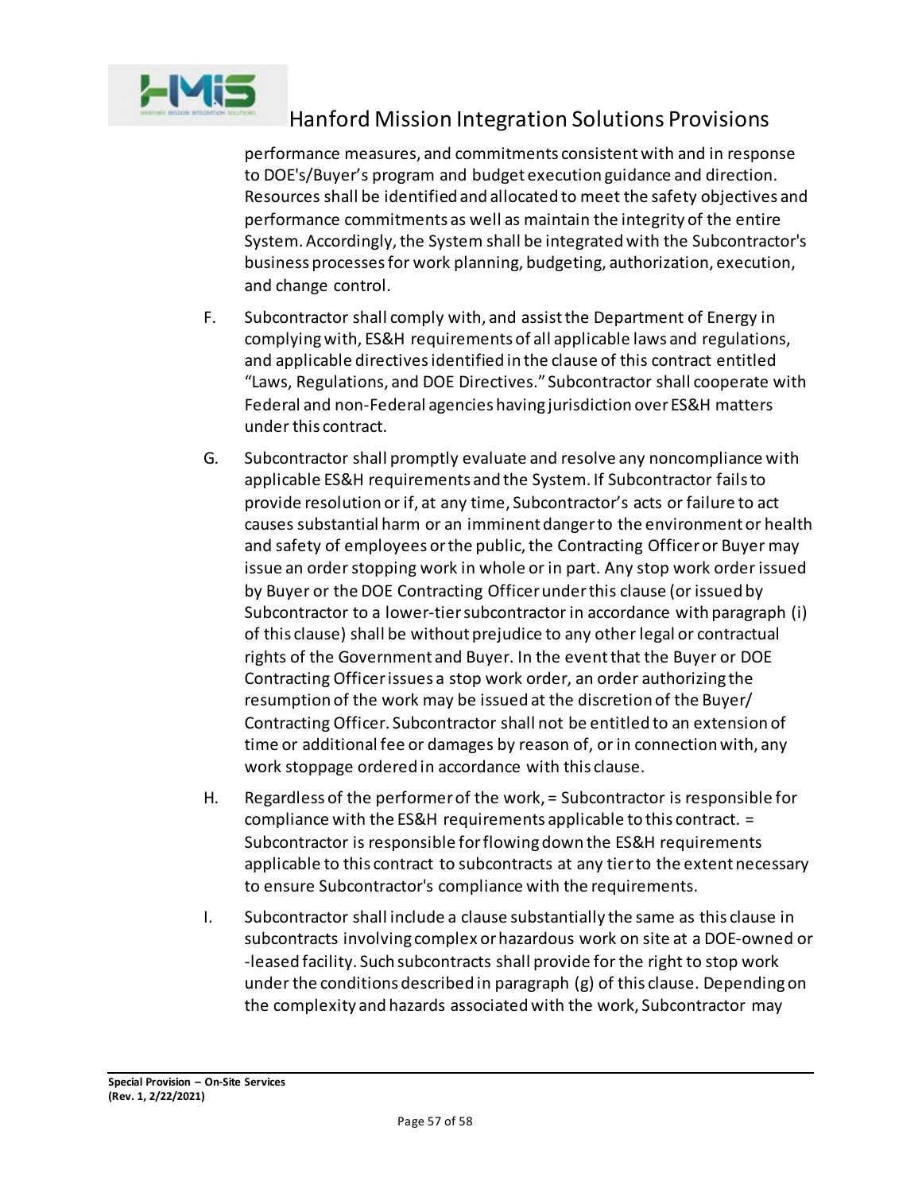

performance measures, and commitments consistent with and in response to DOE's/Buyer's program and budget execution guidance and direction. Resources shall be identified and allocated to meet the safety objectives and performance commitments as well as maintain the integrity of the entire System. Accordingly, the System shall be integrated with the Subcontractor's business processes for work planning, budgeting, authorization, execution, and change control.

- F. Subcontractor shall comply with, and assist the Department of Energy in complying with, ES&H requirements of all applicable laws and regulations, and applicable directives identified in the clause of this contract entitled "Laws, Regulations, and DOE Directives." Subcontractor shall cooperate with Federal and non-Federal agencies having jurisdiction over ES&H matters under this contract.
- G. Subcontractor shall promptly evaluate and resolve any noncompliance with applicable ES&H requirements and the System. If Subcontractor fails to provide resolution or if, at any time, Subcontractor's acts or failure to act causes substantial harm or an imminent danger to the environment or health and safety of employees or the public, the Contracting Officer or Buyer may issue an order stopping work in whole or in part. Any stop work order issued by Buyer or the DOE Contracting Officer under this clause (or issued by Subcontractor to a lower-tier subcontractor in accordance with paragraph (i) of this clause) shall be without prejudice to any other legal or contractual rights of the Government and Buyer. In the event that the Buyer or DOE Contracting Officer issues a stop work order, an order authorizing the resumption of the work may be issued at the discretion of the Buyer/ Contracting Officer. Subcontractor shall not be entitled to an extension of time or additional fee or damages by reason of, or in connection with, any work stoppage ordered in accordance with this clause.
- H. Regardless of the performer of the work, = Subcontractor is responsible for compliance with the ES&H requirements applicable to this contract. = Subcontractor is responsible for flowing down the ES&H requirements applicable to this contract to subcontracts at any tier to the extent necessary to ensure Subcontractor's compliance with the requirements.
- I. Subcontractor shall include a clause substantially the same as this clause in subcontracts involving complex or hazardous work on site at a DOE-owned or -leased facility. Such subcontracts shall provide for the right to stop work under the conditions described in paragraph (g) of this clause. Depending on the complexity and hazards associated with the work, Subcontractor may